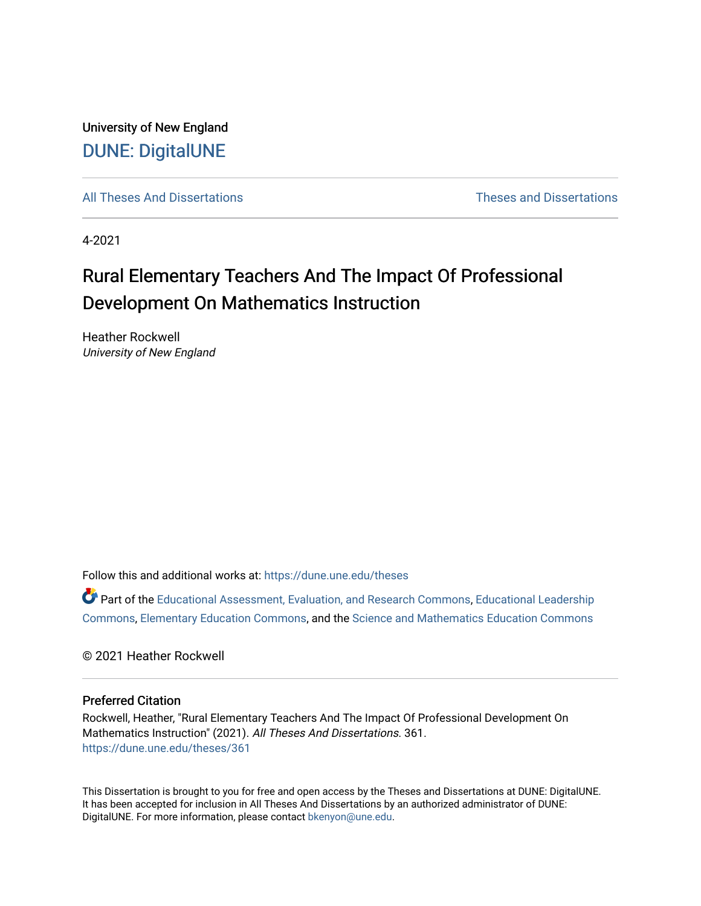University of New England [DUNE: DigitalUNE](https://dune.une.edu/) 

[All Theses And Dissertations](https://dune.une.edu/theses) [Theses and Dissertations](https://dune.une.edu/theses_dissertations) 

4-2021

## Rural Elementary Teachers And The Impact Of Professional Development On Mathematics Instruction

Heather Rockwell University of New England

Follow this and additional works at: [https://dune.une.edu/theses](https://dune.une.edu/theses?utm_source=dune.une.edu%2Ftheses%2F361&utm_medium=PDF&utm_campaign=PDFCoverPages) 

Part of the [Educational Assessment, Evaluation, and Research Commons](http://network.bepress.com/hgg/discipline/796?utm_source=dune.une.edu%2Ftheses%2F361&utm_medium=PDF&utm_campaign=PDFCoverPages), [Educational Leadership](http://network.bepress.com/hgg/discipline/1230?utm_source=dune.une.edu%2Ftheses%2F361&utm_medium=PDF&utm_campaign=PDFCoverPages) [Commons](http://network.bepress.com/hgg/discipline/1230?utm_source=dune.une.edu%2Ftheses%2F361&utm_medium=PDF&utm_campaign=PDFCoverPages), [Elementary Education Commons,](http://network.bepress.com/hgg/discipline/1378?utm_source=dune.une.edu%2Ftheses%2F361&utm_medium=PDF&utm_campaign=PDFCoverPages) and the [Science and Mathematics Education Commons](http://network.bepress.com/hgg/discipline/800?utm_source=dune.une.edu%2Ftheses%2F361&utm_medium=PDF&utm_campaign=PDFCoverPages)

© 2021 Heather Rockwell

#### Preferred Citation

Rockwell, Heather, "Rural Elementary Teachers And The Impact Of Professional Development On Mathematics Instruction" (2021). All Theses And Dissertations. 361. [https://dune.une.edu/theses/361](https://dune.une.edu/theses/361?utm_source=dune.une.edu%2Ftheses%2F361&utm_medium=PDF&utm_campaign=PDFCoverPages)

This Dissertation is brought to you for free and open access by the Theses and Dissertations at DUNE: DigitalUNE. It has been accepted for inclusion in All Theses And Dissertations by an authorized administrator of DUNE: DigitalUNE. For more information, please contact [bkenyon@une.edu.](mailto:bkenyon@une.edu)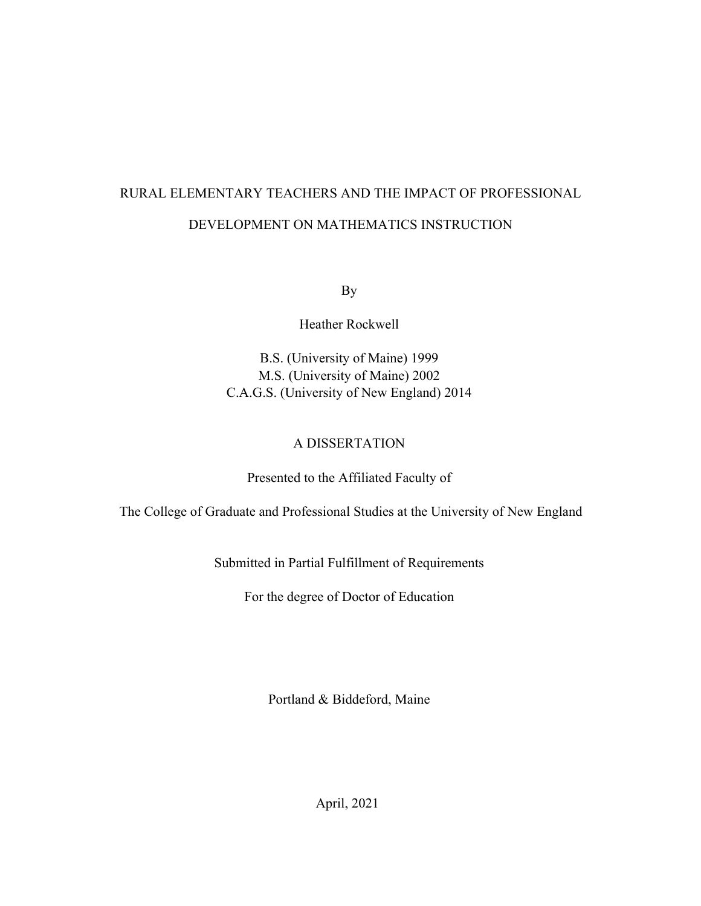# RURAL ELEMENTARY TEACHERS AND THE IMPACT OF PROFESSIONAL DEVELOPMENT ON MATHEMATICS INSTRUCTION

By

Heather Rockwell

B.S. (University of Maine) 1999 M.S. (University of Maine) 2002 C.A.G.S. (University of New England) 2014

#### A DISSERTATION

Presented to the Affiliated Faculty of

The College of Graduate and Professional Studies at the University of New England

Submitted in Partial Fulfillment of Requirements

For the degree of Doctor of Education

Portland & Biddeford, Maine

April, 2021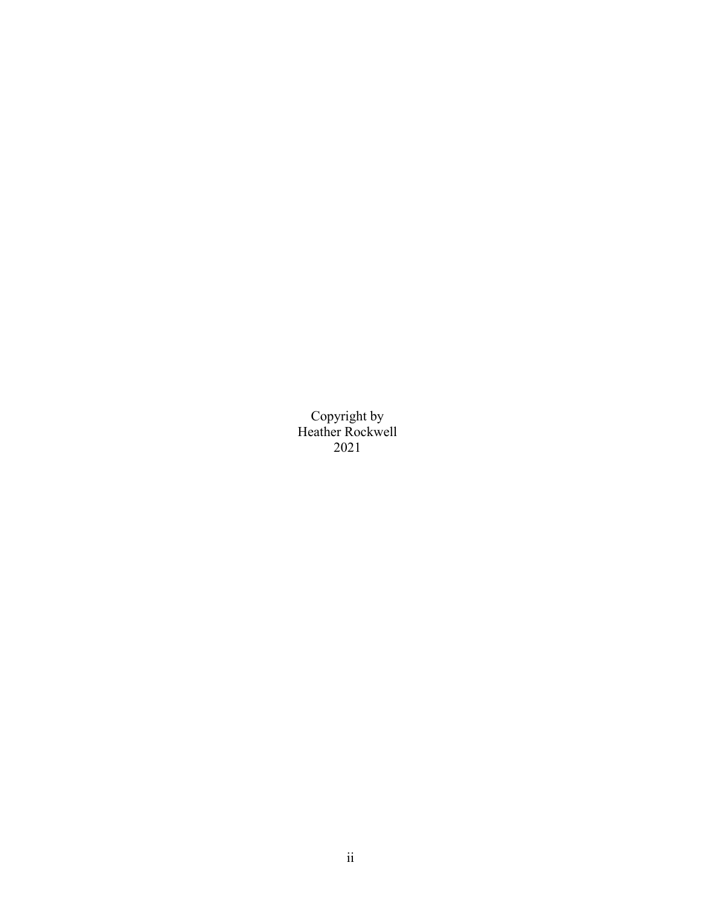Copyright by Heather Rockwell 2021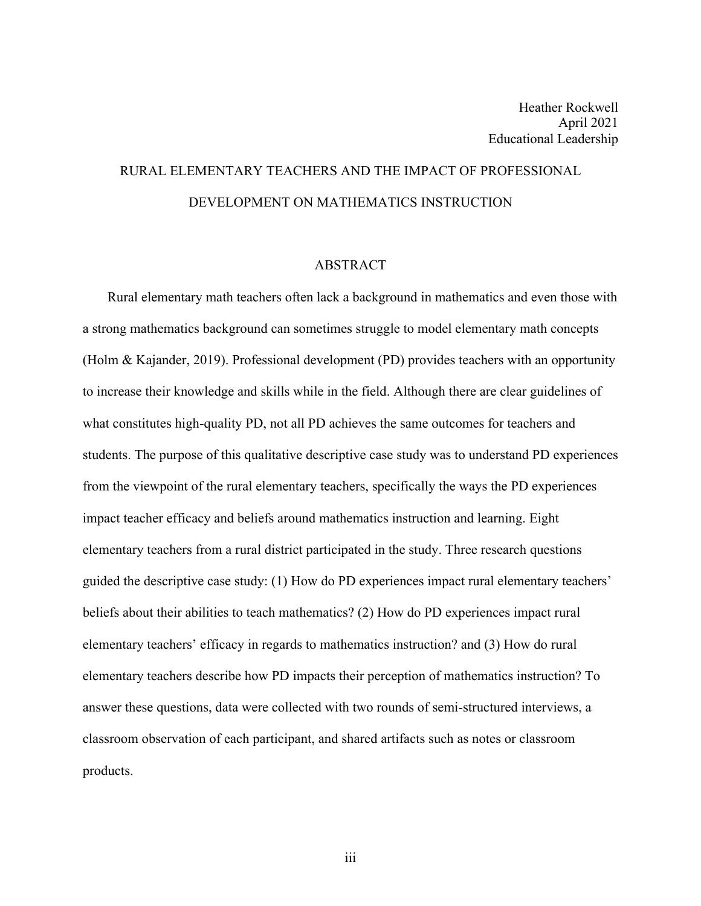## RURAL ELEMENTARY TEACHERS AND THE IMPACT OF PROFESSIONAL DEVELOPMENT ON MATHEMATICS INSTRUCTION

#### ABSTRACT

Rural elementary math teachers often lack a background in mathematics and even those with a strong mathematics background can sometimes struggle to model elementary math concepts (Holm & Kajander, 2019). Professional development (PD) provides teachers with an opportunity to increase their knowledge and skills while in the field. Although there are clear guidelines of what constitutes high-quality PD, not all PD achieves the same outcomes for teachers and students. The purpose of this qualitative descriptive case study was to understand PD experiences from the viewpoint of the rural elementary teachers, specifically the ways the PD experiences impact teacher efficacy and beliefs around mathematics instruction and learning. Eight elementary teachers from a rural district participated in the study. Three research questions guided the descriptive case study: (1) How do PD experiences impact rural elementary teachers' beliefs about their abilities to teach mathematics? (2) How do PD experiences impact rural elementary teachers' efficacy in regards to mathematics instruction? and (3) How do rural elementary teachers describe how PD impacts their perception of mathematics instruction? To answer these questions, data were collected with two rounds of semi-structured interviews, a classroom observation of each participant, and shared artifacts such as notes or classroom products.

iii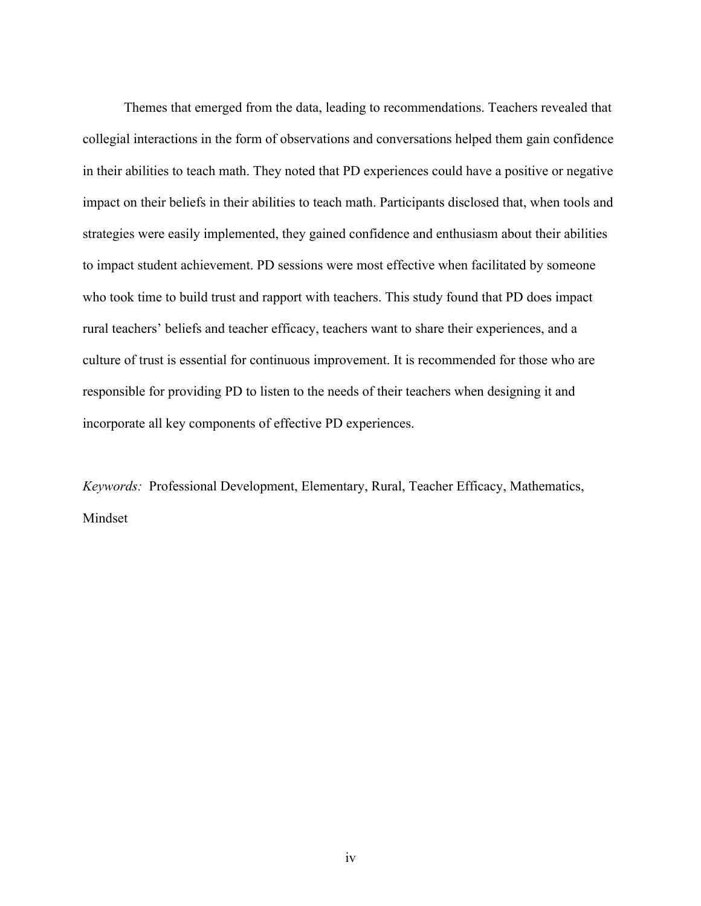Themes that emerged from the data, leading to recommendations. Teachers revealed that collegial interactions in the form of observations and conversations helped them gain confidence in their abilities to teach math. They noted that PD experiences could have a positive or negative impact on their beliefs in their abilities to teach math. Participants disclosed that, when tools and strategies were easily implemented, they gained confidence and enthusiasm about their abilities to impact student achievement. PD sessions were most effective when facilitated by someone who took time to build trust and rapport with teachers. This study found that PD does impact rural teachers' beliefs and teacher efficacy, teachers want to share their experiences, and a culture of trust is essential for continuous improvement. It is recommended for those who are responsible for providing PD to listen to the needs of their teachers when designing it and incorporate all key components of effective PD experiences.

*Keywords:* Professional Development, Elementary, Rural, Teacher Efficacy, Mathematics, Mindset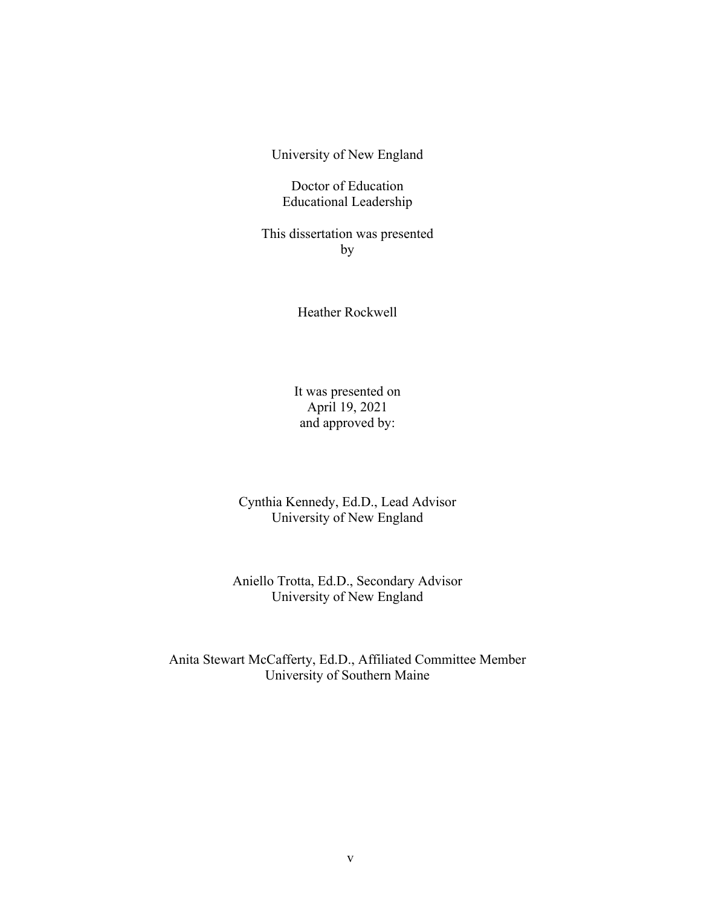University of New England

Doctor of Education Educational Leadership

This dissertation was presented by

Heather Rockwell

It was presented on April 19, 2021 and approved by:

Cynthia Kennedy, Ed.D., Lead Advisor University of New England

Aniello Trotta, Ed.D., Secondary Advisor University of New England

Anita Stewart McCafferty, Ed.D., Affiliated Committee Member University of Southern Maine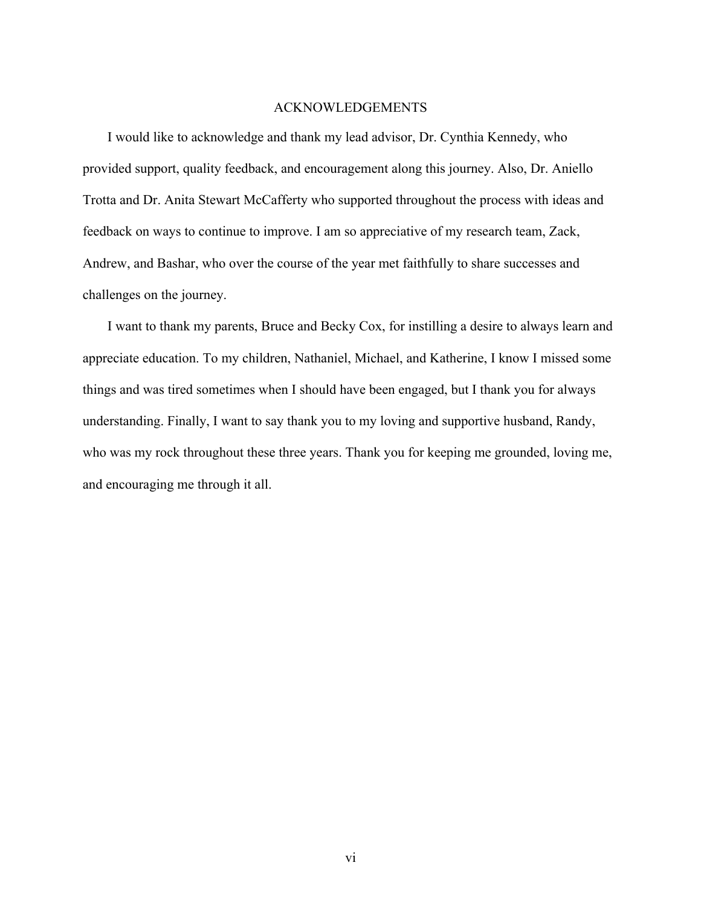#### ACKNOWLEDGEMENTS

I would like to acknowledge and thank my lead advisor, Dr. Cynthia Kennedy, who provided support, quality feedback, and encouragement along this journey. Also, Dr. Aniello Trotta and Dr. Anita Stewart McCafferty who supported throughout the process with ideas and feedback on ways to continue to improve. I am so appreciative of my research team, Zack, Andrew, and Bashar, who over the course of the year met faithfully to share successes and challenges on the journey.

I want to thank my parents, Bruce and Becky Cox, for instilling a desire to always learn and appreciate education. To my children, Nathaniel, Michael, and Katherine, I know I missed some things and was tired sometimes when I should have been engaged, but I thank you for always understanding. Finally, I want to say thank you to my loving and supportive husband, Randy, who was my rock throughout these three years. Thank you for keeping me grounded, loving me, and encouraging me through it all.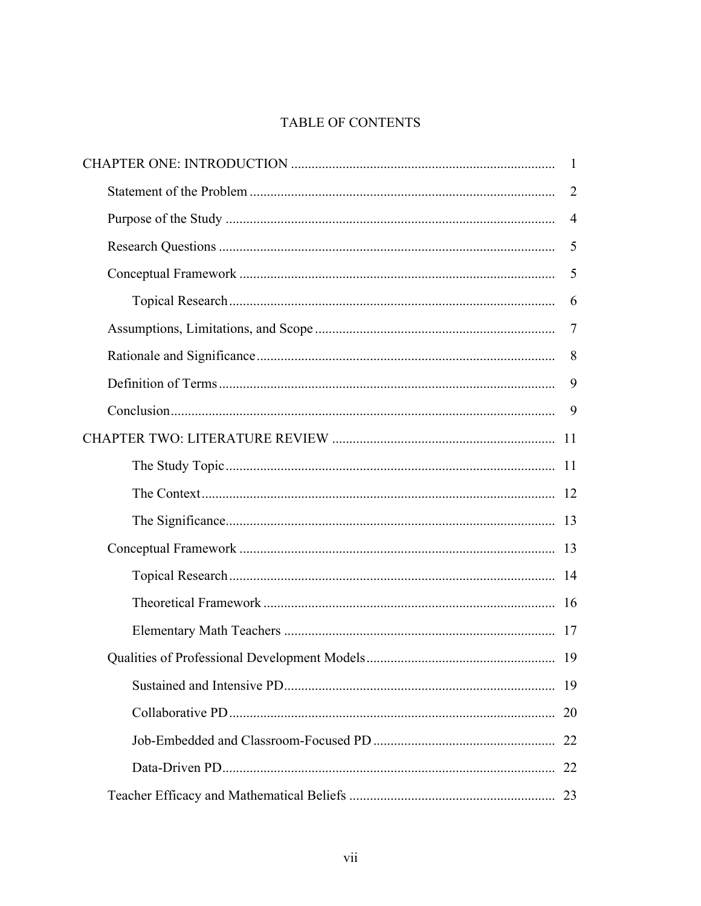### TABLE OF CONTENTS

| 2              |
|----------------|
| $\overline{4}$ |
| 5              |
| 5              |
| 6              |
| 7              |
| 8              |
| 9              |
| 9              |
|                |
|                |
|                |
|                |
|                |
|                |
|                |
|                |
|                |
|                |
| 20             |
|                |
| 22             |
| 23             |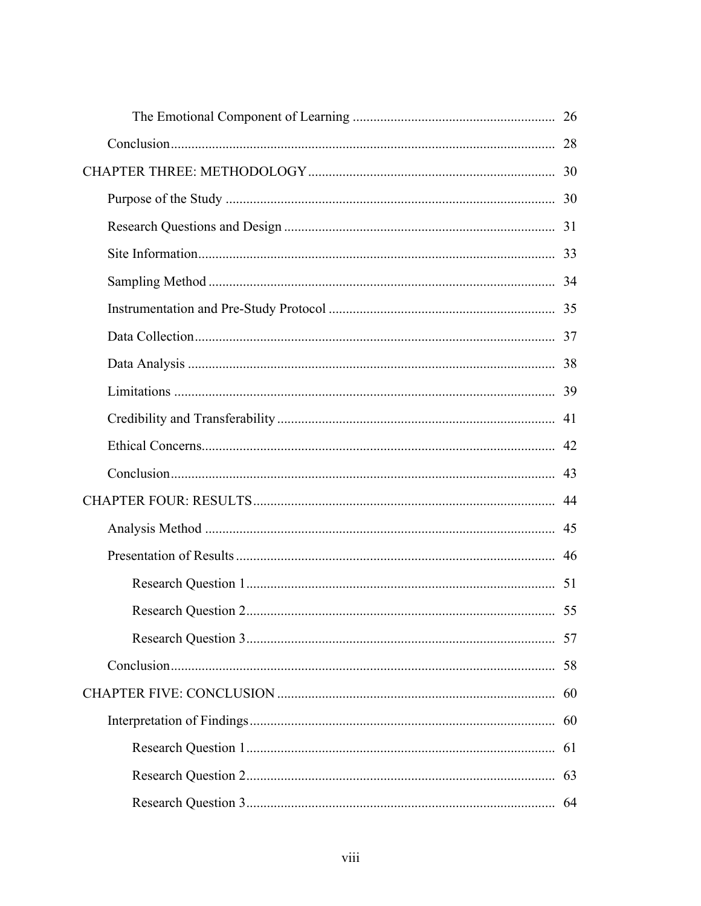| 58 |
|----|
|    |
|    |
| 61 |
|    |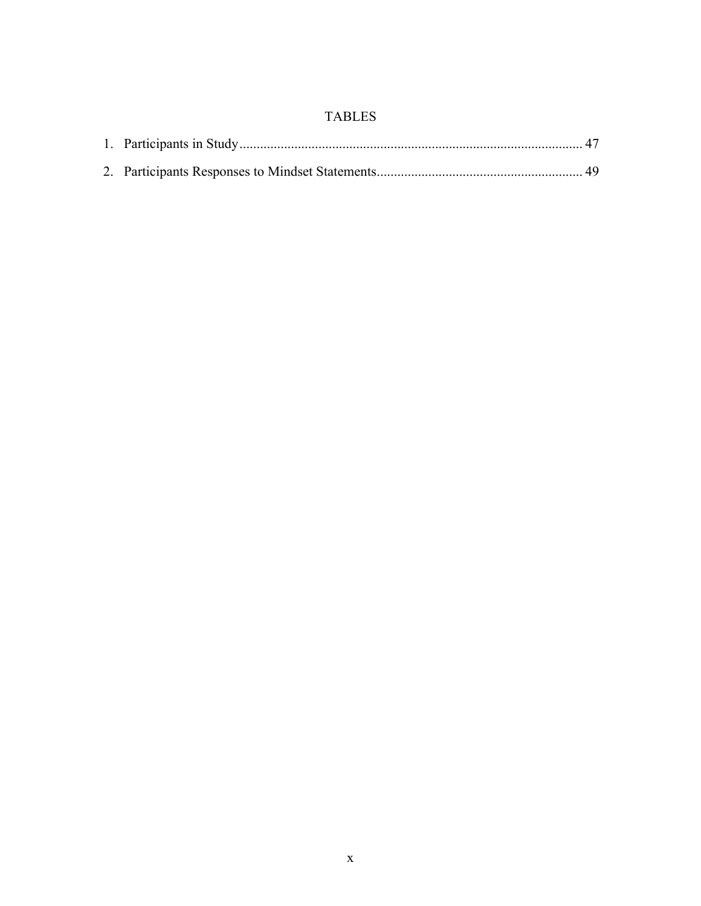### TABLES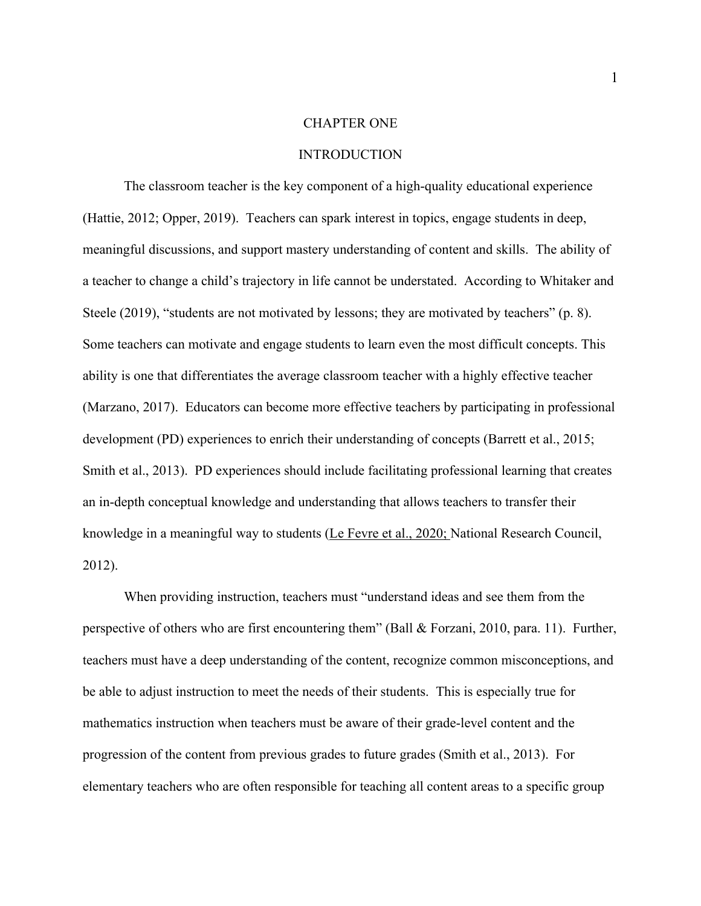#### CHAPTER ONE

#### INTRODUCTION

The classroom teacher is the key component of a high-quality educational experience (Hattie, 2012; Opper, 2019). Teachers can spark interest in topics, engage students in deep, meaningful discussions, and support mastery understanding of content and skills. The ability of a teacher to change a child's trajectory in life cannot be understated. According to Whitaker and Steele (2019), "students are not motivated by lessons; they are motivated by teachers" (p. 8). Some teachers can motivate and engage students to learn even the most difficult concepts. This ability is one that differentiates the average classroom teacher with a highly effective teacher (Marzano, 2017). Educators can become more effective teachers by participating in professional development (PD) experiences to enrich their understanding of concepts (Barrett et al., 2015; Smith et al., 2013). PD experiences should include facilitating professional learning that creates an in-depth conceptual knowledge and understanding that allows teachers to transfer their knowledge in a meaningful way to students (Le Fevre et al., 2020; National Research Council, 2012).

When providing instruction, teachers must "understand ideas and see them from the perspective of others who are first encountering them" (Ball & Forzani, 2010, para. 11). Further, teachers must have a deep understanding of the content, recognize common misconceptions, and be able to adjust instruction to meet the needs of their students. This is especially true for mathematics instruction when teachers must be aware of their grade-level content and the progression of the content from previous grades to future grades (Smith et al., 2013). For elementary teachers who are often responsible for teaching all content areas to a specific group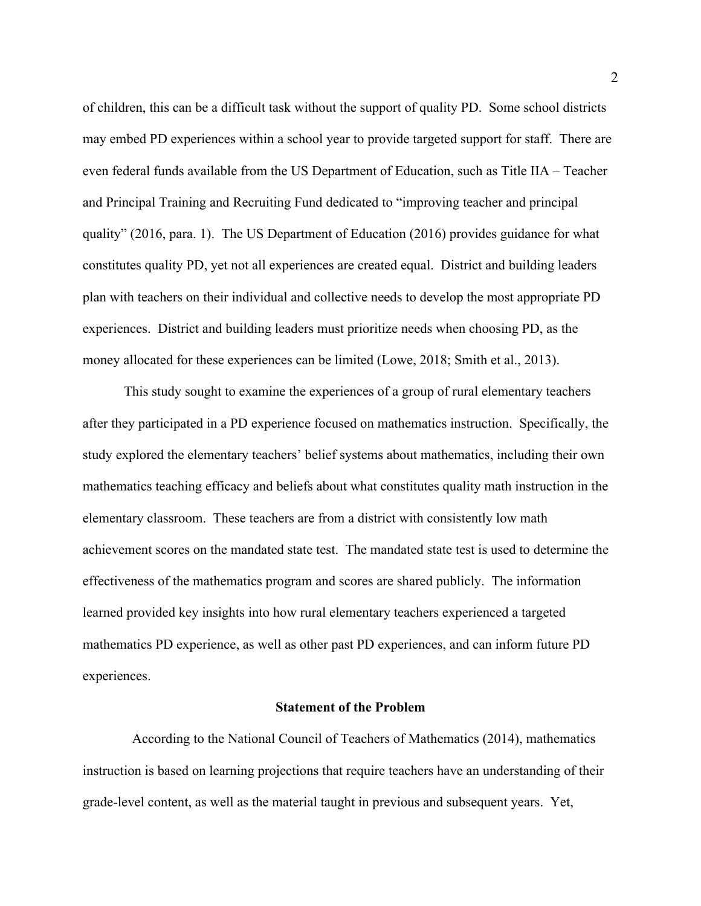of children, this can be a difficult task without the support of quality PD. Some school districts may embed PD experiences within a school year to provide targeted support for staff. There are even federal funds available from the US Department of Education, such as Title IIA – Teacher and Principal Training and Recruiting Fund dedicated to "improving teacher and principal quality" (2016, para. 1). The US Department of Education (2016) provides guidance for what constitutes quality PD, yet not all experiences are created equal. District and building leaders plan with teachers on their individual and collective needs to develop the most appropriate PD experiences. District and building leaders must prioritize needs when choosing PD, as the money allocated for these experiences can be limited (Lowe, 2018; Smith et al., 2013).

This study sought to examine the experiences of a group of rural elementary teachers after they participated in a PD experience focused on mathematics instruction. Specifically, the study explored the elementary teachers' belief systems about mathematics, including their own mathematics teaching efficacy and beliefs about what constitutes quality math instruction in the elementary classroom. These teachers are from a district with consistently low math achievement scores on the mandated state test. The mandated state test is used to determine the effectiveness of the mathematics program and scores are shared publicly. The information learned provided key insights into how rural elementary teachers experienced a targeted mathematics PD experience, as well as other past PD experiences, and can inform future PD experiences.

#### **Statement of the Problem**

According to the National Council of Teachers of Mathematics (2014), mathematics instruction is based on learning projections that require teachers have an understanding of their grade-level content, as well as the material taught in previous and subsequent years. Yet,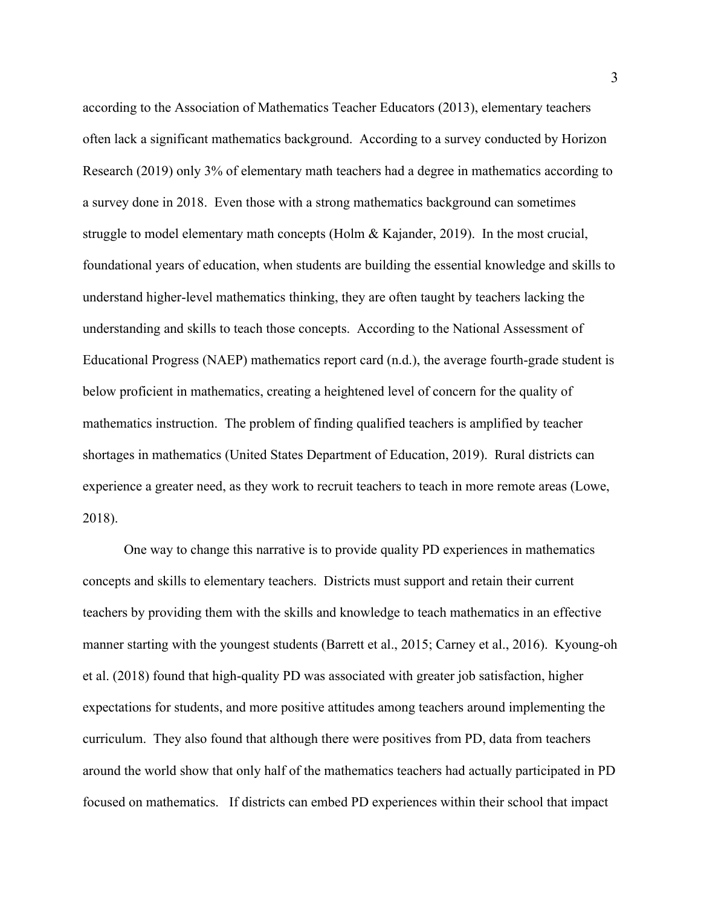according to the Association of Mathematics Teacher Educators (2013), elementary teachers often lack a significant mathematics background. According to a survey conducted by Horizon Research (2019) only 3% of elementary math teachers had a degree in mathematics according to a survey done in 2018. Even those with a strong mathematics background can sometimes struggle to model elementary math concepts (Holm & Kajander, 2019). In the most crucial, foundational years of education, when students are building the essential knowledge and skills to understand higher-level mathematics thinking, they are often taught by teachers lacking the understanding and skills to teach those concepts. According to the National Assessment of Educational Progress (NAEP) mathematics report card (n.d.), the average fourth-grade student is below proficient in mathematics, creating a heightened level of concern for the quality of mathematics instruction. The problem of finding qualified teachers is amplified by teacher shortages in mathematics (United States Department of Education, 2019). Rural districts can experience a greater need, as they work to recruit teachers to teach in more remote areas (Lowe, 2018).

One way to change this narrative is to provide quality PD experiences in mathematics concepts and skills to elementary teachers. Districts must support and retain their current teachers by providing them with the skills and knowledge to teach mathematics in an effective manner starting with the youngest students (Barrett et al., 2015; Carney et al., 2016). Kyoung-oh et al. (2018) found that high-quality PD was associated with greater job satisfaction, higher expectations for students, and more positive attitudes among teachers around implementing the curriculum. They also found that although there were positives from PD, data from teachers around the world show that only half of the mathematics teachers had actually participated in PD focused on mathematics. If districts can embed PD experiences within their school that impact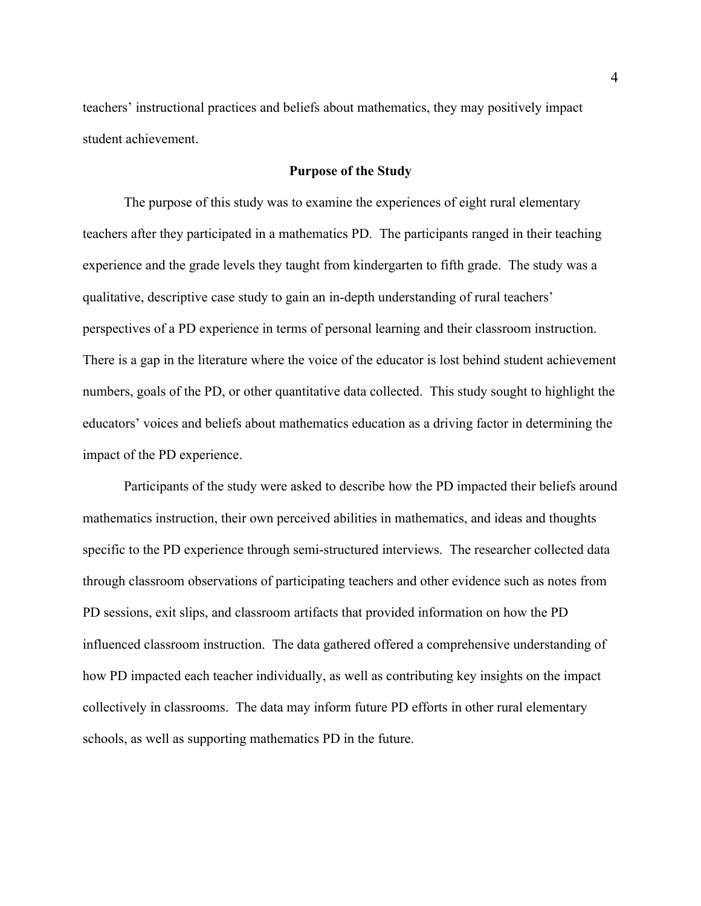teachers' instructional practices and beliefs about mathematics, they may positively impact student achievement.

#### **Purpose of the Study**

The purpose of this study was to examine the experiences of eight rural elementary teachers after they participated in a mathematics PD. The participants ranged in their teaching experience and the grade levels they taught from kindergarten to fifth grade. The study was a qualitative, descriptive case study to gain an in-depth understanding of rural teachers' perspectives of a PD experience in terms of personal learning and their classroom instruction. There is a gap in the literature where the voice of the educator is lost behind student achievement numbers, goals of the PD, or other quantitative data collected. This study sought to highlight the educators' voices and beliefs about mathematics education as a driving factor in determining the impact of the PD experience.

Participants of the study were asked to describe how the PD impacted their beliefs around mathematics instruction, their own perceived abilities in mathematics, and ideas and thoughts specific to the PD experience through semi-structured interviews. The researcher collected data through classroom observations of participating teachers and other evidence such as notes from PD sessions, exit slips, and classroom artifacts that provided information on how the PD influenced classroom instruction. The data gathered offered a comprehensive understanding of how PD impacted each teacher individually, as well as contributing key insights on the impact collectively in classrooms. The data may inform future PD efforts in other rural elementary schools, as well as supporting mathematics PD in the future.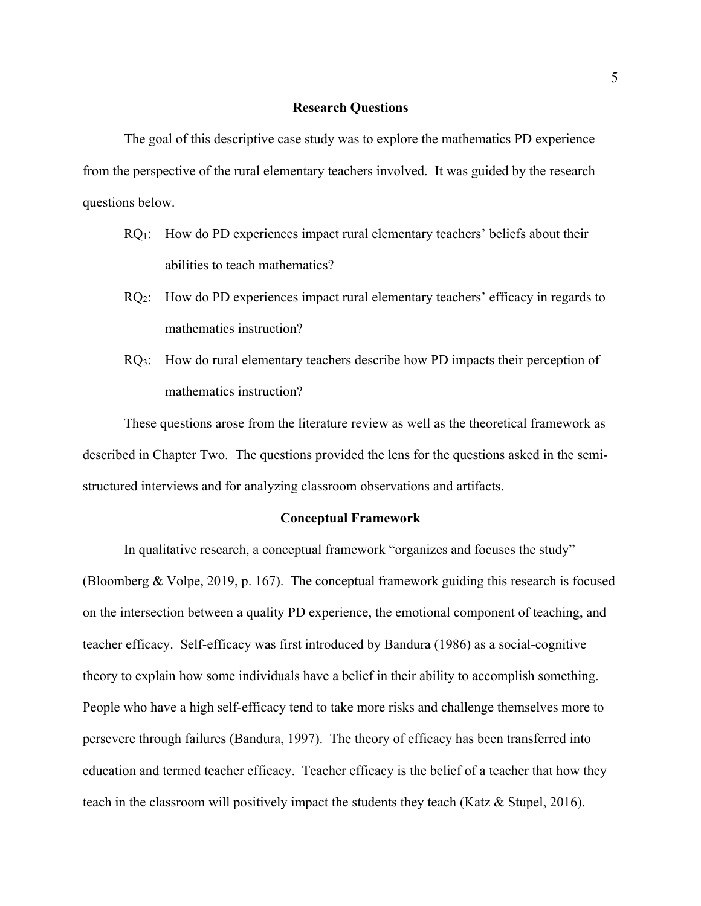#### **Research Questions**

The goal of this descriptive case study was to explore the mathematics PD experience from the perspective of the rural elementary teachers involved. It was guided by the research questions below.

- RQ1: How do PD experiences impact rural elementary teachers' beliefs about their abilities to teach mathematics?
- RQ2: How do PD experiences impact rural elementary teachers' efficacy in regards to mathematics instruction?
- RQ<sub>3</sub>: How do rural elementary teachers describe how PD impacts their perception of mathematics instruction?

These questions arose from the literature review as well as the theoretical framework as described in Chapter Two. The questions provided the lens for the questions asked in the semistructured interviews and for analyzing classroom observations and artifacts.

#### **Conceptual Framework**

In qualitative research, a conceptual framework "organizes and focuses the study" (Bloomberg & Volpe, 2019, p. 167). The conceptual framework guiding this research is focused on the intersection between a quality PD experience, the emotional component of teaching, and teacher efficacy. Self-efficacy was first introduced by Bandura (1986) as a social-cognitive theory to explain how some individuals have a belief in their ability to accomplish something. People who have a high self-efficacy tend to take more risks and challenge themselves more to persevere through failures (Bandura, 1997). The theory of efficacy has been transferred into education and termed teacher efficacy. Teacher efficacy is the belief of a teacher that how they teach in the classroom will positively impact the students they teach (Katz & Stupel, 2016).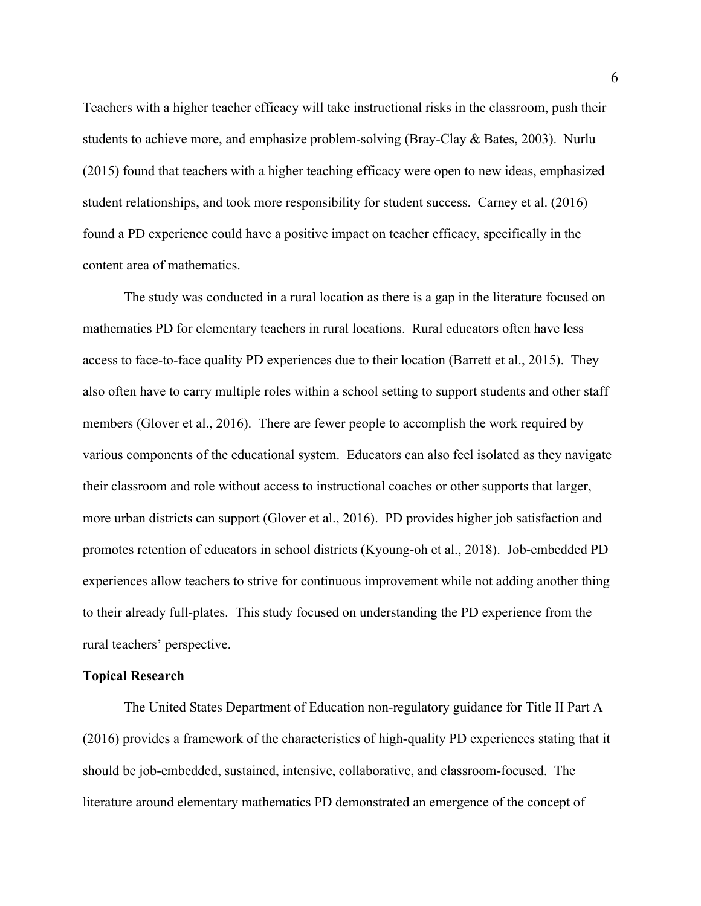Teachers with a higher teacher efficacy will take instructional risks in the classroom, push their students to achieve more, and emphasize problem-solving (Bray-Clay & Bates, 2003). Nurlu (2015) found that teachers with a higher teaching efficacy were open to new ideas, emphasized student relationships, and took more responsibility for student success. Carney et al. (2016) found a PD experience could have a positive impact on teacher efficacy, specifically in the content area of mathematics.

The study was conducted in a rural location as there is a gap in the literature focused on mathematics PD for elementary teachers in rural locations. Rural educators often have less access to face-to-face quality PD experiences due to their location (Barrett et al., 2015). They also often have to carry multiple roles within a school setting to support students and other staff members (Glover et al., 2016). There are fewer people to accomplish the work required by various components of the educational system. Educators can also feel isolated as they navigate their classroom and role without access to instructional coaches or other supports that larger, more urban districts can support (Glover et al., 2016). PD provides higher job satisfaction and promotes retention of educators in school districts (Kyoung-oh et al., 2018). Job-embedded PD experiences allow teachers to strive for continuous improvement while not adding another thing to their already full-plates. This study focused on understanding the PD experience from the rural teachers' perspective.

#### **Topical Research**

The United States Department of Education non-regulatory guidance for Title II Part A (2016) provides a framework of the characteristics of high-quality PD experiences stating that it should be job-embedded, sustained, intensive, collaborative, and classroom-focused. The literature around elementary mathematics PD demonstrated an emergence of the concept of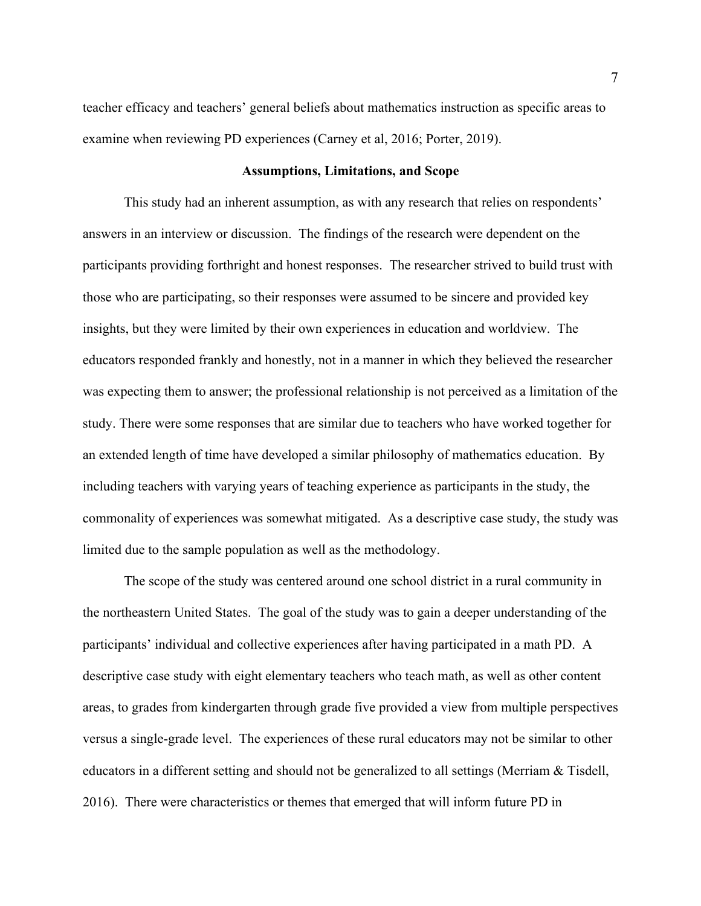teacher efficacy and teachers' general beliefs about mathematics instruction as specific areas to examine when reviewing PD experiences (Carney et al, 2016; Porter, 2019).

#### **Assumptions, Limitations, and Scope**

This study had an inherent assumption, as with any research that relies on respondents' answers in an interview or discussion. The findings of the research were dependent on the participants providing forthright and honest responses. The researcher strived to build trust with those who are participating, so their responses were assumed to be sincere and provided key insights, but they were limited by their own experiences in education and worldview. The educators responded frankly and honestly, not in a manner in which they believed the researcher was expecting them to answer; the professional relationship is not perceived as a limitation of the study. There were some responses that are similar due to teachers who have worked together for an extended length of time have developed a similar philosophy of mathematics education. By including teachers with varying years of teaching experience as participants in the study, the commonality of experiences was somewhat mitigated. As a descriptive case study, the study was limited due to the sample population as well as the methodology.

The scope of the study was centered around one school district in a rural community in the northeastern United States. The goal of the study was to gain a deeper understanding of the participants' individual and collective experiences after having participated in a math PD. A descriptive case study with eight elementary teachers who teach math, as well as other content areas, to grades from kindergarten through grade five provided a view from multiple perspectives versus a single-grade level. The experiences of these rural educators may not be similar to other educators in a different setting and should not be generalized to all settings (Merriam & Tisdell, 2016). There were characteristics or themes that emerged that will inform future PD in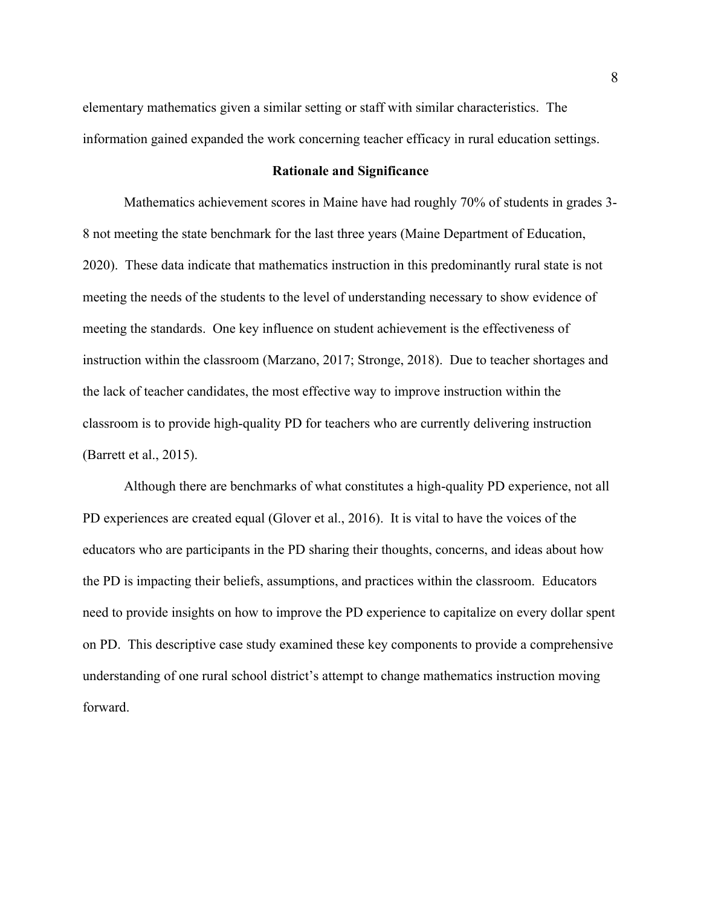elementary mathematics given a similar setting or staff with similar characteristics. The information gained expanded the work concerning teacher efficacy in rural education settings.

#### **Rationale and Significance**

Mathematics achievement scores in Maine have had roughly 70% of students in grades 3- 8 not meeting the state benchmark for the last three years (Maine Department of Education, 2020). These data indicate that mathematics instruction in this predominantly rural state is not meeting the needs of the students to the level of understanding necessary to show evidence of meeting the standards. One key influence on student achievement is the effectiveness of instruction within the classroom (Marzano, 2017; Stronge, 2018). Due to teacher shortages and the lack of teacher candidates, the most effective way to improve instruction within the classroom is to provide high-quality PD for teachers who are currently delivering instruction (Barrett et al., 2015).

Although there are benchmarks of what constitutes a high-quality PD experience, not all PD experiences are created equal (Glover et al., 2016). It is vital to have the voices of the educators who are participants in the PD sharing their thoughts, concerns, and ideas about how the PD is impacting their beliefs, assumptions, and practices within the classroom. Educators need to provide insights on how to improve the PD experience to capitalize on every dollar spent on PD. This descriptive case study examined these key components to provide a comprehensive understanding of one rural school district's attempt to change mathematics instruction moving forward.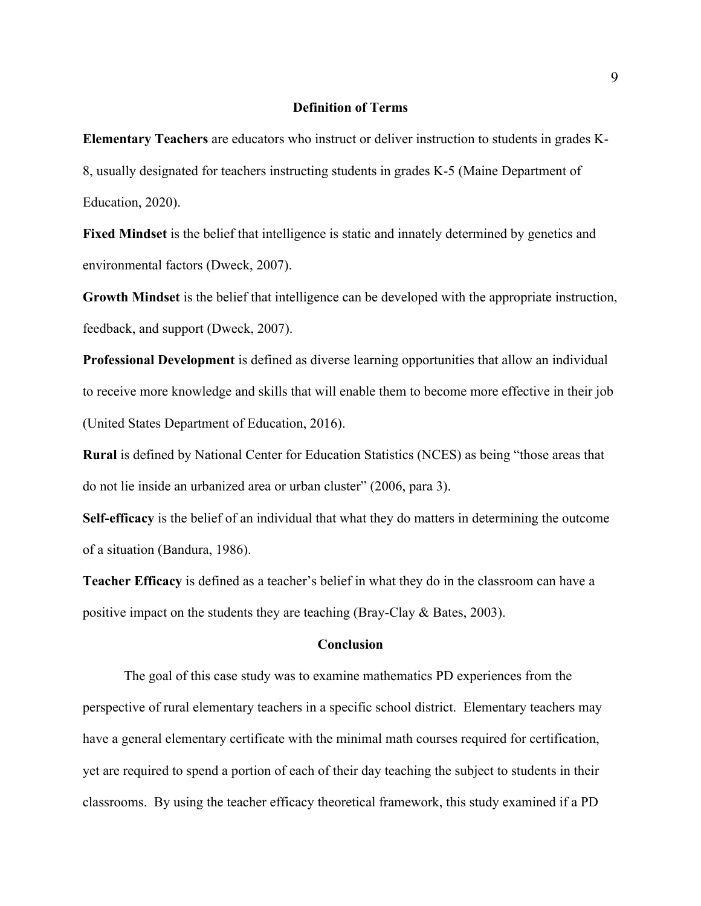#### **Definition of Terms**

**Elementary Teachers** are educators who instruct or deliver instruction to students in grades K-8, usually designated for teachers instructing students in grades K-5 (Maine Department of Education, 2020).

**Fixed Mindset** is the belief that intelligence is static and innately determined by genetics and environmental factors (Dweck, 2007).

**Growth Mindset** is the belief that intelligence can be developed with the appropriate instruction, feedback, and support (Dweck, 2007).

**Professional Development** is defined as diverse learning opportunities that allow an individual to receive more knowledge and skills that will enable them to become more effective in their job (United States Department of Education, 2016).

**Rural** is defined by National Center for Education Statistics (NCES) as being "those areas that do not lie inside an urbanized area or urban cluster" (2006, para 3).

**Self-efficacy** is the belief of an individual that what they do matters in determining the outcome of a situation (Bandura, 1986).

**Teacher Efficacy** is defined as a teacher's belief in what they do in the classroom can have a positive impact on the students they are teaching (Bray-Clay & Bates, 2003).

#### **Conclusion**

The goal of this case study was to examine mathematics PD experiences from the perspective of rural elementary teachers in a specific school district. Elementary teachers may have a general elementary certificate with the minimal math courses required for certification, yet are required to spend a portion of each of their day teaching the subject to students in their classrooms. By using the teacher efficacy theoretical framework, this study examined if a PD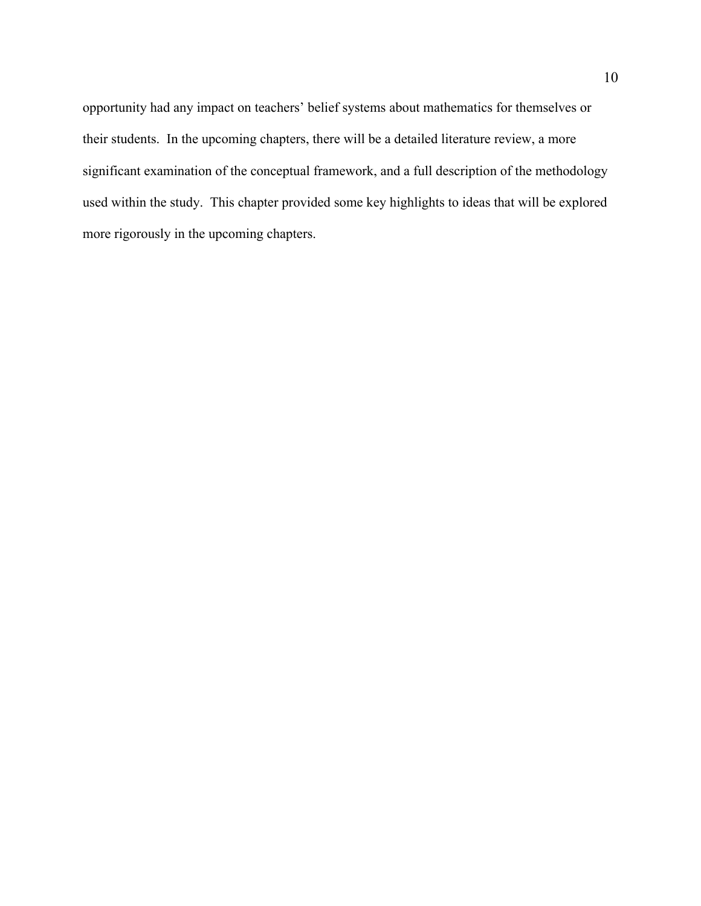opportunity had any impact on teachers' belief systems about mathematics for themselves or their students. In the upcoming chapters, there will be a detailed literature review, a more significant examination of the conceptual framework, and a full description of the methodology used within the study. This chapter provided some key highlights to ideas that will be explored more rigorously in the upcoming chapters.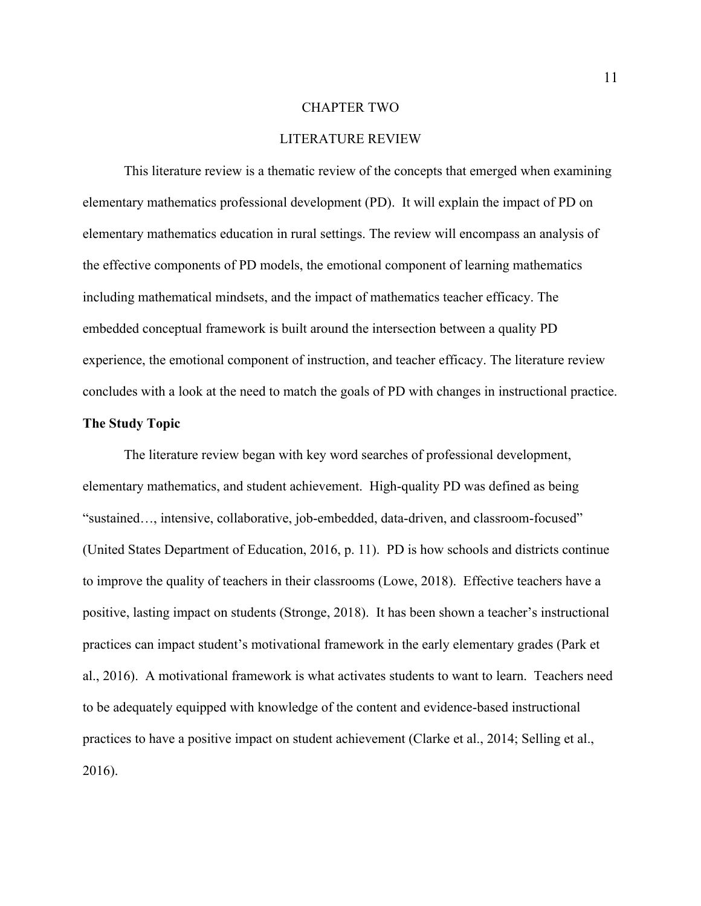#### CHAPTER TWO

#### LITERATURE REVIEW

This literature review is a thematic review of the concepts that emerged when examining elementary mathematics professional development (PD). It will explain the impact of PD on elementary mathematics education in rural settings. The review will encompass an analysis of the effective components of PD models, the emotional component of learning mathematics including mathematical mindsets, and the impact of mathematics teacher efficacy. The embedded conceptual framework is built around the intersection between a quality PD experience, the emotional component of instruction, and teacher efficacy. The literature review concludes with a look at the need to match the goals of PD with changes in instructional practice.

#### **The Study Topic**

The literature review began with key word searches of professional development, elementary mathematics, and student achievement. High-quality PD was defined as being "sustained…, intensive, collaborative, job-embedded, data-driven, and classroom-focused" (United States Department of Education, 2016, p. 11). PD is how schools and districts continue to improve the quality of teachers in their classrooms (Lowe, 2018). Effective teachers have a positive, lasting impact on students (Stronge, 2018). It has been shown a teacher's instructional practices can impact student's motivational framework in the early elementary grades (Park et al., 2016). A motivational framework is what activates students to want to learn. Teachers need to be adequately equipped with knowledge of the content and evidence-based instructional practices to have a positive impact on student achievement (Clarke et al., 2014; Selling et al., 2016).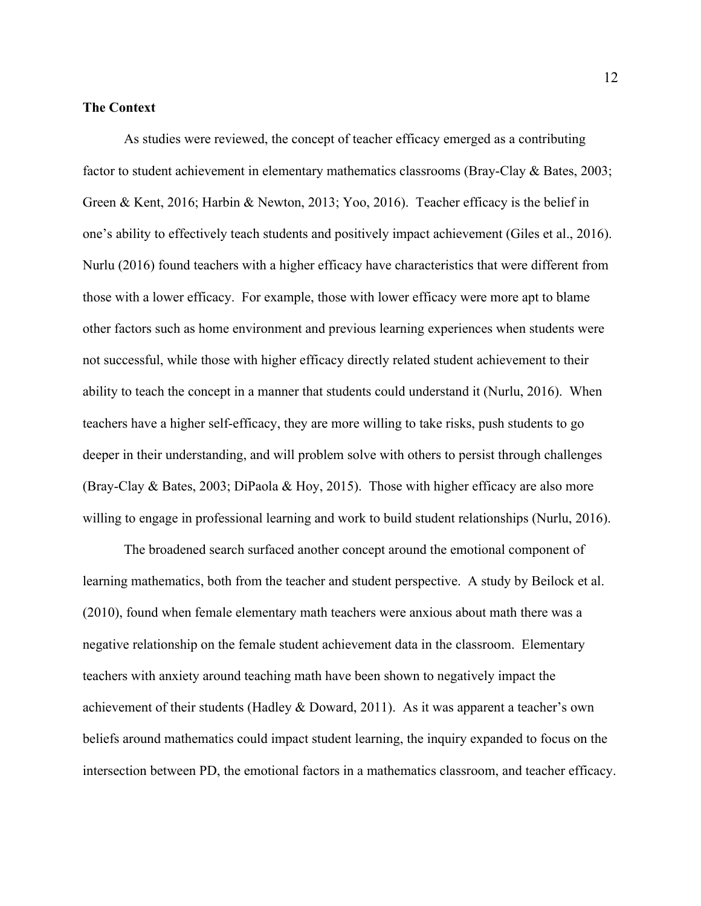#### **The Context**

As studies were reviewed, the concept of teacher efficacy emerged as a contributing factor to student achievement in elementary mathematics classrooms (Bray-Clay & Bates, 2003; Green & Kent, 2016; Harbin & Newton, 2013; Yoo, 2016). Teacher efficacy is the belief in one's ability to effectively teach students and positively impact achievement (Giles et al., 2016). Nurlu (2016) found teachers with a higher efficacy have characteristics that were different from those with a lower efficacy. For example, those with lower efficacy were more apt to blame other factors such as home environment and previous learning experiences when students were not successful, while those with higher efficacy directly related student achievement to their ability to teach the concept in a manner that students could understand it (Nurlu, 2016). When teachers have a higher self-efficacy, they are more willing to take risks, push students to go deeper in their understanding, and will problem solve with others to persist through challenges (Bray-Clay & Bates, 2003; DiPaola & Hoy, 2015). Those with higher efficacy are also more willing to engage in professional learning and work to build student relationships (Nurlu, 2016).

The broadened search surfaced another concept around the emotional component of learning mathematics, both from the teacher and student perspective. A study by Beilock et al. (2010), found when female elementary math teachers were anxious about math there was a negative relationship on the female student achievement data in the classroom. Elementary teachers with anxiety around teaching math have been shown to negatively impact the achievement of their students (Hadley & Doward, 2011). As it was apparent a teacher's own beliefs around mathematics could impact student learning, the inquiry expanded to focus on the intersection between PD, the emotional factors in a mathematics classroom, and teacher efficacy.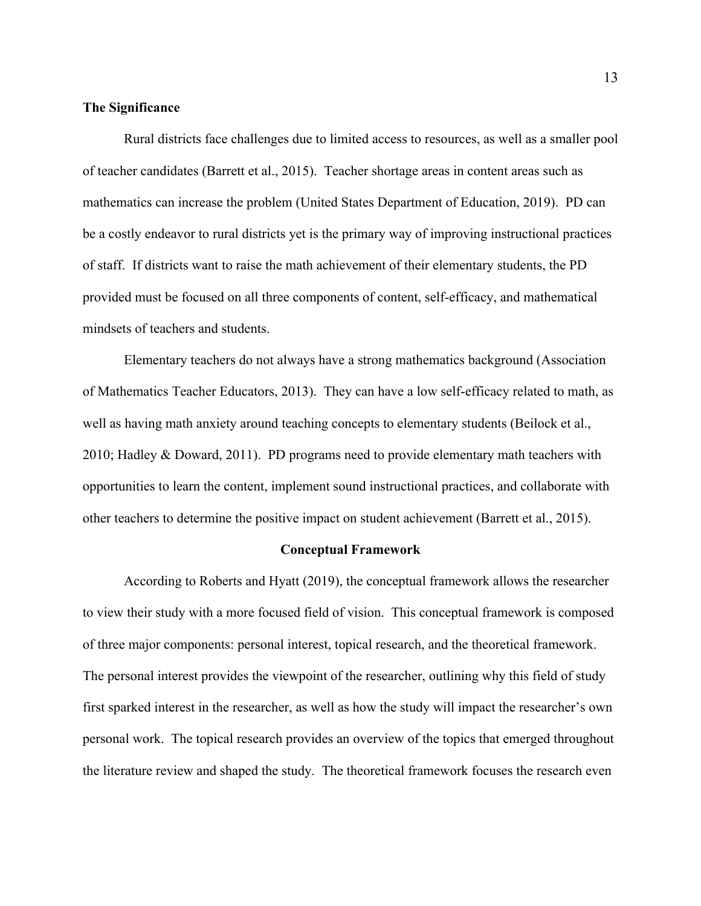#### **The Significance**

Rural districts face challenges due to limited access to resources, as well as a smaller pool of teacher candidates (Barrett et al., 2015). Teacher shortage areas in content areas such as mathematics can increase the problem (United States Department of Education, 2019). PD can be a costly endeavor to rural districts yet is the primary way of improving instructional practices of staff. If districts want to raise the math achievement of their elementary students, the PD provided must be focused on all three components of content, self-efficacy, and mathematical mindsets of teachers and students.

Elementary teachers do not always have a strong mathematics background (Association of Mathematics Teacher Educators, 2013). They can have a low self-efficacy related to math, as well as having math anxiety around teaching concepts to elementary students (Beilock et al., 2010; Hadley & Doward, 2011). PD programs need to provide elementary math teachers with opportunities to learn the content, implement sound instructional practices, and collaborate with other teachers to determine the positive impact on student achievement (Barrett et al., 2015).

#### **Conceptual Framework**

According to Roberts and Hyatt (2019), the conceptual framework allows the researcher to view their study with a more focused field of vision. This conceptual framework is composed of three major components: personal interest, topical research, and the theoretical framework. The personal interest provides the viewpoint of the researcher, outlining why this field of study first sparked interest in the researcher, as well as how the study will impact the researcher's own personal work. The topical research provides an overview of the topics that emerged throughout the literature review and shaped the study. The theoretical framework focuses the research even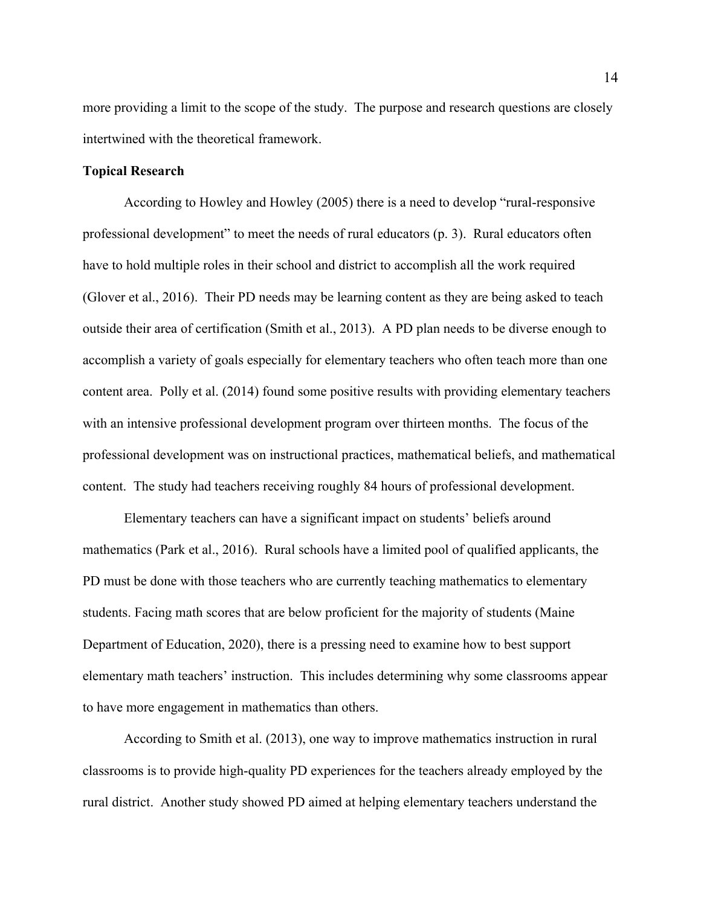more providing a limit to the scope of the study. The purpose and research questions are closely intertwined with the theoretical framework.

#### **Topical Research**

According to Howley and Howley (2005) there is a need to develop "rural-responsive professional development" to meet the needs of rural educators (p. 3). Rural educators often have to hold multiple roles in their school and district to accomplish all the work required (Glover et al., 2016). Their PD needs may be learning content as they are being asked to teach outside their area of certification (Smith et al., 2013). A PD plan needs to be diverse enough to accomplish a variety of goals especially for elementary teachers who often teach more than one content area. Polly et al. (2014) found some positive results with providing elementary teachers with an intensive professional development program over thirteen months. The focus of the professional development was on instructional practices, mathematical beliefs, and mathematical content. The study had teachers receiving roughly 84 hours of professional development.

Elementary teachers can have a significant impact on students' beliefs around mathematics (Park et al., 2016). Rural schools have a limited pool of qualified applicants, the PD must be done with those teachers who are currently teaching mathematics to elementary students. Facing math scores that are below proficient for the majority of students (Maine Department of Education, 2020), there is a pressing need to examine how to best support elementary math teachers' instruction. This includes determining why some classrooms appear to have more engagement in mathematics than others.

According to Smith et al. (2013), one way to improve mathematics instruction in rural classrooms is to provide high-quality PD experiences for the teachers already employed by the rural district. Another study showed PD aimed at helping elementary teachers understand the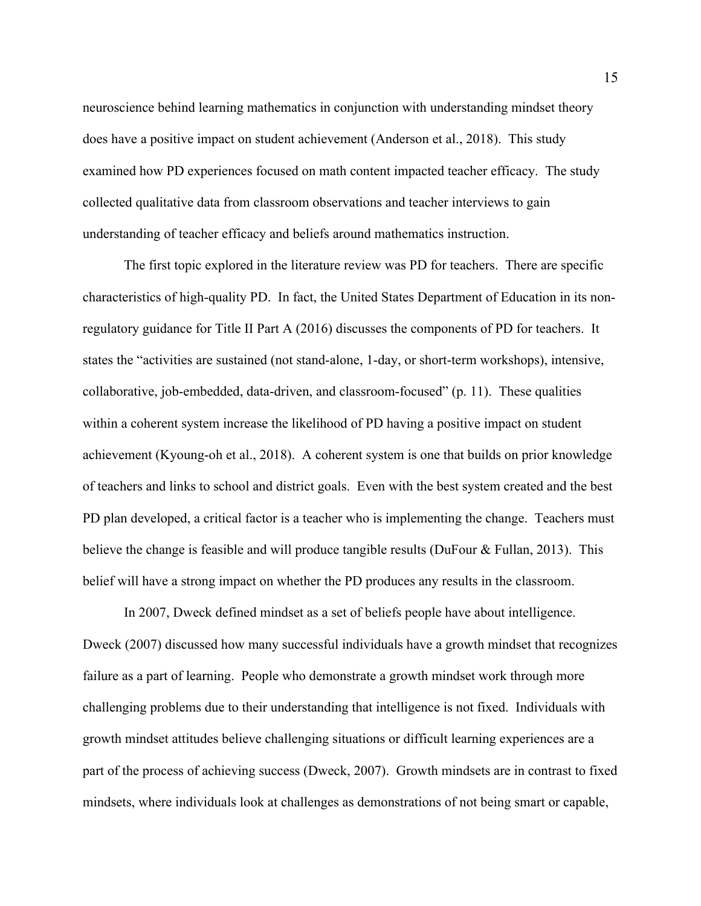neuroscience behind learning mathematics in conjunction with understanding mindset theory does have a positive impact on student achievement (Anderson et al., 2018). This study examined how PD experiences focused on math content impacted teacher efficacy. The study collected qualitative data from classroom observations and teacher interviews to gain understanding of teacher efficacy and beliefs around mathematics instruction.

The first topic explored in the literature review was PD for teachers. There are specific characteristics of high-quality PD. In fact, the United States Department of Education in its nonregulatory guidance for Title II Part A (2016) discusses the components of PD for teachers. It states the "activities are sustained (not stand-alone, 1-day, or short-term workshops), intensive, collaborative, job-embedded, data-driven, and classroom-focused" (p. 11). These qualities within a coherent system increase the likelihood of PD having a positive impact on student achievement (Kyoung-oh et al., 2018). A coherent system is one that builds on prior knowledge of teachers and links to school and district goals. Even with the best system created and the best PD plan developed, a critical factor is a teacher who is implementing the change. Teachers must believe the change is feasible and will produce tangible results (DuFour & Fullan, 2013). This belief will have a strong impact on whether the PD produces any results in the classroom.

In 2007, Dweck defined mindset as a set of beliefs people have about intelligence. Dweck (2007) discussed how many successful individuals have a growth mindset that recognizes failure as a part of learning. People who demonstrate a growth mindset work through more challenging problems due to their understanding that intelligence is not fixed. Individuals with growth mindset attitudes believe challenging situations or difficult learning experiences are a part of the process of achieving success (Dweck, 2007). Growth mindsets are in contrast to fixed mindsets, where individuals look at challenges as demonstrations of not being smart or capable,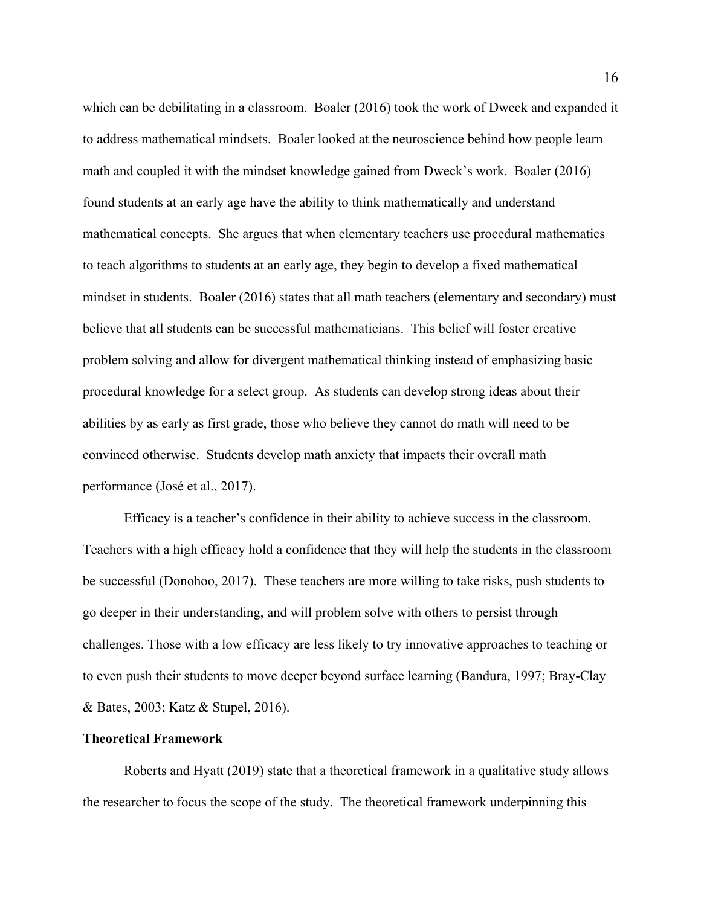which can be debilitating in a classroom. Boaler (2016) took the work of Dweck and expanded it to address mathematical mindsets. Boaler looked at the neuroscience behind how people learn math and coupled it with the mindset knowledge gained from Dweck's work. Boaler (2016) found students at an early age have the ability to think mathematically and understand mathematical concepts. She argues that when elementary teachers use procedural mathematics to teach algorithms to students at an early age, they begin to develop a fixed mathematical mindset in students. Boaler (2016) states that all math teachers (elementary and secondary) must believe that all students can be successful mathematicians. This belief will foster creative problem solving and allow for divergent mathematical thinking instead of emphasizing basic procedural knowledge for a select group. As students can develop strong ideas about their abilities by as early as first grade, those who believe they cannot do math will need to be convinced otherwise. Students develop math anxiety that impacts their overall math performance (José et al., 2017).

Efficacy is a teacher's confidence in their ability to achieve success in the classroom. Teachers with a high efficacy hold a confidence that they will help the students in the classroom be successful (Donohoo, 2017). These teachers are more willing to take risks, push students to go deeper in their understanding, and will problem solve with others to persist through challenges. Those with a low efficacy are less likely to try innovative approaches to teaching or to even push their students to move deeper beyond surface learning (Bandura, 1997; Bray-Clay & Bates, 2003; Katz & Stupel, 2016).

#### **Theoretical Framework**

Roberts and Hyatt (2019) state that a theoretical framework in a qualitative study allows the researcher to focus the scope of the study. The theoretical framework underpinning this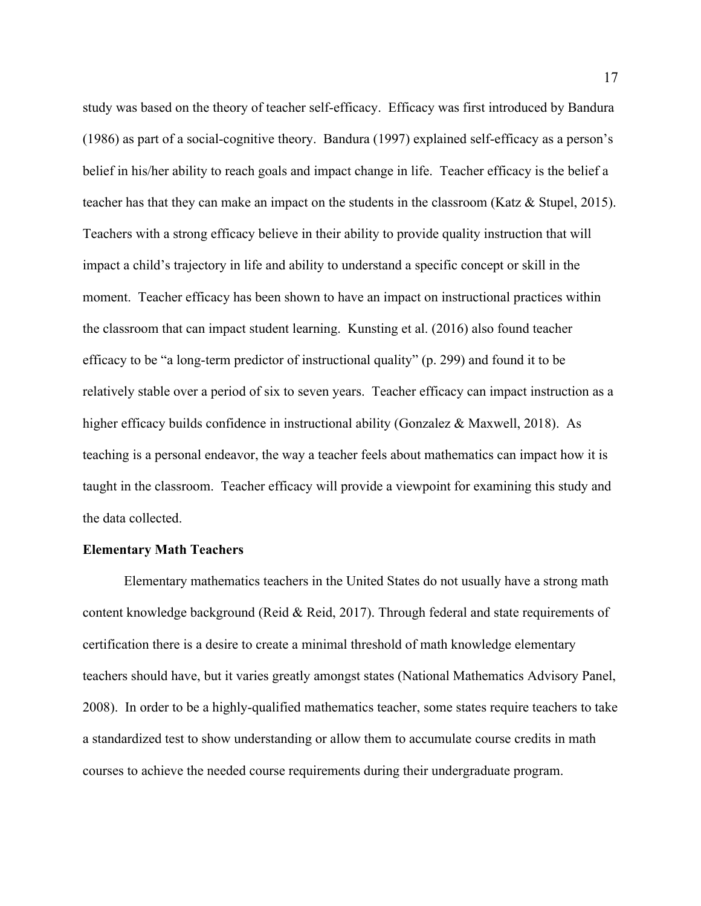study was based on the theory of teacher self-efficacy. Efficacy was first introduced by Bandura (1986) as part of a social-cognitive theory. Bandura (1997) explained self-efficacy as a person's belief in his/her ability to reach goals and impact change in life. Teacher efficacy is the belief a teacher has that they can make an impact on the students in the classroom (Katz & Stupel, 2015). Teachers with a strong efficacy believe in their ability to provide quality instruction that will impact a child's trajectory in life and ability to understand a specific concept or skill in the moment. Teacher efficacy has been shown to have an impact on instructional practices within the classroom that can impact student learning. Kunsting et al. (2016) also found teacher efficacy to be "a long-term predictor of instructional quality" (p. 299) and found it to be relatively stable over a period of six to seven years. Teacher efficacy can impact instruction as a higher efficacy builds confidence in instructional ability (Gonzalez & Maxwell, 2018). As teaching is a personal endeavor, the way a teacher feels about mathematics can impact how it is taught in the classroom. Teacher efficacy will provide a viewpoint for examining this study and the data collected.

#### **Elementary Math Teachers**

Elementary mathematics teachers in the United States do not usually have a strong math content knowledge background (Reid & Reid, 2017). Through federal and state requirements of certification there is a desire to create a minimal threshold of math knowledge elementary teachers should have, but it varies greatly amongst states (National Mathematics Advisory Panel, 2008). In order to be a highly-qualified mathematics teacher, some states require teachers to take a standardized test to show understanding or allow them to accumulate course credits in math courses to achieve the needed course requirements during their undergraduate program.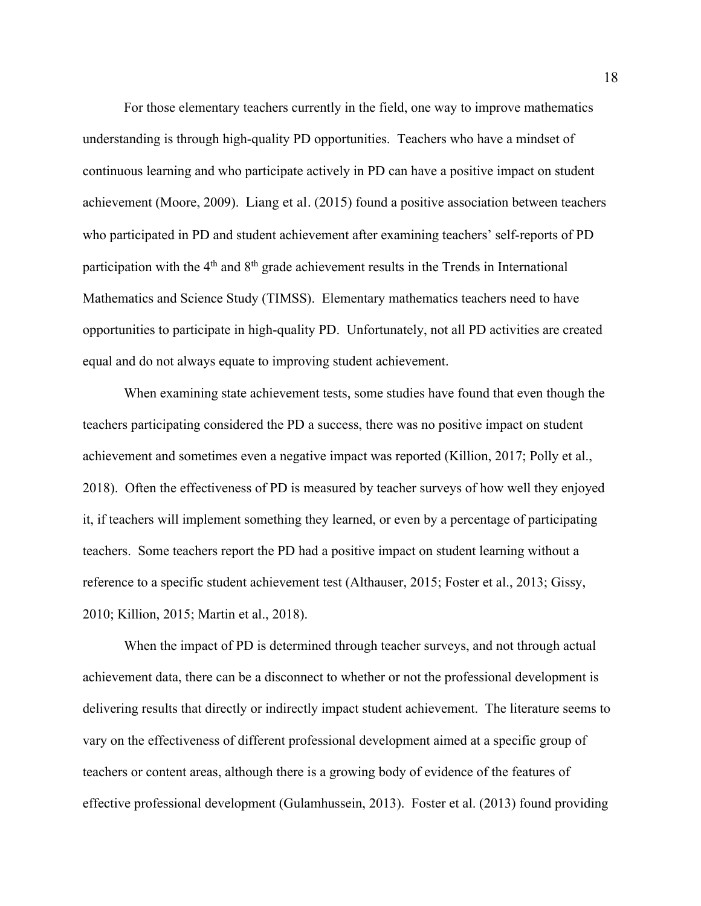For those elementary teachers currently in the field, one way to improve mathematics understanding is through high-quality PD opportunities. Teachers who have a mindset of continuous learning and who participate actively in PD can have a positive impact on student achievement (Moore, 2009). Liang et al. (2015) found a positive association between teachers who participated in PD and student achievement after examining teachers' self-reports of PD participation with the  $4<sup>th</sup>$  and  $8<sup>th</sup>$  grade achievement results in the Trends in International Mathematics and Science Study (TIMSS). Elementary mathematics teachers need to have opportunities to participate in high-quality PD. Unfortunately, not all PD activities are created equal and do not always equate to improving student achievement.

When examining state achievement tests, some studies have found that even though the teachers participating considered the PD a success, there was no positive impact on student achievement and sometimes even a negative impact was reported (Killion, 2017; Polly et al., 2018). Often the effectiveness of PD is measured by teacher surveys of how well they enjoyed it, if teachers will implement something they learned, or even by a percentage of participating teachers. Some teachers report the PD had a positive impact on student learning without a reference to a specific student achievement test (Althauser, 2015; Foster et al., 2013; Gissy, 2010; Killion, 2015; Martin et al., 2018).

When the impact of PD is determined through teacher surveys, and not through actual achievement data, there can be a disconnect to whether or not the professional development is delivering results that directly or indirectly impact student achievement. The literature seems to vary on the effectiveness of different professional development aimed at a specific group of teachers or content areas, although there is a growing body of evidence of the features of effective professional development (Gulamhussein, 2013). Foster et al. (2013) found providing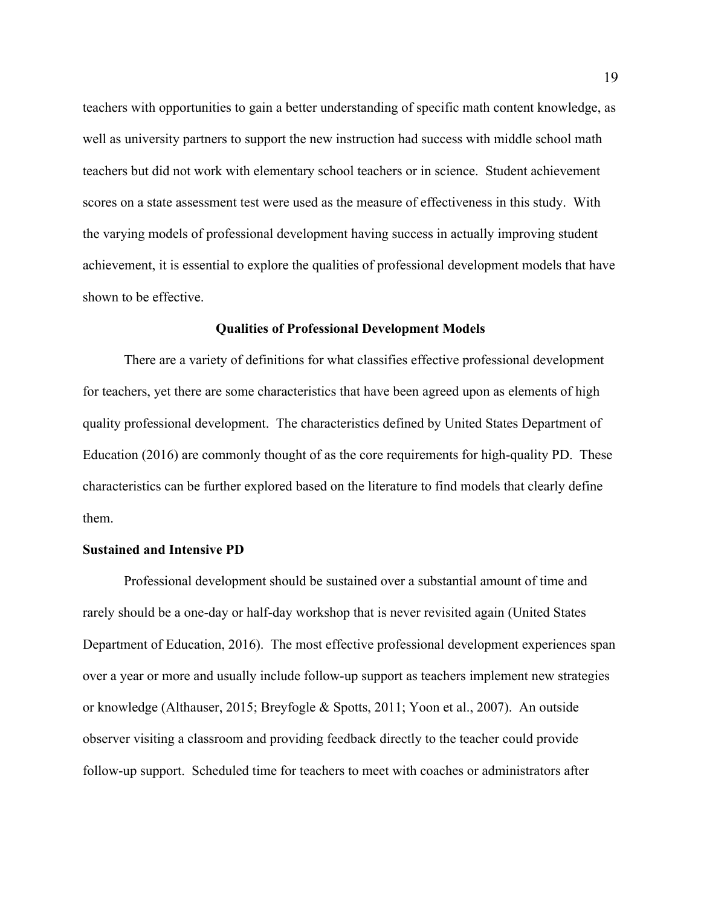teachers with opportunities to gain a better understanding of specific math content knowledge, as well as university partners to support the new instruction had success with middle school math teachers but did not work with elementary school teachers or in science. Student achievement scores on a state assessment test were used as the measure of effectiveness in this study. With the varying models of professional development having success in actually improving student achievement, it is essential to explore the qualities of professional development models that have shown to be effective.

#### **Qualities of Professional Development Models**

There are a variety of definitions for what classifies effective professional development for teachers, yet there are some characteristics that have been agreed upon as elements of high quality professional development. The characteristics defined by United States Department of Education (2016) are commonly thought of as the core requirements for high-quality PD. These characteristics can be further explored based on the literature to find models that clearly define them.

#### **Sustained and Intensive PD**

Professional development should be sustained over a substantial amount of time and rarely should be a one-day or half-day workshop that is never revisited again (United States Department of Education, 2016). The most effective professional development experiences span over a year or more and usually include follow-up support as teachers implement new strategies or knowledge (Althauser, 2015; Breyfogle & Spotts, 2011; Yoon et al., 2007). An outside observer visiting a classroom and providing feedback directly to the teacher could provide follow-up support. Scheduled time for teachers to meet with coaches or administrators after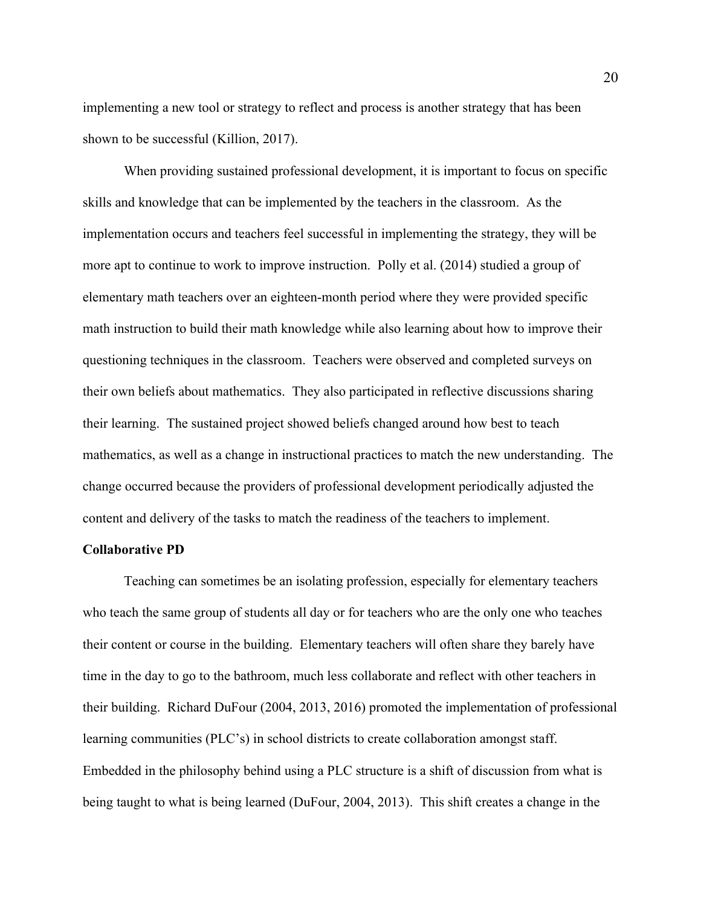implementing a new tool or strategy to reflect and process is another strategy that has been shown to be successful (Killion, 2017).

When providing sustained professional development, it is important to focus on specific skills and knowledge that can be implemented by the teachers in the classroom. As the implementation occurs and teachers feel successful in implementing the strategy, they will be more apt to continue to work to improve instruction. Polly et al. (2014) studied a group of elementary math teachers over an eighteen-month period where they were provided specific math instruction to build their math knowledge while also learning about how to improve their questioning techniques in the classroom. Teachers were observed and completed surveys on their own beliefs about mathematics. They also participated in reflective discussions sharing their learning. The sustained project showed beliefs changed around how best to teach mathematics, as well as a change in instructional practices to match the new understanding. The change occurred because the providers of professional development periodically adjusted the content and delivery of the tasks to match the readiness of the teachers to implement.

#### **Collaborative PD**

Teaching can sometimes be an isolating profession, especially for elementary teachers who teach the same group of students all day or for teachers who are the only one who teaches their content or course in the building. Elementary teachers will often share they barely have time in the day to go to the bathroom, much less collaborate and reflect with other teachers in their building. Richard DuFour (2004, 2013, 2016) promoted the implementation of professional learning communities (PLC's) in school districts to create collaboration amongst staff. Embedded in the philosophy behind using a PLC structure is a shift of discussion from what is being taught to what is being learned (DuFour, 2004, 2013). This shift creates a change in the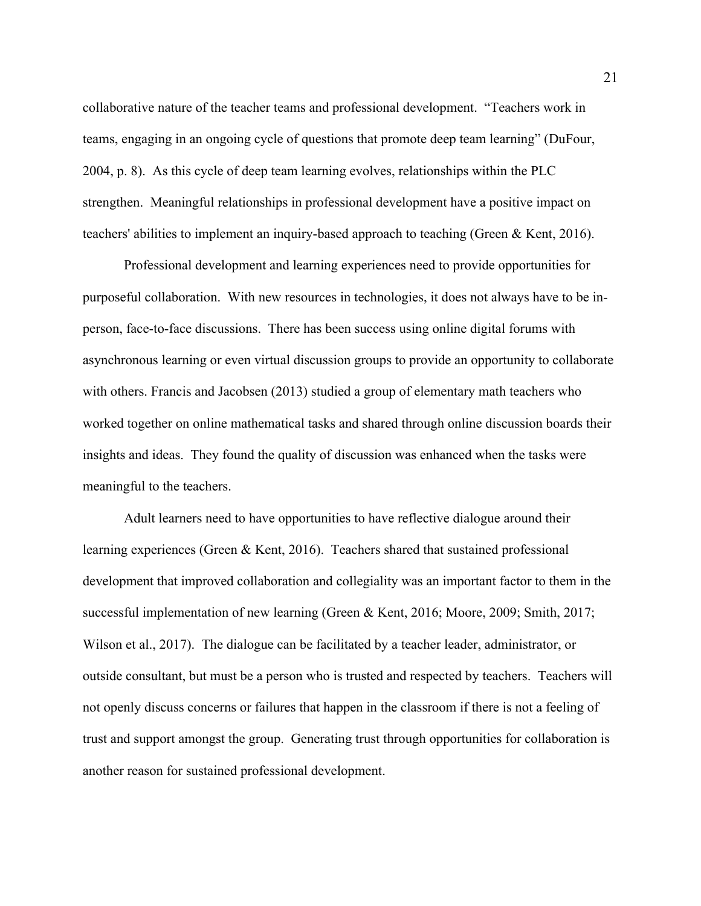collaborative nature of the teacher teams and professional development. "Teachers work in teams, engaging in an ongoing cycle of questions that promote deep team learning" (DuFour, 2004, p. 8). As this cycle of deep team learning evolves, relationships within the PLC strengthen. Meaningful relationships in professional development have a positive impact on teachers' abilities to implement an inquiry-based approach to teaching (Green & Kent, 2016).

Professional development and learning experiences need to provide opportunities for purposeful collaboration. With new resources in technologies, it does not always have to be inperson, face-to-face discussions. There has been success using online digital forums with asynchronous learning or even virtual discussion groups to provide an opportunity to collaborate with others. Francis and Jacobsen (2013) studied a group of elementary math teachers who worked together on online mathematical tasks and shared through online discussion boards their insights and ideas. They found the quality of discussion was enhanced when the tasks were meaningful to the teachers.

Adult learners need to have opportunities to have reflective dialogue around their learning experiences (Green & Kent, 2016). Teachers shared that sustained professional development that improved collaboration and collegiality was an important factor to them in the successful implementation of new learning (Green & Kent, 2016; Moore, 2009; Smith, 2017; Wilson et al., 2017). The dialogue can be facilitated by a teacher leader, administrator, or outside consultant, but must be a person who is trusted and respected by teachers. Teachers will not openly discuss concerns or failures that happen in the classroom if there is not a feeling of trust and support amongst the group. Generating trust through opportunities for collaboration is another reason for sustained professional development.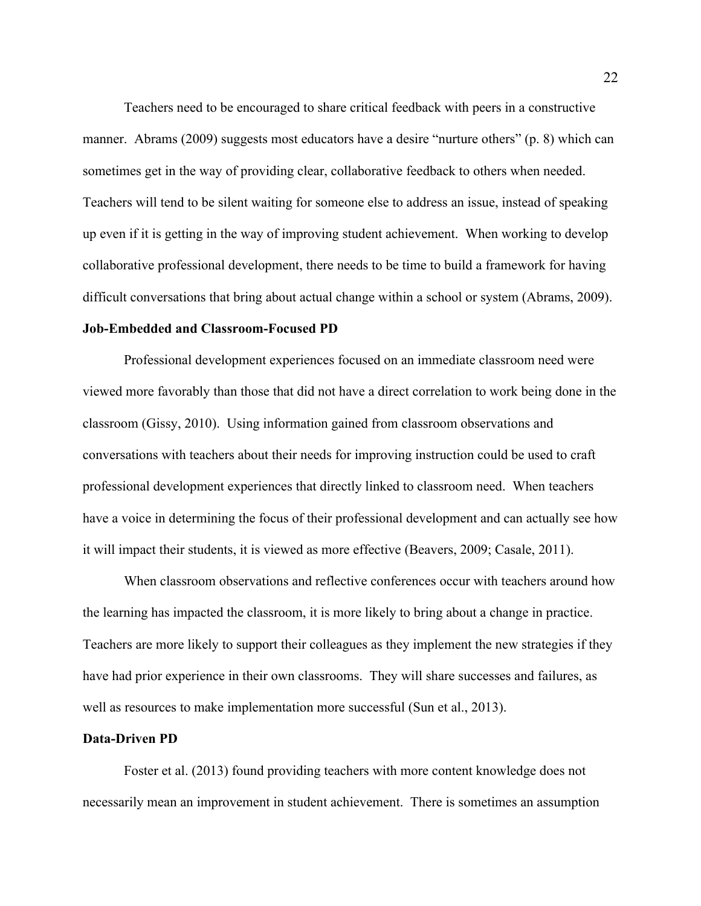Teachers need to be encouraged to share critical feedback with peers in a constructive manner. Abrams (2009) suggests most educators have a desire "nurture others" (p. 8) which can sometimes get in the way of providing clear, collaborative feedback to others when needed. Teachers will tend to be silent waiting for someone else to address an issue, instead of speaking up even if it is getting in the way of improving student achievement. When working to develop collaborative professional development, there needs to be time to build a framework for having difficult conversations that bring about actual change within a school or system (Abrams, 2009).

#### **Job-Embedded and Classroom-Focused PD**

Professional development experiences focused on an immediate classroom need were viewed more favorably than those that did not have a direct correlation to work being done in the classroom (Gissy, 2010). Using information gained from classroom observations and conversations with teachers about their needs for improving instruction could be used to craft professional development experiences that directly linked to classroom need. When teachers have a voice in determining the focus of their professional development and can actually see how it will impact their students, it is viewed as more effective (Beavers, 2009; Casale, 2011).

When classroom observations and reflective conferences occur with teachers around how the learning has impacted the classroom, it is more likely to bring about a change in practice. Teachers are more likely to support their colleagues as they implement the new strategies if they have had prior experience in their own classrooms. They will share successes and failures, as well as resources to make implementation more successful (Sun et al., 2013).

#### **Data-Driven PD**

Foster et al. (2013) found providing teachers with more content knowledge does not necessarily mean an improvement in student achievement. There is sometimes an assumption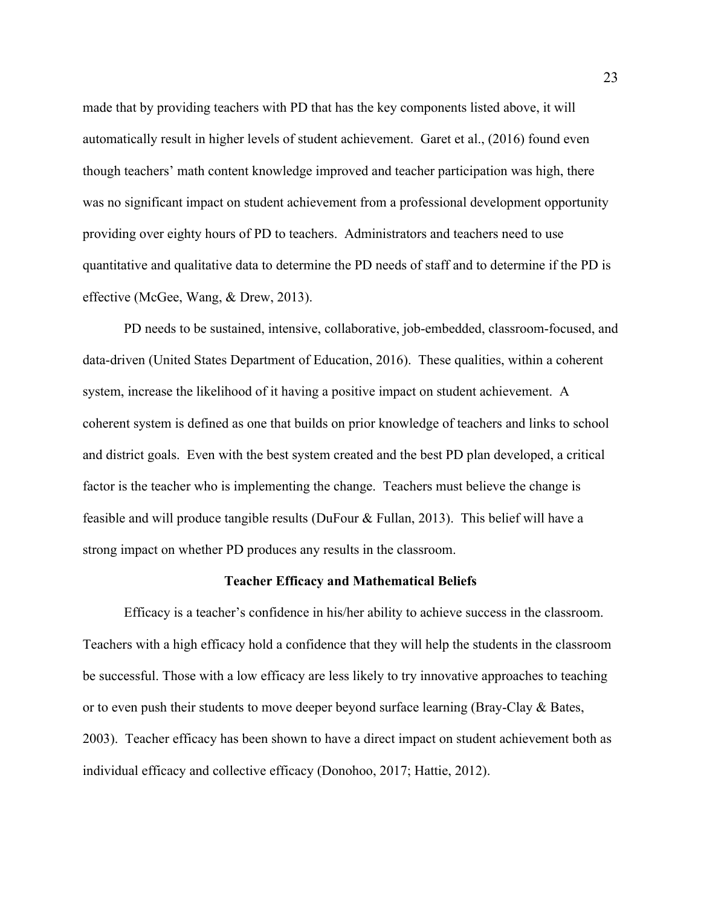made that by providing teachers with PD that has the key components listed above, it will automatically result in higher levels of student achievement. Garet et al., (2016) found even though teachers' math content knowledge improved and teacher participation was high, there was no significant impact on student achievement from a professional development opportunity providing over eighty hours of PD to teachers. Administrators and teachers need to use quantitative and qualitative data to determine the PD needs of staff and to determine if the PD is effective (McGee, Wang, & Drew, 2013).

PD needs to be sustained, intensive, collaborative, job-embedded, classroom-focused, and data-driven (United States Department of Education, 2016). These qualities, within a coherent system, increase the likelihood of it having a positive impact on student achievement. A coherent system is defined as one that builds on prior knowledge of teachers and links to school and district goals. Even with the best system created and the best PD plan developed, a critical factor is the teacher who is implementing the change. Teachers must believe the change is feasible and will produce tangible results (DuFour & Fullan, 2013). This belief will have a strong impact on whether PD produces any results in the classroom.

#### **Teacher Efficacy and Mathematical Beliefs**

Efficacy is a teacher's confidence in his/her ability to achieve success in the classroom. Teachers with a high efficacy hold a confidence that they will help the students in the classroom be successful. Those with a low efficacy are less likely to try innovative approaches to teaching or to even push their students to move deeper beyond surface learning (Bray-Clay & Bates, 2003). Teacher efficacy has been shown to have a direct impact on student achievement both as individual efficacy and collective efficacy (Donohoo, 2017; Hattie, 2012).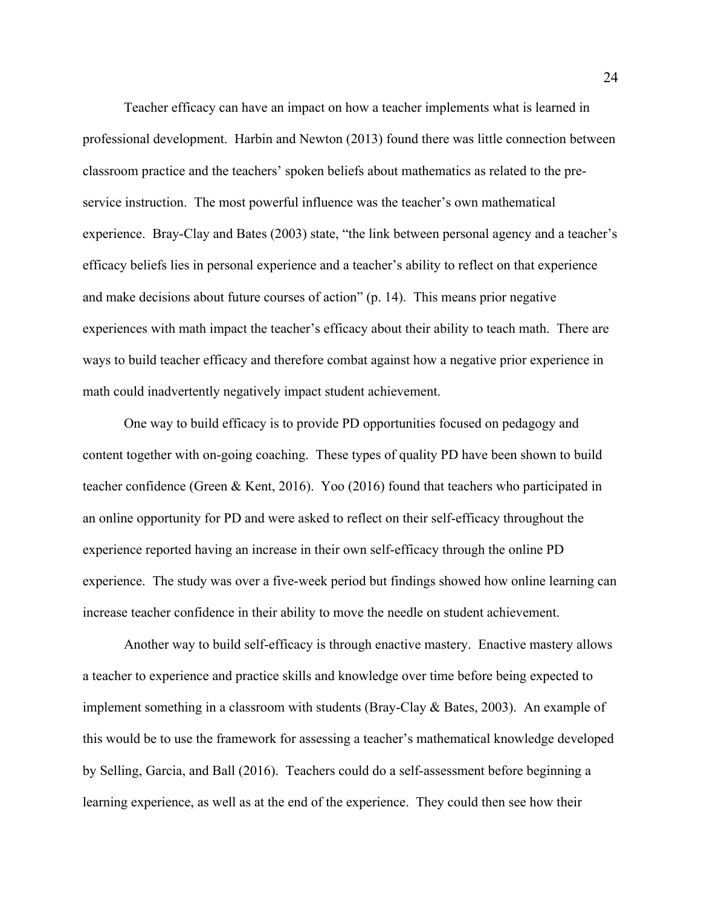Teacher efficacy can have an impact on how a teacher implements what is learned in professional development. Harbin and Newton (2013) found there was little connection between classroom practice and the teachers' spoken beliefs about mathematics as related to the preservice instruction. The most powerful influence was the teacher's own mathematical experience. Bray-Clay and Bates (2003) state, "the link between personal agency and a teacher's efficacy beliefs lies in personal experience and a teacher's ability to reflect on that experience and make decisions about future courses of action" (p. 14). This means prior negative experiences with math impact the teacher's efficacy about their ability to teach math. There are ways to build teacher efficacy and therefore combat against how a negative prior experience in math could inadvertently negatively impact student achievement.

One way to build efficacy is to provide PD opportunities focused on pedagogy and content together with on-going coaching. These types of quality PD have been shown to build teacher confidence (Green & Kent, 2016). Yoo (2016) found that teachers who participated in an online opportunity for PD and were asked to reflect on their self-efficacy throughout the experience reported having an increase in their own self-efficacy through the online PD experience. The study was over a five-week period but findings showed how online learning can increase teacher confidence in their ability to move the needle on student achievement.

Another way to build self-efficacy is through enactive mastery. Enactive mastery allows a teacher to experience and practice skills and knowledge over time before being expected to implement something in a classroom with students (Bray-Clay & Bates, 2003). An example of this would be to use the framework for assessing a teacher's mathematical knowledge developed by Selling, Garcia, and Ball (2016). Teachers could do a self-assessment before beginning a learning experience, as well as at the end of the experience. They could then see how their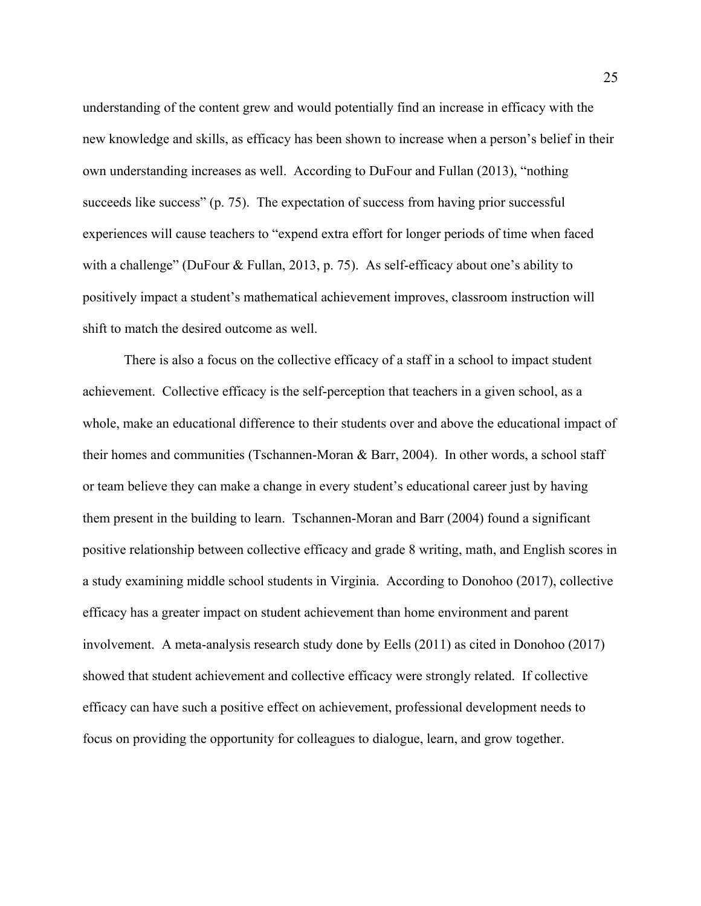understanding of the content grew and would potentially find an increase in efficacy with the new knowledge and skills, as efficacy has been shown to increase when a person's belief in their own understanding increases as well. According to DuFour and Fullan (2013), "nothing succeeds like success" (p. 75). The expectation of success from having prior successful experiences will cause teachers to "expend extra effort for longer periods of time when faced with a challenge" (DuFour & Fullan, 2013, p. 75). As self-efficacy about one's ability to positively impact a student's mathematical achievement improves, classroom instruction will shift to match the desired outcome as well.

There is also a focus on the collective efficacy of a staff in a school to impact student achievement. Collective efficacy is the self-perception that teachers in a given school, as a whole, make an educational difference to their students over and above the educational impact of their homes and communities (Tschannen-Moran & Barr, 2004). In other words, a school staff or team believe they can make a change in every student's educational career just by having them present in the building to learn. Tschannen-Moran and Barr (2004) found a significant positive relationship between collective efficacy and grade 8 writing, math, and English scores in a study examining middle school students in Virginia. According to Donohoo (2017), collective efficacy has a greater impact on student achievement than home environment and parent involvement. A meta-analysis research study done by Eells (2011) as cited in Donohoo (2017) showed that student achievement and collective efficacy were strongly related. If collective efficacy can have such a positive effect on achievement, professional development needs to focus on providing the opportunity for colleagues to dialogue, learn, and grow together.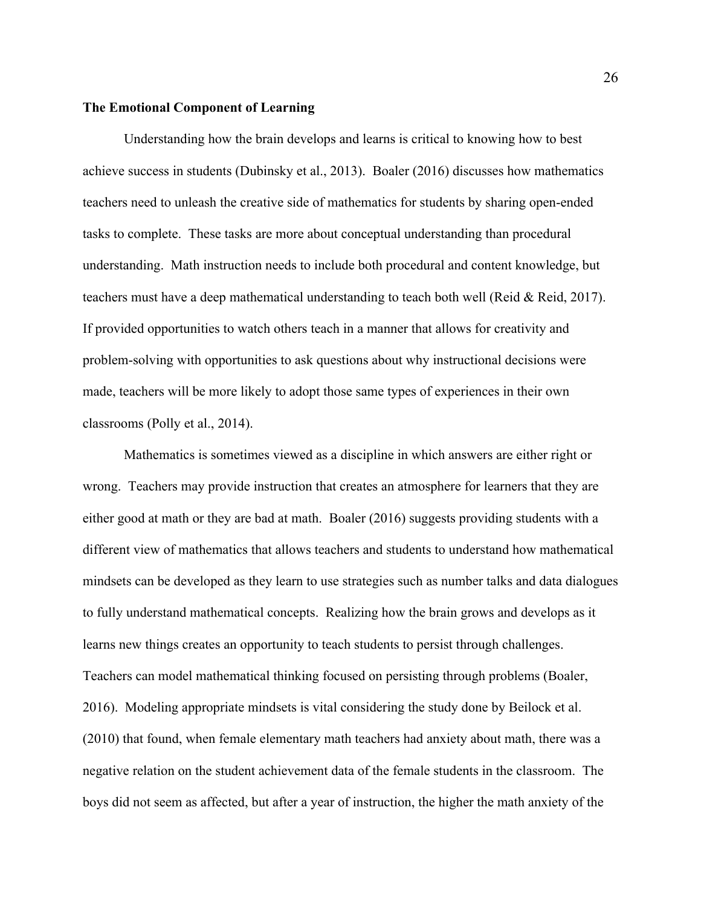#### **The Emotional Component of Learning**

Understanding how the brain develops and learns is critical to knowing how to best achieve success in students (Dubinsky et al., 2013). Boaler (2016) discusses how mathematics teachers need to unleash the creative side of mathematics for students by sharing open-ended tasks to complete. These tasks are more about conceptual understanding than procedural understanding. Math instruction needs to include both procedural and content knowledge, but teachers must have a deep mathematical understanding to teach both well (Reid & Reid, 2017). If provided opportunities to watch others teach in a manner that allows for creativity and problem-solving with opportunities to ask questions about why instructional decisions were made, teachers will be more likely to adopt those same types of experiences in their own classrooms (Polly et al., 2014).

Mathematics is sometimes viewed as a discipline in which answers are either right or wrong. Teachers may provide instruction that creates an atmosphere for learners that they are either good at math or they are bad at math. Boaler (2016) suggests providing students with a different view of mathematics that allows teachers and students to understand how mathematical mindsets can be developed as they learn to use strategies such as number talks and data dialogues to fully understand mathematical concepts. Realizing how the brain grows and develops as it learns new things creates an opportunity to teach students to persist through challenges. Teachers can model mathematical thinking focused on persisting through problems (Boaler, 2016). Modeling appropriate mindsets is vital considering the study done by Beilock et al. (2010) that found, when female elementary math teachers had anxiety about math, there was a negative relation on the student achievement data of the female students in the classroom. The boys did not seem as affected, but after a year of instruction, the higher the math anxiety of the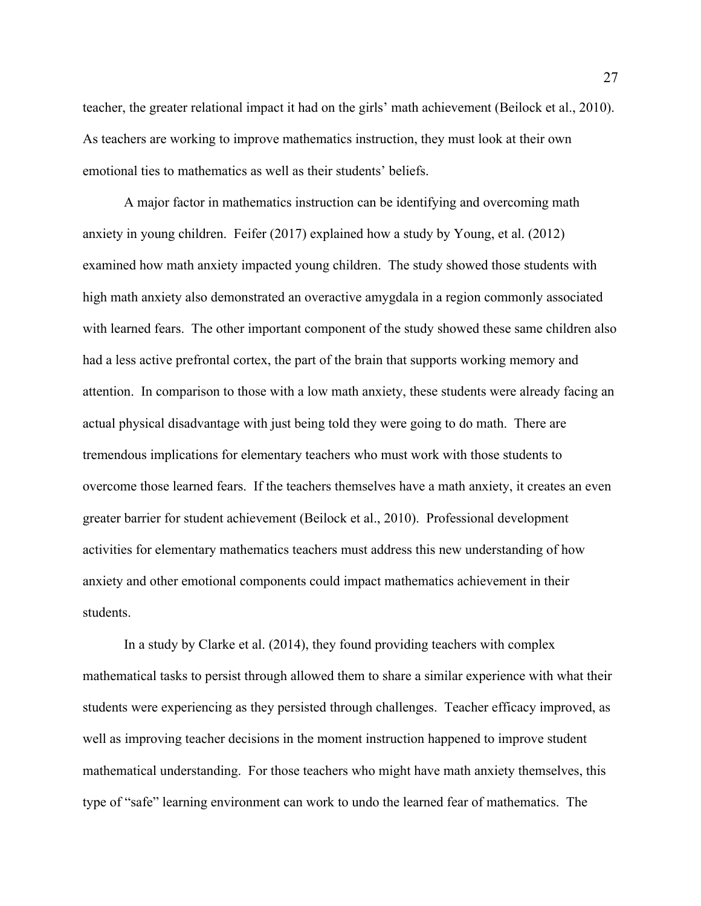teacher, the greater relational impact it had on the girls' math achievement (Beilock et al., 2010). As teachers are working to improve mathematics instruction, they must look at their own emotional ties to mathematics as well as their students' beliefs.

A major factor in mathematics instruction can be identifying and overcoming math anxiety in young children. Feifer (2017) explained how a study by Young, et al. (2012) examined how math anxiety impacted young children. The study showed those students with high math anxiety also demonstrated an overactive amygdala in a region commonly associated with learned fears. The other important component of the study showed these same children also had a less active prefrontal cortex, the part of the brain that supports working memory and attention. In comparison to those with a low math anxiety, these students were already facing an actual physical disadvantage with just being told they were going to do math. There are tremendous implications for elementary teachers who must work with those students to overcome those learned fears. If the teachers themselves have a math anxiety, it creates an even greater barrier for student achievement (Beilock et al., 2010). Professional development activities for elementary mathematics teachers must address this new understanding of how anxiety and other emotional components could impact mathematics achievement in their students.

In a study by Clarke et al. (2014), they found providing teachers with complex mathematical tasks to persist through allowed them to share a similar experience with what their students were experiencing as they persisted through challenges. Teacher efficacy improved, as well as improving teacher decisions in the moment instruction happened to improve student mathematical understanding. For those teachers who might have math anxiety themselves, this type of "safe" learning environment can work to undo the learned fear of mathematics. The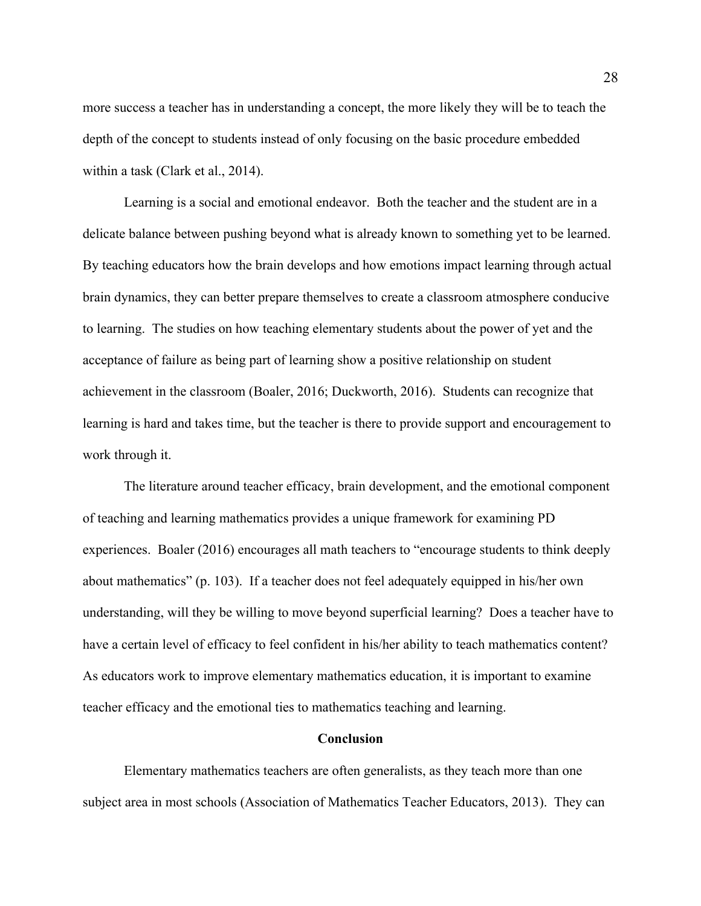more success a teacher has in understanding a concept, the more likely they will be to teach the depth of the concept to students instead of only focusing on the basic procedure embedded within a task (Clark et al., 2014).

Learning is a social and emotional endeavor. Both the teacher and the student are in a delicate balance between pushing beyond what is already known to something yet to be learned. By teaching educators how the brain develops and how emotions impact learning through actual brain dynamics, they can better prepare themselves to create a classroom atmosphere conducive to learning. The studies on how teaching elementary students about the power of yet and the acceptance of failure as being part of learning show a positive relationship on student achievement in the classroom (Boaler, 2016; Duckworth, 2016). Students can recognize that learning is hard and takes time, but the teacher is there to provide support and encouragement to work through it.

The literature around teacher efficacy, brain development, and the emotional component of teaching and learning mathematics provides a unique framework for examining PD experiences. Boaler (2016) encourages all math teachers to "encourage students to think deeply about mathematics" (p. 103). If a teacher does not feel adequately equipped in his/her own understanding, will they be willing to move beyond superficial learning? Does a teacher have to have a certain level of efficacy to feel confident in his/her ability to teach mathematics content? As educators work to improve elementary mathematics education, it is important to examine teacher efficacy and the emotional ties to mathematics teaching and learning.

## **Conclusion**

Elementary mathematics teachers are often generalists, as they teach more than one subject area in most schools (Association of Mathematics Teacher Educators, 2013). They can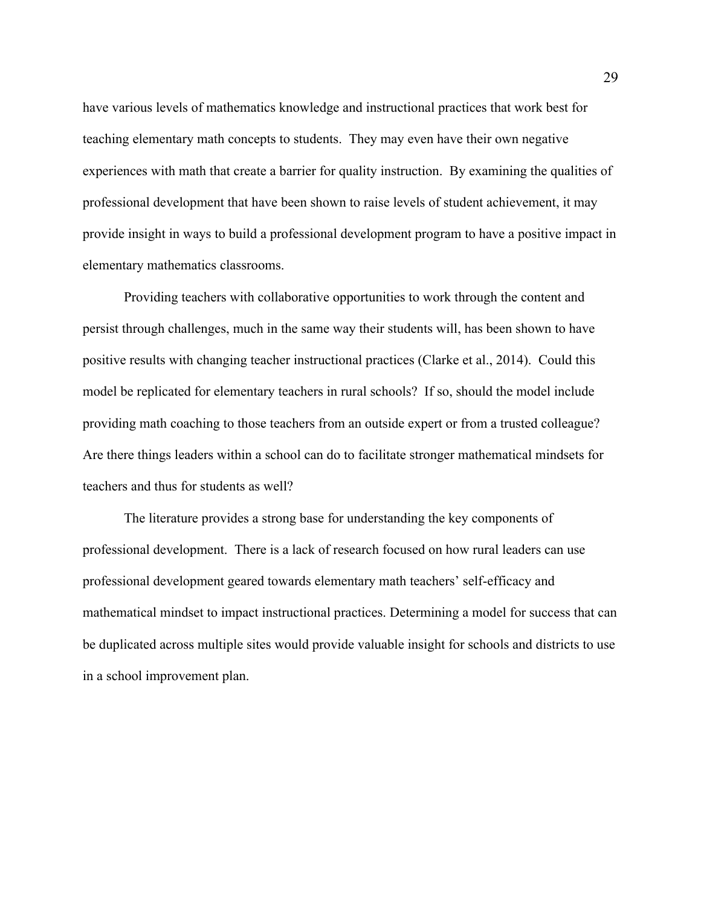have various levels of mathematics knowledge and instructional practices that work best for teaching elementary math concepts to students. They may even have their own negative experiences with math that create a barrier for quality instruction. By examining the qualities of professional development that have been shown to raise levels of student achievement, it may provide insight in ways to build a professional development program to have a positive impact in elementary mathematics classrooms.

Providing teachers with collaborative opportunities to work through the content and persist through challenges, much in the same way their students will, has been shown to have positive results with changing teacher instructional practices (Clarke et al., 2014). Could this model be replicated for elementary teachers in rural schools? If so, should the model include providing math coaching to those teachers from an outside expert or from a trusted colleague? Are there things leaders within a school can do to facilitate stronger mathematical mindsets for teachers and thus for students as well?

The literature provides a strong base for understanding the key components of professional development. There is a lack of research focused on how rural leaders can use professional development geared towards elementary math teachers' self-efficacy and mathematical mindset to impact instructional practices. Determining a model for success that can be duplicated across multiple sites would provide valuable insight for schools and districts to use in a school improvement plan.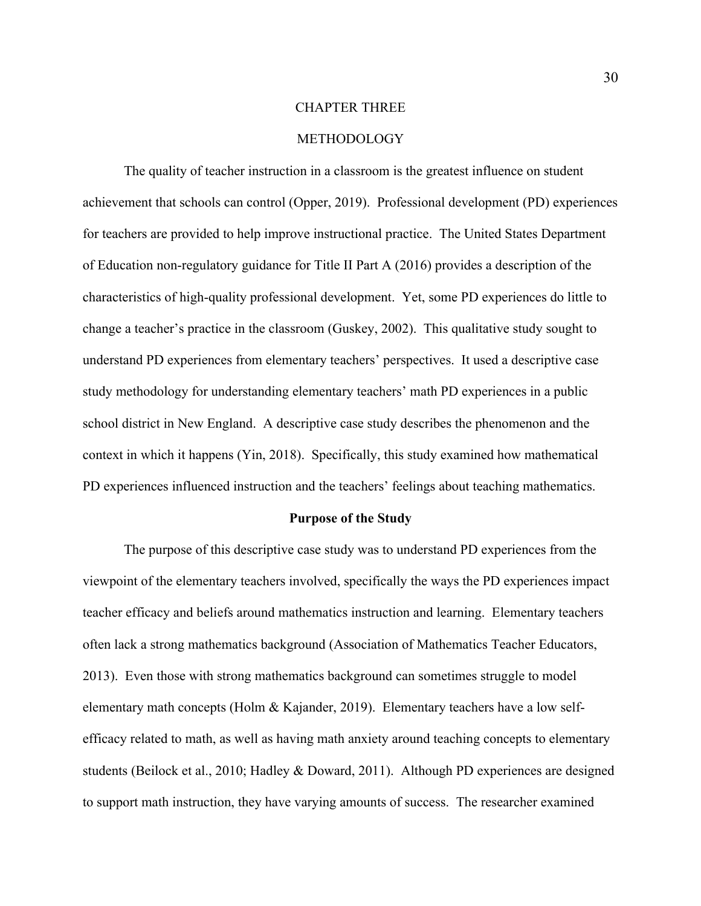#### CHAPTER THREE

## METHODOLOGY

The quality of teacher instruction in a classroom is the greatest influence on student achievement that schools can control (Opper, 2019). Professional development (PD) experiences for teachers are provided to help improve instructional practice. The United States Department of Education non-regulatory guidance for Title II Part A (2016) provides a description of the characteristics of high-quality professional development. Yet, some PD experiences do little to change a teacher's practice in the classroom (Guskey, 2002). This qualitative study sought to understand PD experiences from elementary teachers' perspectives. It used a descriptive case study methodology for understanding elementary teachers' math PD experiences in a public school district in New England. A descriptive case study describes the phenomenon and the context in which it happens (Yin, 2018). Specifically, this study examined how mathematical PD experiences influenced instruction and the teachers' feelings about teaching mathematics.

#### **Purpose of the Study**

The purpose of this descriptive case study was to understand PD experiences from the viewpoint of the elementary teachers involved, specifically the ways the PD experiences impact teacher efficacy and beliefs around mathematics instruction and learning. Elementary teachers often lack a strong mathematics background (Association of Mathematics Teacher Educators, 2013). Even those with strong mathematics background can sometimes struggle to model elementary math concepts (Holm & Kajander, 2019). Elementary teachers have a low selfefficacy related to math, as well as having math anxiety around teaching concepts to elementary students (Beilock et al., 2010; Hadley & Doward, 2011). Although PD experiences are designed to support math instruction, they have varying amounts of success. The researcher examined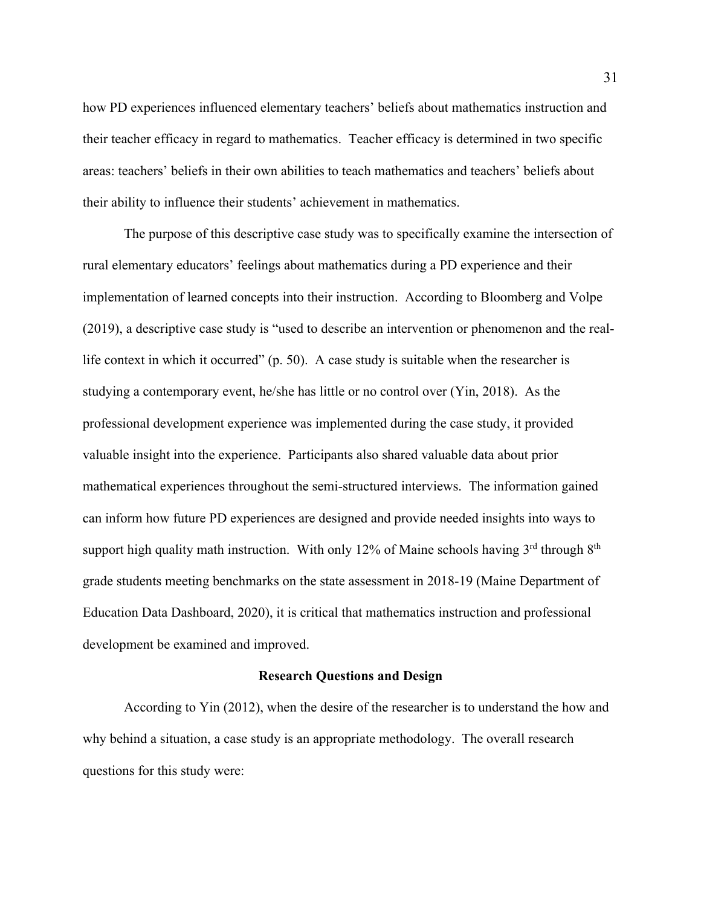how PD experiences influenced elementary teachers' beliefs about mathematics instruction and their teacher efficacy in regard to mathematics. Teacher efficacy is determined in two specific areas: teachers' beliefs in their own abilities to teach mathematics and teachers' beliefs about their ability to influence their students' achievement in mathematics.

The purpose of this descriptive case study was to specifically examine the intersection of rural elementary educators' feelings about mathematics during a PD experience and their implementation of learned concepts into their instruction. According to Bloomberg and Volpe (2019), a descriptive case study is "used to describe an intervention or phenomenon and the reallife context in which it occurred"  $(p. 50)$ . A case study is suitable when the researcher is studying a contemporary event, he/she has little or no control over (Yin, 2018). As the professional development experience was implemented during the case study, it provided valuable insight into the experience. Participants also shared valuable data about prior mathematical experiences throughout the semi-structured interviews. The information gained can inform how future PD experiences are designed and provide needed insights into ways to support high quality math instruction. With only 12% of Maine schools having  $3<sup>rd</sup>$  through  $8<sup>th</sup>$ grade students meeting benchmarks on the state assessment in 2018-19 (Maine Department of Education Data Dashboard, 2020), it is critical that mathematics instruction and professional development be examined and improved.

#### **Research Questions and Design**

According to Yin (2012), when the desire of the researcher is to understand the how and why behind a situation, a case study is an appropriate methodology. The overall research questions for this study were: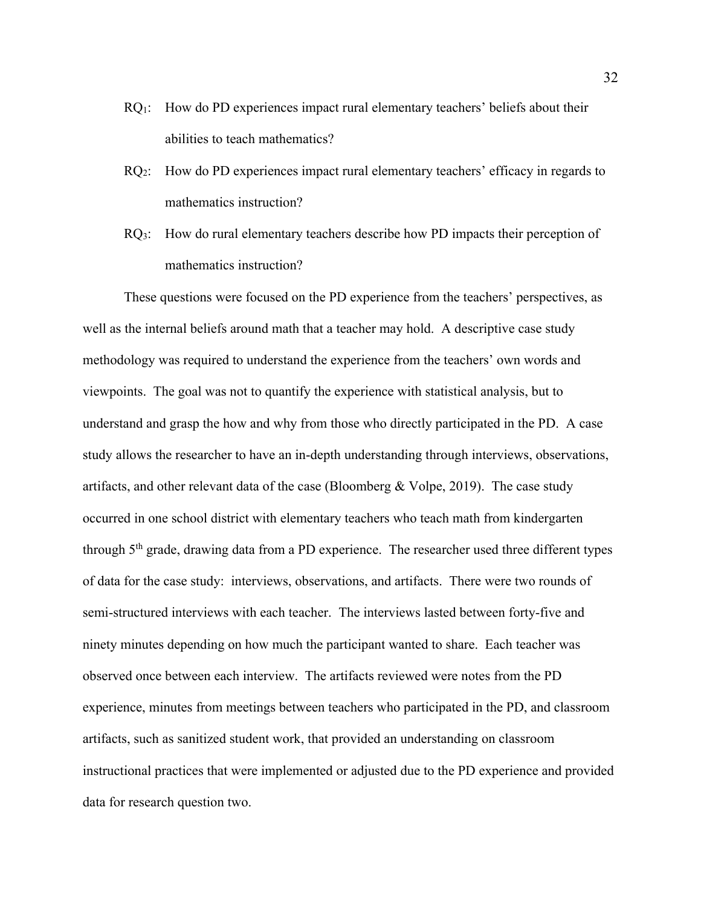- $RQ_1$ : How do PD experiences impact rural elementary teachers' beliefs about their abilities to teach mathematics?
- RQ2: How do PD experiences impact rural elementary teachers' efficacy in regards to mathematics instruction?
- RQ3: How do rural elementary teachers describe how PD impacts their perception of mathematics instruction?

These questions were focused on the PD experience from the teachers' perspectives, as well as the internal beliefs around math that a teacher may hold. A descriptive case study methodology was required to understand the experience from the teachers' own words and viewpoints. The goal was not to quantify the experience with statistical analysis, but to understand and grasp the how and why from those who directly participated in the PD. A case study allows the researcher to have an in-depth understanding through interviews, observations, artifacts, and other relevant data of the case (Bloomberg & Volpe, 2019). The case study occurred in one school district with elementary teachers who teach math from kindergarten through 5th grade, drawing data from a PD experience. The researcher used three different types of data for the case study: interviews, observations, and artifacts. There were two rounds of semi-structured interviews with each teacher. The interviews lasted between forty-five and ninety minutes depending on how much the participant wanted to share. Each teacher was observed once between each interview. The artifacts reviewed were notes from the PD experience, minutes from meetings between teachers who participated in the PD, and classroom artifacts, such as sanitized student work, that provided an understanding on classroom instructional practices that were implemented or adjusted due to the PD experience and provided data for research question two.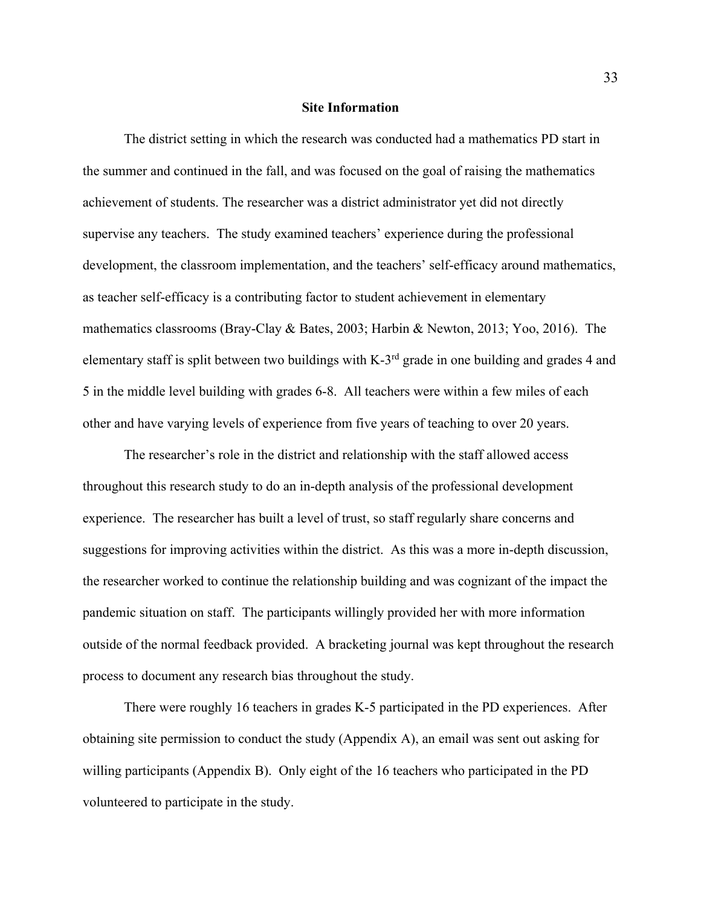#### **Site Information**

The district setting in which the research was conducted had a mathematics PD start in the summer and continued in the fall, and was focused on the goal of raising the mathematics achievement of students. The researcher was a district administrator yet did not directly supervise any teachers. The study examined teachers' experience during the professional development, the classroom implementation, and the teachers' self-efficacy around mathematics, as teacher self-efficacy is a contributing factor to student achievement in elementary mathematics classrooms (Bray-Clay & Bates, 2003; Harbin & Newton, 2013; Yoo, 2016). The elementary staff is split between two buildings with K-3rd grade in one building and grades 4 and 5 in the middle level building with grades 6-8. All teachers were within a few miles of each other and have varying levels of experience from five years of teaching to over 20 years.

The researcher's role in the district and relationship with the staff allowed access throughout this research study to do an in-depth analysis of the professional development experience. The researcher has built a level of trust, so staff regularly share concerns and suggestions for improving activities within the district. As this was a more in-depth discussion, the researcher worked to continue the relationship building and was cognizant of the impact the pandemic situation on staff. The participants willingly provided her with more information outside of the normal feedback provided. A bracketing journal was kept throughout the research process to document any research bias throughout the study.

There were roughly 16 teachers in grades K-5 participated in the PD experiences. After obtaining site permission to conduct the study (Appendix A), an email was sent out asking for willing participants (Appendix B). Only eight of the 16 teachers who participated in the PD volunteered to participate in the study.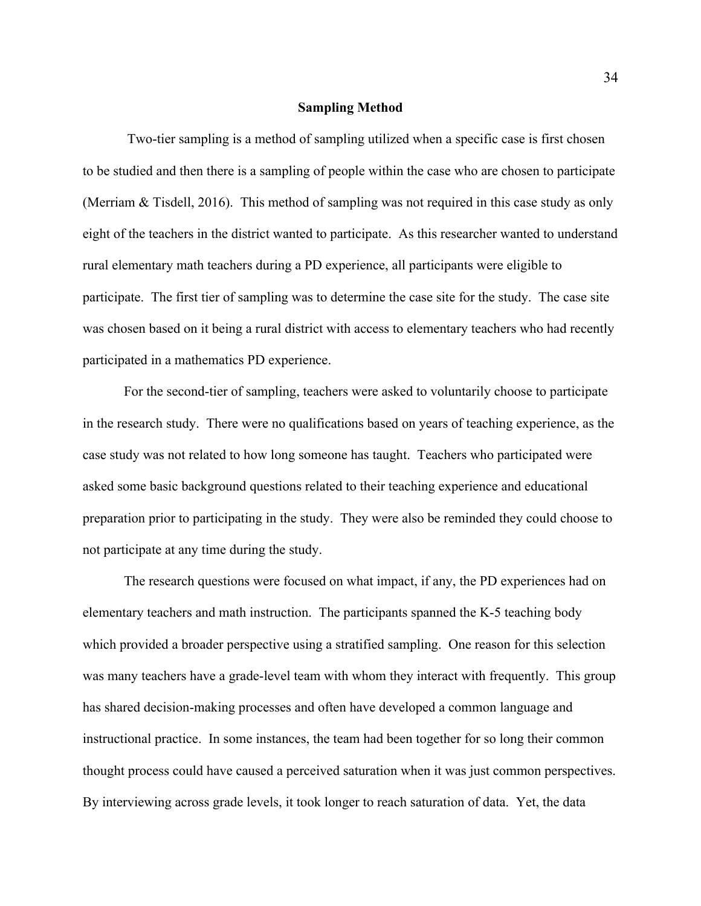#### **Sampling Method**

Two-tier sampling is a method of sampling utilized when a specific case is first chosen to be studied and then there is a sampling of people within the case who are chosen to participate (Merriam & Tisdell, 2016). This method of sampling was not required in this case study as only eight of the teachers in the district wanted to participate. As this researcher wanted to understand rural elementary math teachers during a PD experience, all participants were eligible to participate. The first tier of sampling was to determine the case site for the study. The case site was chosen based on it being a rural district with access to elementary teachers who had recently participated in a mathematics PD experience.

For the second-tier of sampling, teachers were asked to voluntarily choose to participate in the research study. There were no qualifications based on years of teaching experience, as the case study was not related to how long someone has taught. Teachers who participated were asked some basic background questions related to their teaching experience and educational preparation prior to participating in the study. They were also be reminded they could choose to not participate at any time during the study.

The research questions were focused on what impact, if any, the PD experiences had on elementary teachers and math instruction. The participants spanned the K-5 teaching body which provided a broader perspective using a stratified sampling. One reason for this selection was many teachers have a grade-level team with whom they interact with frequently. This group has shared decision-making processes and often have developed a common language and instructional practice. In some instances, the team had been together for so long their common thought process could have caused a perceived saturation when it was just common perspectives. By interviewing across grade levels, it took longer to reach saturation of data. Yet, the data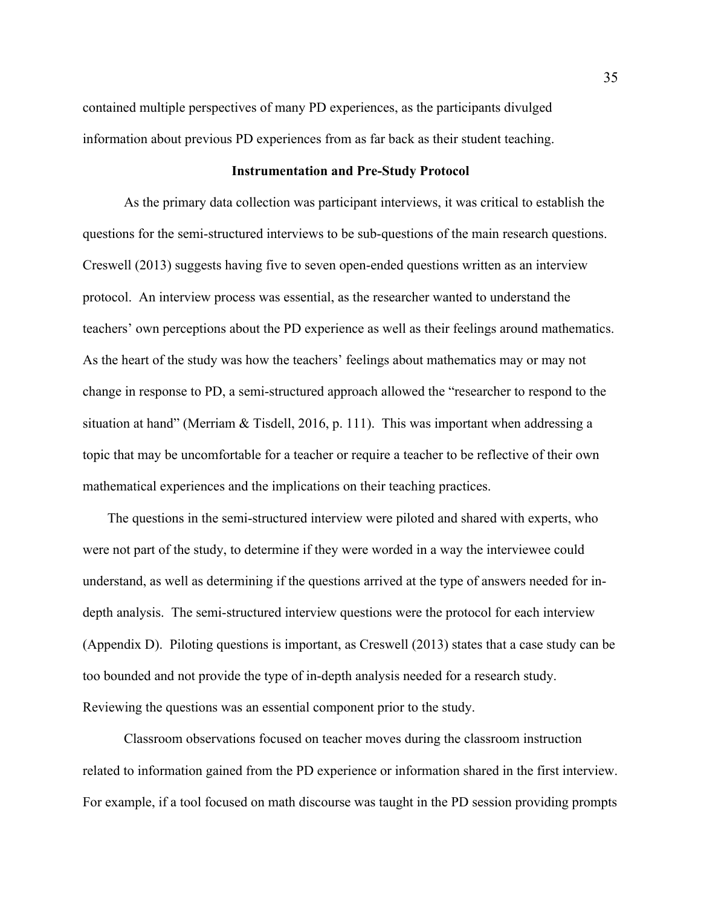contained multiple perspectives of many PD experiences, as the participants divulged information about previous PD experiences from as far back as their student teaching.

#### **Instrumentation and Pre-Study Protocol**

As the primary data collection was participant interviews, it was critical to establish the questions for the semi-structured interviews to be sub-questions of the main research questions. Creswell (2013) suggests having five to seven open-ended questions written as an interview protocol. An interview process was essential, as the researcher wanted to understand the teachers' own perceptions about the PD experience as well as their feelings around mathematics. As the heart of the study was how the teachers' feelings about mathematics may or may not change in response to PD, a semi-structured approach allowed the "researcher to respond to the situation at hand" (Merriam & Tisdell, 2016, p. 111). This was important when addressing a topic that may be uncomfortable for a teacher or require a teacher to be reflective of their own mathematical experiences and the implications on their teaching practices.

The questions in the semi-structured interview were piloted and shared with experts, who were not part of the study, to determine if they were worded in a way the interviewee could understand, as well as determining if the questions arrived at the type of answers needed for indepth analysis. The semi-structured interview questions were the protocol for each interview (Appendix D). Piloting questions is important, as Creswell (2013) states that a case study can be too bounded and not provide the type of in-depth analysis needed for a research study. Reviewing the questions was an essential component prior to the study.

Classroom observations focused on teacher moves during the classroom instruction related to information gained from the PD experience or information shared in the first interview. For example, if a tool focused on math discourse was taught in the PD session providing prompts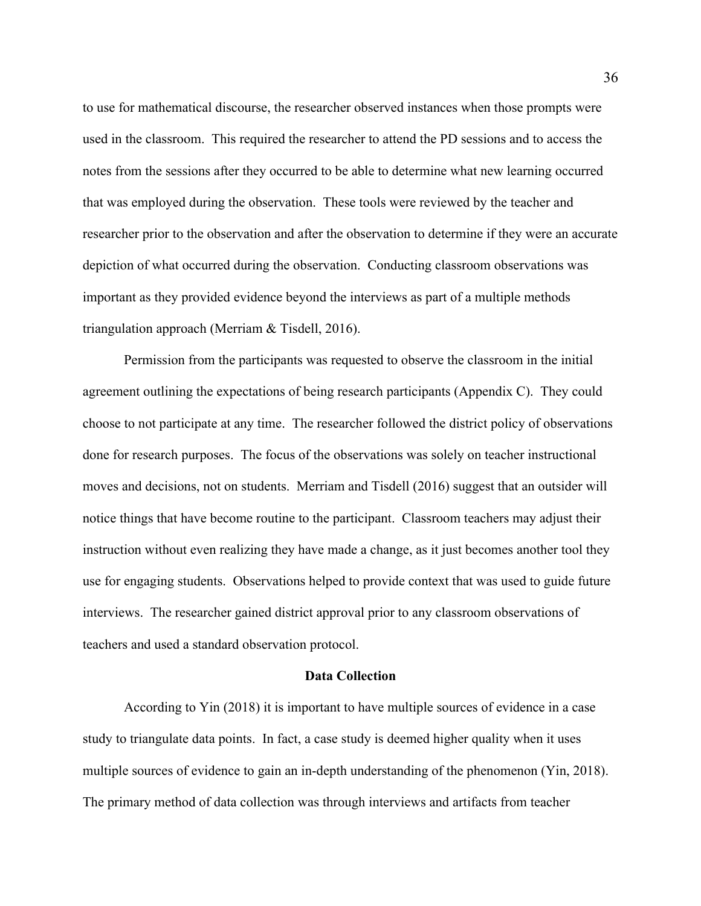to use for mathematical discourse, the researcher observed instances when those prompts were used in the classroom. This required the researcher to attend the PD sessions and to access the notes from the sessions after they occurred to be able to determine what new learning occurred that was employed during the observation. These tools were reviewed by the teacher and researcher prior to the observation and after the observation to determine if they were an accurate depiction of what occurred during the observation. Conducting classroom observations was important as they provided evidence beyond the interviews as part of a multiple methods triangulation approach (Merriam & Tisdell, 2016).

Permission from the participants was requested to observe the classroom in the initial agreement outlining the expectations of being research participants (Appendix C). They could choose to not participate at any time. The researcher followed the district policy of observations done for research purposes. The focus of the observations was solely on teacher instructional moves and decisions, not on students. Merriam and Tisdell (2016) suggest that an outsider will notice things that have become routine to the participant. Classroom teachers may adjust their instruction without even realizing they have made a change, as it just becomes another tool they use for engaging students. Observations helped to provide context that was used to guide future interviews. The researcher gained district approval prior to any classroom observations of teachers and used a standard observation protocol.

## **Data Collection**

According to Yin (2018) it is important to have multiple sources of evidence in a case study to triangulate data points. In fact, a case study is deemed higher quality when it uses multiple sources of evidence to gain an in-depth understanding of the phenomenon (Yin, 2018). The primary method of data collection was through interviews and artifacts from teacher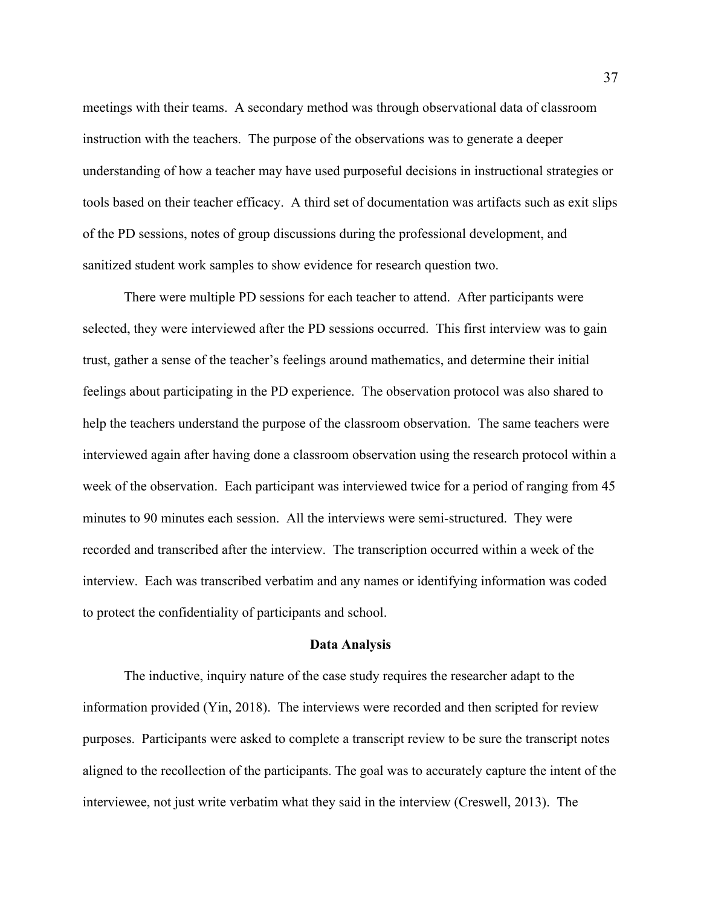meetings with their teams. A secondary method was through observational data of classroom instruction with the teachers. The purpose of the observations was to generate a deeper understanding of how a teacher may have used purposeful decisions in instructional strategies or tools based on their teacher efficacy. A third set of documentation was artifacts such as exit slips of the PD sessions, notes of group discussions during the professional development, and sanitized student work samples to show evidence for research question two.

There were multiple PD sessions for each teacher to attend. After participants were selected, they were interviewed after the PD sessions occurred. This first interview was to gain trust, gather a sense of the teacher's feelings around mathematics, and determine their initial feelings about participating in the PD experience. The observation protocol was also shared to help the teachers understand the purpose of the classroom observation. The same teachers were interviewed again after having done a classroom observation using the research protocol within a week of the observation. Each participant was interviewed twice for a period of ranging from 45 minutes to 90 minutes each session. All the interviews were semi-structured. They were recorded and transcribed after the interview. The transcription occurred within a week of the interview. Each was transcribed verbatim and any names or identifying information was coded to protect the confidentiality of participants and school.

#### **Data Analysis**

The inductive, inquiry nature of the case study requires the researcher adapt to the information provided (Yin, 2018). The interviews were recorded and then scripted for review purposes. Participants were asked to complete a transcript review to be sure the transcript notes aligned to the recollection of the participants. The goal was to accurately capture the intent of the interviewee, not just write verbatim what they said in the interview (Creswell, 2013). The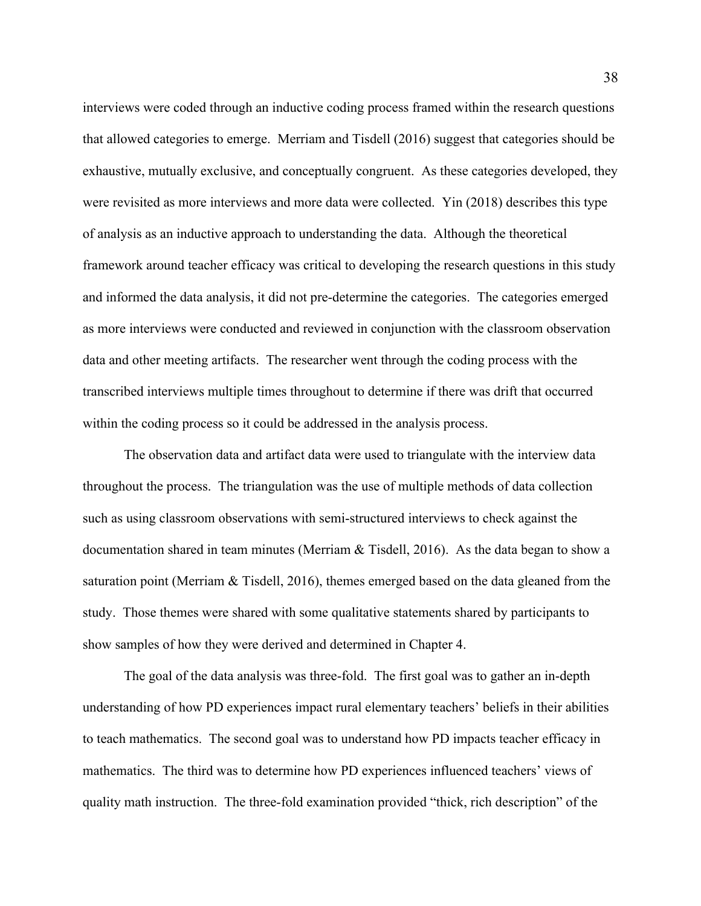interviews were coded through an inductive coding process framed within the research questions that allowed categories to emerge. Merriam and Tisdell (2016) suggest that categories should be exhaustive, mutually exclusive, and conceptually congruent. As these categories developed, they were revisited as more interviews and more data were collected. Yin (2018) describes this type of analysis as an inductive approach to understanding the data. Although the theoretical framework around teacher efficacy was critical to developing the research questions in this study and informed the data analysis, it did not pre-determine the categories. The categories emerged as more interviews were conducted and reviewed in conjunction with the classroom observation data and other meeting artifacts. The researcher went through the coding process with the transcribed interviews multiple times throughout to determine if there was drift that occurred within the coding process so it could be addressed in the analysis process.

The observation data and artifact data were used to triangulate with the interview data throughout the process. The triangulation was the use of multiple methods of data collection such as using classroom observations with semi-structured interviews to check against the documentation shared in team minutes (Merriam & Tisdell, 2016). As the data began to show a saturation point (Merriam & Tisdell, 2016), themes emerged based on the data gleaned from the study. Those themes were shared with some qualitative statements shared by participants to show samples of how they were derived and determined in Chapter 4.

The goal of the data analysis was three-fold. The first goal was to gather an in-depth understanding of how PD experiences impact rural elementary teachers' beliefs in their abilities to teach mathematics. The second goal was to understand how PD impacts teacher efficacy in mathematics. The third was to determine how PD experiences influenced teachers' views of quality math instruction. The three-fold examination provided "thick, rich description" of the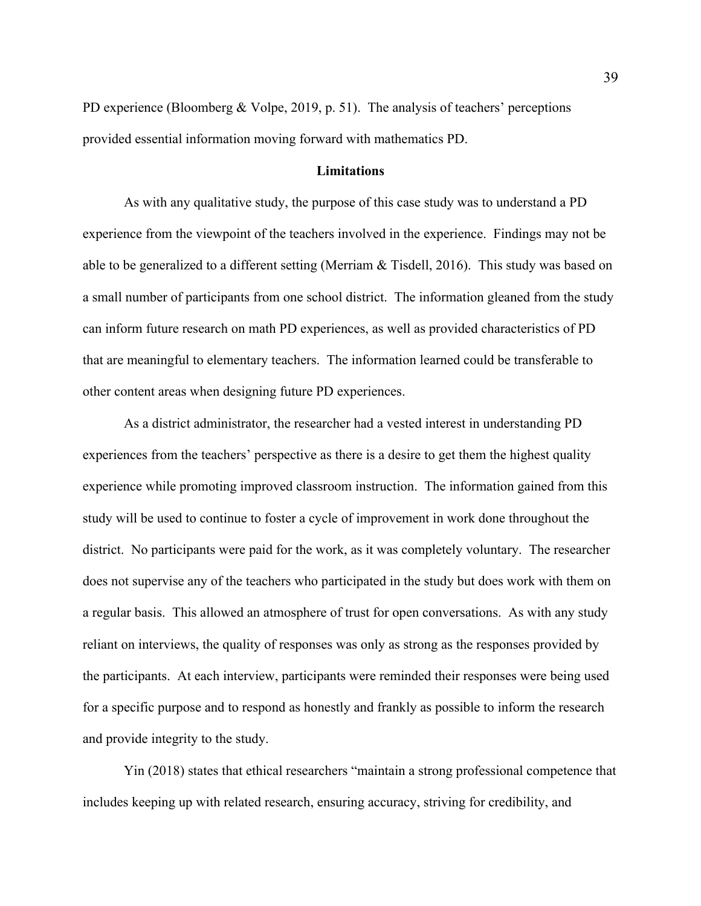PD experience (Bloomberg & Volpe, 2019, p. 51). The analysis of teachers' perceptions provided essential information moving forward with mathematics PD.

## **Limitations**

As with any qualitative study, the purpose of this case study was to understand a PD experience from the viewpoint of the teachers involved in the experience. Findings may not be able to be generalized to a different setting (Merriam & Tisdell, 2016). This study was based on a small number of participants from one school district. The information gleaned from the study can inform future research on math PD experiences, as well as provided characteristics of PD that are meaningful to elementary teachers. The information learned could be transferable to other content areas when designing future PD experiences.

As a district administrator, the researcher had a vested interest in understanding PD experiences from the teachers' perspective as there is a desire to get them the highest quality experience while promoting improved classroom instruction. The information gained from this study will be used to continue to foster a cycle of improvement in work done throughout the district. No participants were paid for the work, as it was completely voluntary. The researcher does not supervise any of the teachers who participated in the study but does work with them on a regular basis. This allowed an atmosphere of trust for open conversations. As with any study reliant on interviews, the quality of responses was only as strong as the responses provided by the participants. At each interview, participants were reminded their responses were being used for a specific purpose and to respond as honestly and frankly as possible to inform the research and provide integrity to the study.

Yin (2018) states that ethical researchers "maintain a strong professional competence that includes keeping up with related research, ensuring accuracy, striving for credibility, and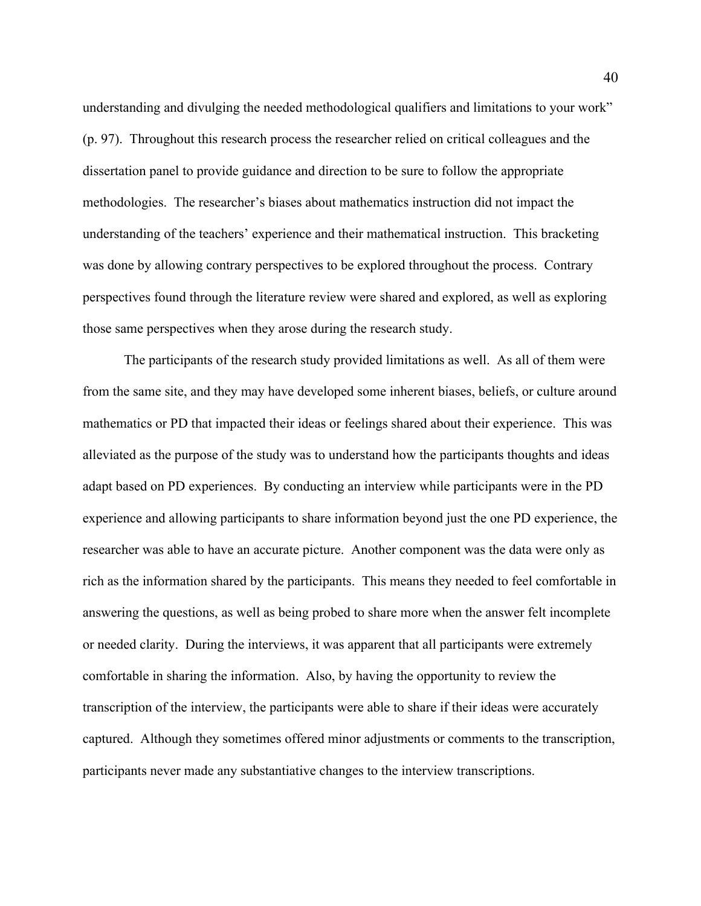understanding and divulging the needed methodological qualifiers and limitations to your work" (p. 97). Throughout this research process the researcher relied on critical colleagues and the dissertation panel to provide guidance and direction to be sure to follow the appropriate methodologies. The researcher's biases about mathematics instruction did not impact the understanding of the teachers' experience and their mathematical instruction. This bracketing was done by allowing contrary perspectives to be explored throughout the process. Contrary perspectives found through the literature review were shared and explored, as well as exploring those same perspectives when they arose during the research study.

The participants of the research study provided limitations as well. As all of them were from the same site, and they may have developed some inherent biases, beliefs, or culture around mathematics or PD that impacted their ideas or feelings shared about their experience. This was alleviated as the purpose of the study was to understand how the participants thoughts and ideas adapt based on PD experiences. By conducting an interview while participants were in the PD experience and allowing participants to share information beyond just the one PD experience, the researcher was able to have an accurate picture. Another component was the data were only as rich as the information shared by the participants. This means they needed to feel comfortable in answering the questions, as well as being probed to share more when the answer felt incomplete or needed clarity. During the interviews, it was apparent that all participants were extremely comfortable in sharing the information. Also, by having the opportunity to review the transcription of the interview, the participants were able to share if their ideas were accurately captured. Although they sometimes offered minor adjustments or comments to the transcription, participants never made any substantiative changes to the interview transcriptions.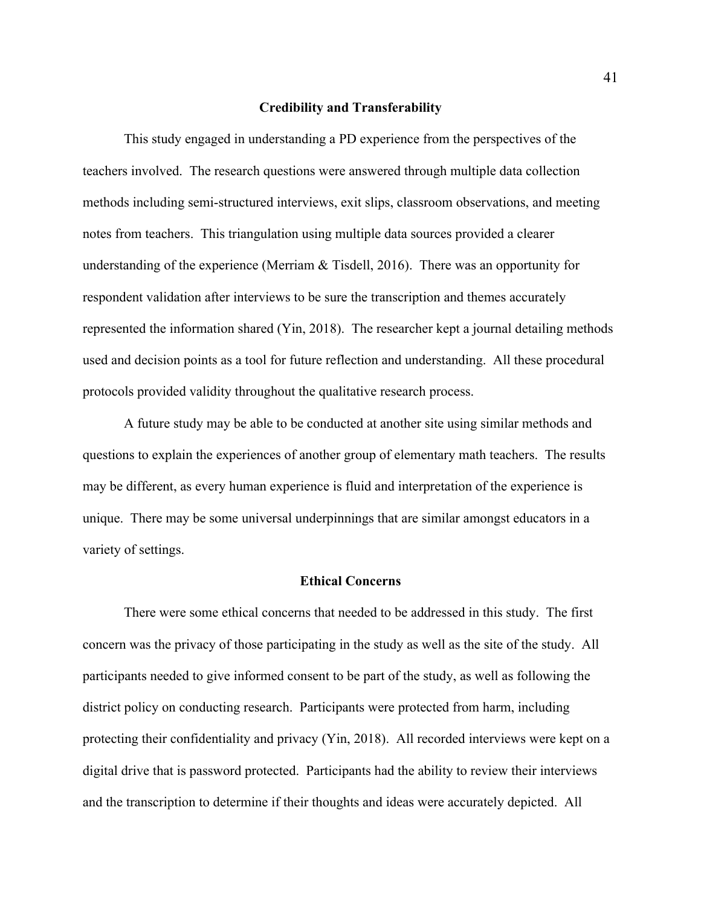#### **Credibility and Transferability**

This study engaged in understanding a PD experience from the perspectives of the teachers involved. The research questions were answered through multiple data collection methods including semi-structured interviews, exit slips, classroom observations, and meeting notes from teachers. This triangulation using multiple data sources provided a clearer understanding of the experience (Merriam  $&$  Tisdell, 2016). There was an opportunity for respondent validation after interviews to be sure the transcription and themes accurately represented the information shared (Yin, 2018). The researcher kept a journal detailing methods used and decision points as a tool for future reflection and understanding. All these procedural protocols provided validity throughout the qualitative research process.

A future study may be able to be conducted at another site using similar methods and questions to explain the experiences of another group of elementary math teachers. The results may be different, as every human experience is fluid and interpretation of the experience is unique. There may be some universal underpinnings that are similar amongst educators in a variety of settings.

#### **Ethical Concerns**

There were some ethical concerns that needed to be addressed in this study. The first concern was the privacy of those participating in the study as well as the site of the study. All participants needed to give informed consent to be part of the study, as well as following the district policy on conducting research. Participants were protected from harm, including protecting their confidentiality and privacy (Yin, 2018). All recorded interviews were kept on a digital drive that is password protected. Participants had the ability to review their interviews and the transcription to determine if their thoughts and ideas were accurately depicted. All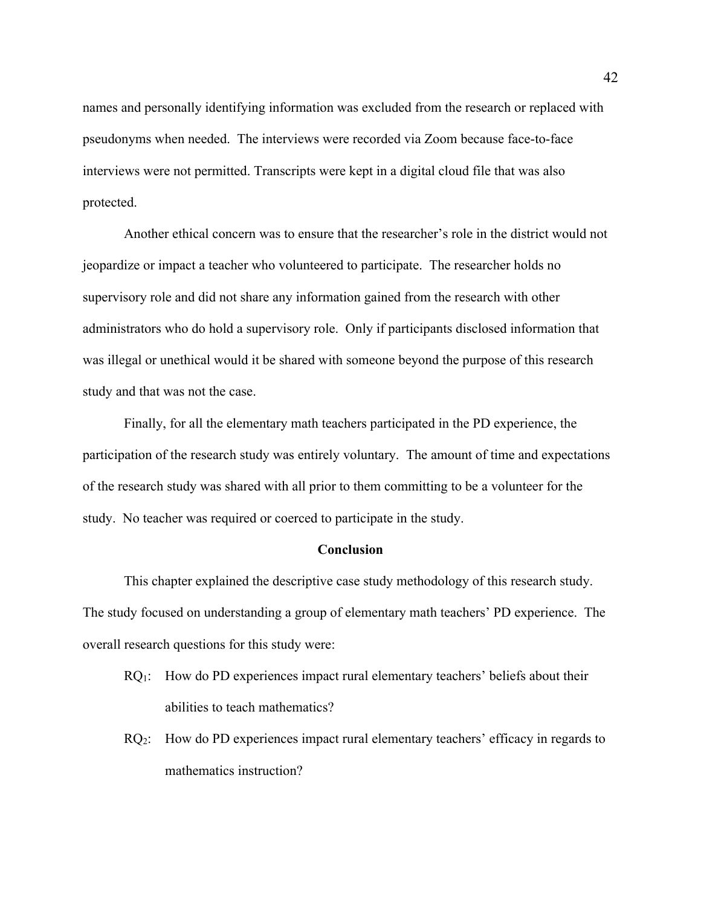names and personally identifying information was excluded from the research or replaced with pseudonyms when needed. The interviews were recorded via Zoom because face-to-face interviews were not permitted. Transcripts were kept in a digital cloud file that was also protected.

Another ethical concern was to ensure that the researcher's role in the district would not jeopardize or impact a teacher who volunteered to participate. The researcher holds no supervisory role and did not share any information gained from the research with other administrators who do hold a supervisory role. Only if participants disclosed information that was illegal or unethical would it be shared with someone beyond the purpose of this research study and that was not the case.

Finally, for all the elementary math teachers participated in the PD experience, the participation of the research study was entirely voluntary. The amount of time and expectations of the research study was shared with all prior to them committing to be a volunteer for the study. No teacher was required or coerced to participate in the study.

#### **Conclusion**

This chapter explained the descriptive case study methodology of this research study. The study focused on understanding a group of elementary math teachers' PD experience. The overall research questions for this study were:

- $RQ_1$ : How do PD experiences impact rural elementary teachers' beliefs about their abilities to teach mathematics?
- $RQ<sub>2</sub>$ : How do PD experiences impact rural elementary teachers' efficacy in regards to mathematics instruction?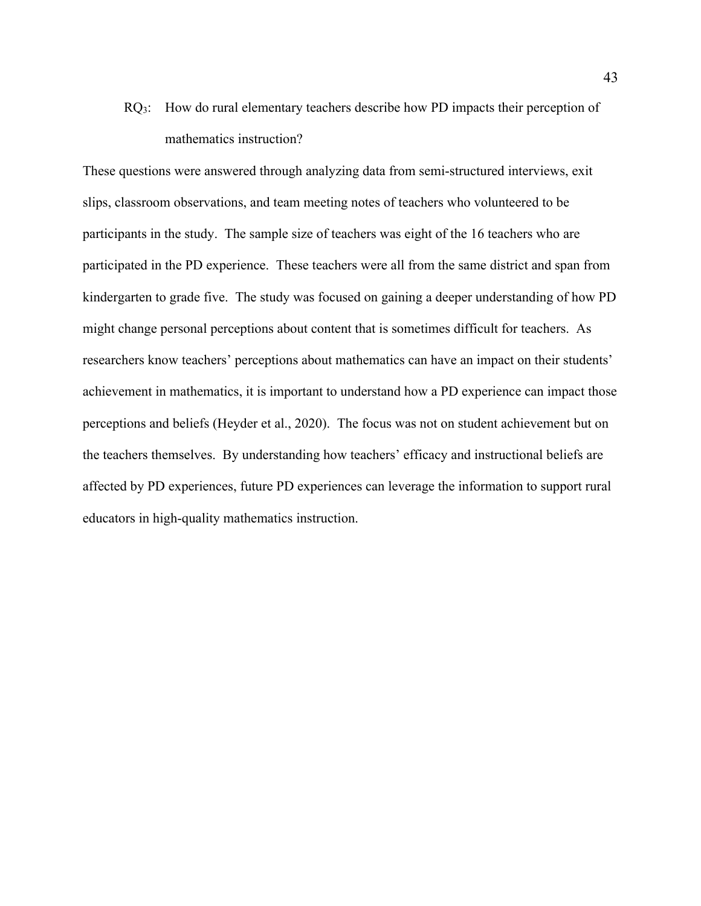$RQ_3$ : How do rural elementary teachers describe how PD impacts their perception of mathematics instruction?

These questions were answered through analyzing data from semi-structured interviews, exit slips, classroom observations, and team meeting notes of teachers who volunteered to be participants in the study. The sample size of teachers was eight of the 16 teachers who are participated in the PD experience. These teachers were all from the same district and span from kindergarten to grade five. The study was focused on gaining a deeper understanding of how PD might change personal perceptions about content that is sometimes difficult for teachers. As researchers know teachers' perceptions about mathematics can have an impact on their students' achievement in mathematics, it is important to understand how a PD experience can impact those perceptions and beliefs (Heyder et al., 2020). The focus was not on student achievement but on the teachers themselves. By understanding how teachers' efficacy and instructional beliefs are affected by PD experiences, future PD experiences can leverage the information to support rural educators in high-quality mathematics instruction.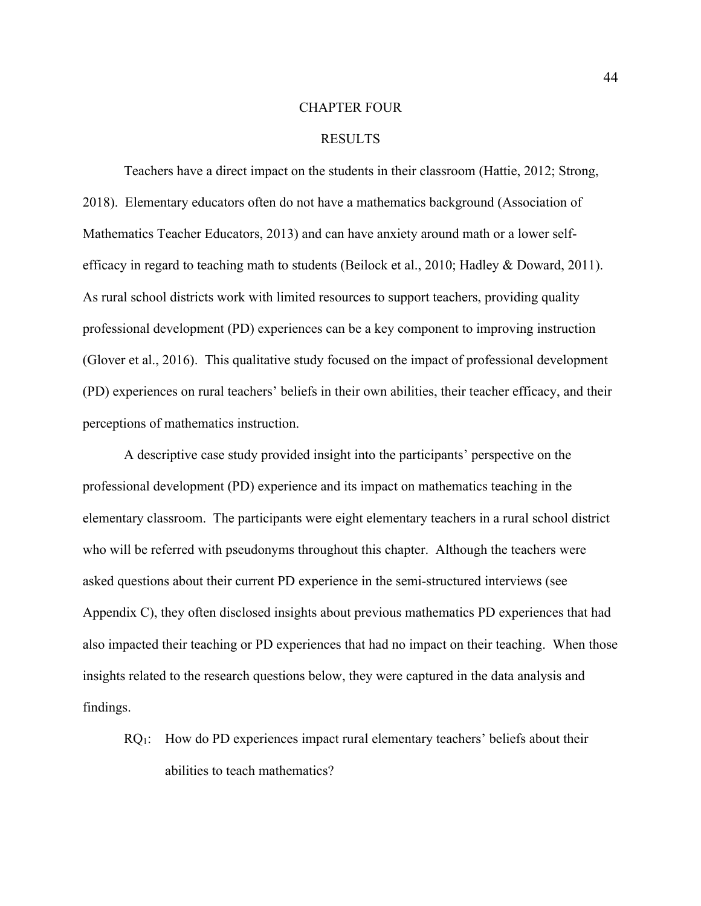#### CHAPTER FOUR

## RESULTS

Teachers have a direct impact on the students in their classroom (Hattie, 2012; Strong, 2018). Elementary educators often do not have a mathematics background (Association of Mathematics Teacher Educators, 2013) and can have anxiety around math or a lower selfefficacy in regard to teaching math to students (Beilock et al., 2010; Hadley & Doward, 2011). As rural school districts work with limited resources to support teachers, providing quality professional development (PD) experiences can be a key component to improving instruction (Glover et al., 2016). This qualitative study focused on the impact of professional development (PD) experiences on rural teachers' beliefs in their own abilities, their teacher efficacy, and their perceptions of mathematics instruction.

A descriptive case study provided insight into the participants' perspective on the professional development (PD) experience and its impact on mathematics teaching in the elementary classroom. The participants were eight elementary teachers in a rural school district who will be referred with pseudonyms throughout this chapter. Although the teachers were asked questions about their current PD experience in the semi-structured interviews (see Appendix C), they often disclosed insights about previous mathematics PD experiences that had also impacted their teaching or PD experiences that had no impact on their teaching. When those insights related to the research questions below, they were captured in the data analysis and findings.

 $RQ_1$ : How do PD experiences impact rural elementary teachers' beliefs about their abilities to teach mathematics?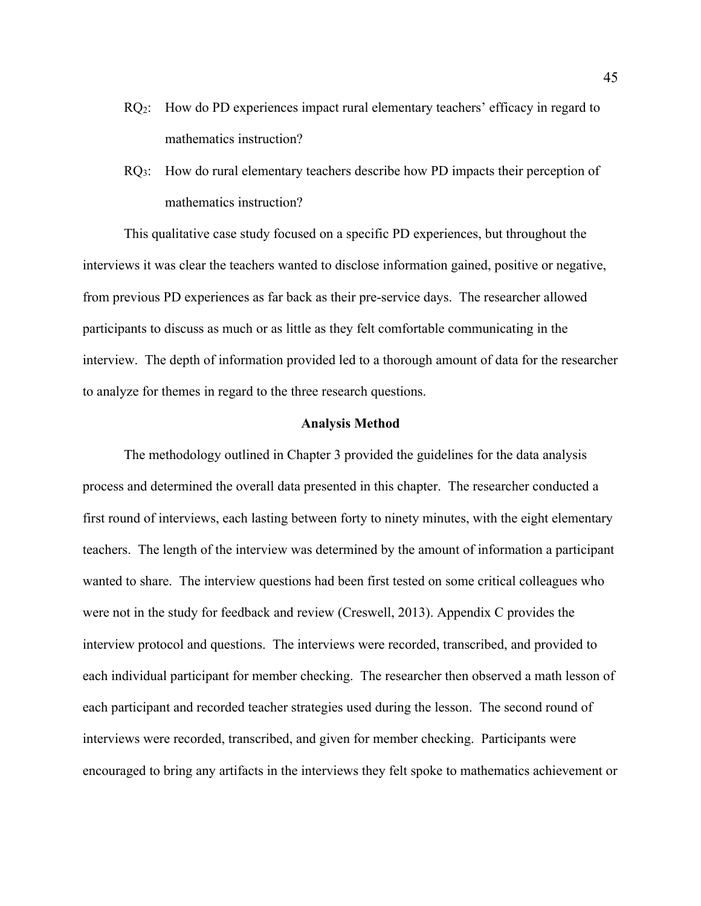- $RQ<sub>2</sub>$ : How do PD experiences impact rural elementary teachers' efficacy in regard to mathematics instruction?
- $RQ_3$ : How do rural elementary teachers describe how PD impacts their perception of mathematics instruction?

This qualitative case study focused on a specific PD experiences, but throughout the interviews it was clear the teachers wanted to disclose information gained, positive or negative, from previous PD experiences as far back as their pre-service days. The researcher allowed participants to discuss as much or as little as they felt comfortable communicating in the interview. The depth of information provided led to a thorough amount of data for the researcher to analyze for themes in regard to the three research questions.

#### **Analysis Method**

The methodology outlined in Chapter 3 provided the guidelines for the data analysis process and determined the overall data presented in this chapter. The researcher conducted a first round of interviews, each lasting between forty to ninety minutes, with the eight elementary teachers. The length of the interview was determined by the amount of information a participant wanted to share. The interview questions had been first tested on some critical colleagues who were not in the study for feedback and review (Creswell, 2013). Appendix C provides the interview protocol and questions. The interviews were recorded, transcribed, and provided to each individual participant for member checking. The researcher then observed a math lesson of each participant and recorded teacher strategies used during the lesson. The second round of interviews were recorded, transcribed, and given for member checking. Participants were encouraged to bring any artifacts in the interviews they felt spoke to mathematics achievement or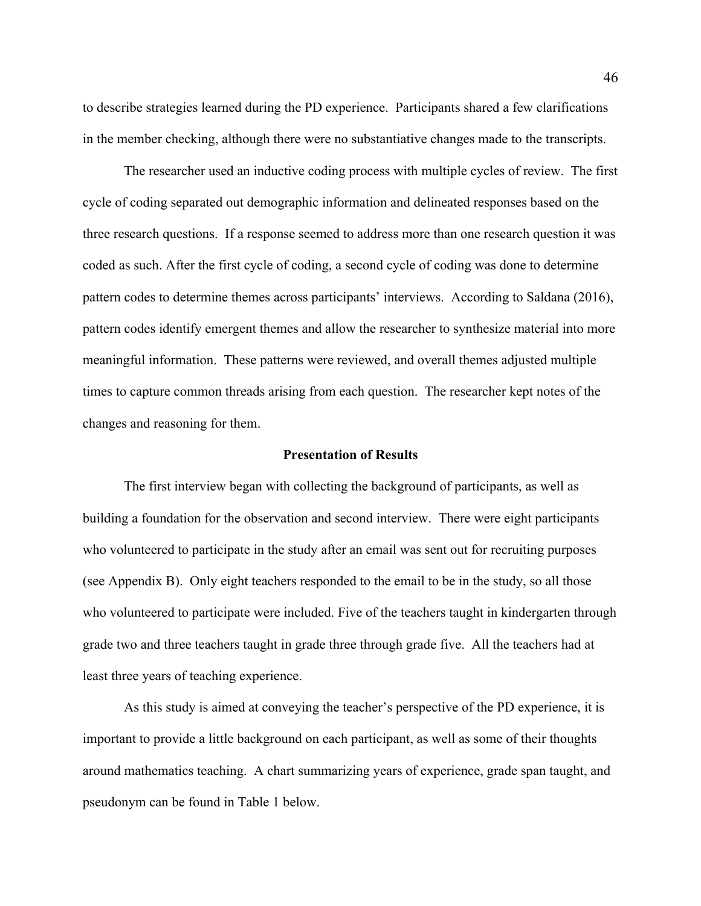to describe strategies learned during the PD experience. Participants shared a few clarifications in the member checking, although there were no substantiative changes made to the transcripts.

The researcher used an inductive coding process with multiple cycles of review. The first cycle of coding separated out demographic information and delineated responses based on the three research questions. If a response seemed to address more than one research question it was coded as such. After the first cycle of coding, a second cycle of coding was done to determine pattern codes to determine themes across participants' interviews. According to Saldana (2016), pattern codes identify emergent themes and allow the researcher to synthesize material into more meaningful information. These patterns were reviewed, and overall themes adjusted multiple times to capture common threads arising from each question. The researcher kept notes of the changes and reasoning for them.

#### **Presentation of Results**

The first interview began with collecting the background of participants, as well as building a foundation for the observation and second interview. There were eight participants who volunteered to participate in the study after an email was sent out for recruiting purposes (see Appendix B). Only eight teachers responded to the email to be in the study, so all those who volunteered to participate were included. Five of the teachers taught in kindergarten through grade two and three teachers taught in grade three through grade five. All the teachers had at least three years of teaching experience.

As this study is aimed at conveying the teacher's perspective of the PD experience, it is important to provide a little background on each participant, as well as some of their thoughts around mathematics teaching. A chart summarizing years of experience, grade span taught, and pseudonym can be found in Table 1 below.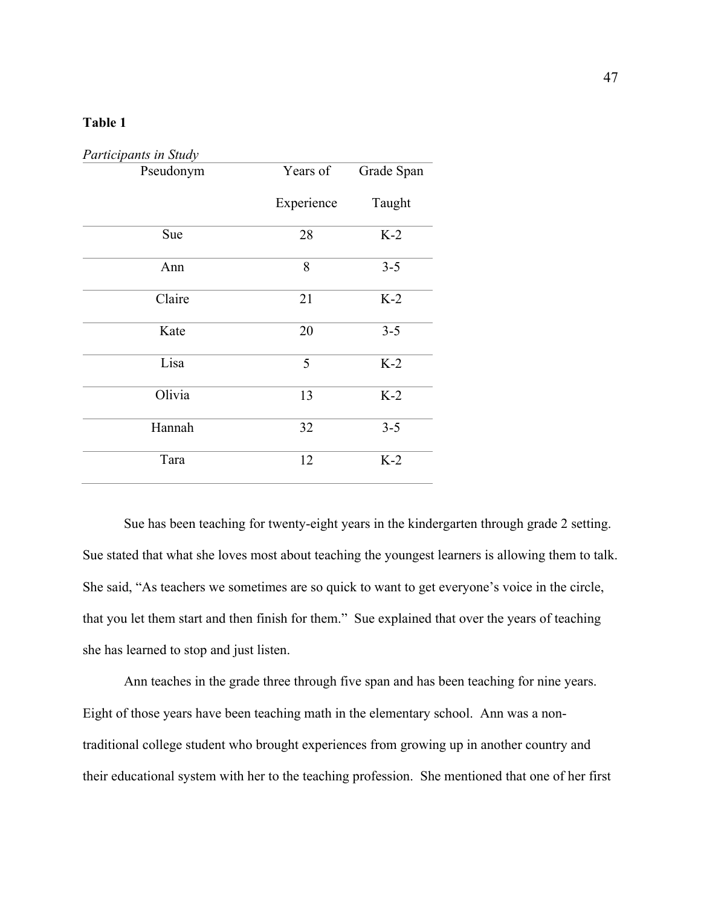## **Table 1**

| Participants in Study |            |            |  |  |
|-----------------------|------------|------------|--|--|
| Pseudonym             | Years of   | Grade Span |  |  |
|                       | Experience | Taught     |  |  |
| Sue                   | 28         | $K-2$      |  |  |
| Ann                   | 8          | $3 - 5$    |  |  |
| Claire                | 21         | $K-2$      |  |  |
| Kate                  | 20         | $3 - 5$    |  |  |
| Lisa                  | 5          | $K-2$      |  |  |
| Olivia                | 13         | $K-2$      |  |  |
| Hannah                | 32         | $3 - 5$    |  |  |
| Tara                  | 12         | $K-2$      |  |  |

Sue has been teaching for twenty-eight years in the kindergarten through grade 2 setting. Sue stated that what she loves most about teaching the youngest learners is allowing them to talk. She said, "As teachers we sometimes are so quick to want to get everyone's voice in the circle, that you let them start and then finish for them." Sue explained that over the years of teaching she has learned to stop and just listen.

Ann teaches in the grade three through five span and has been teaching for nine years. Eight of those years have been teaching math in the elementary school. Ann was a nontraditional college student who brought experiences from growing up in another country and their educational system with her to the teaching profession. She mentioned that one of her first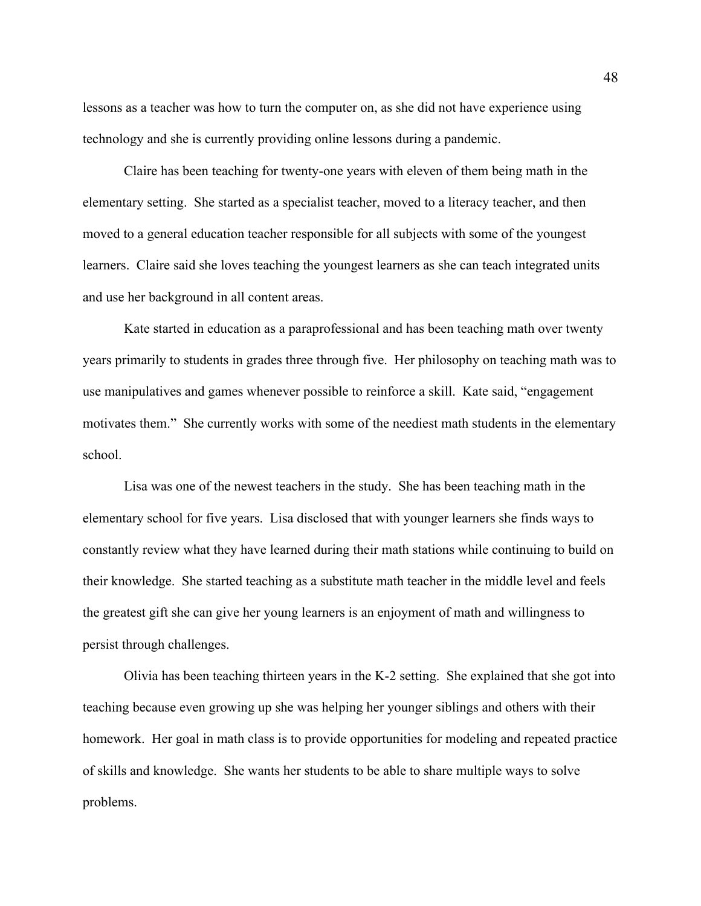lessons as a teacher was how to turn the computer on, as she did not have experience using technology and she is currently providing online lessons during a pandemic.

Claire has been teaching for twenty-one years with eleven of them being math in the elementary setting. She started as a specialist teacher, moved to a literacy teacher, and then moved to a general education teacher responsible for all subjects with some of the youngest learners. Claire said she loves teaching the youngest learners as she can teach integrated units and use her background in all content areas.

Kate started in education as a paraprofessional and has been teaching math over twenty years primarily to students in grades three through five. Her philosophy on teaching math was to use manipulatives and games whenever possible to reinforce a skill. Kate said, "engagement motivates them." She currently works with some of the neediest math students in the elementary school.

Lisa was one of the newest teachers in the study. She has been teaching math in the elementary school for five years. Lisa disclosed that with younger learners she finds ways to constantly review what they have learned during their math stations while continuing to build on their knowledge. She started teaching as a substitute math teacher in the middle level and feels the greatest gift she can give her young learners is an enjoyment of math and willingness to persist through challenges.

Olivia has been teaching thirteen years in the K-2 setting. She explained that she got into teaching because even growing up she was helping her younger siblings and others with their homework. Her goal in math class is to provide opportunities for modeling and repeated practice of skills and knowledge. She wants her students to be able to share multiple ways to solve problems.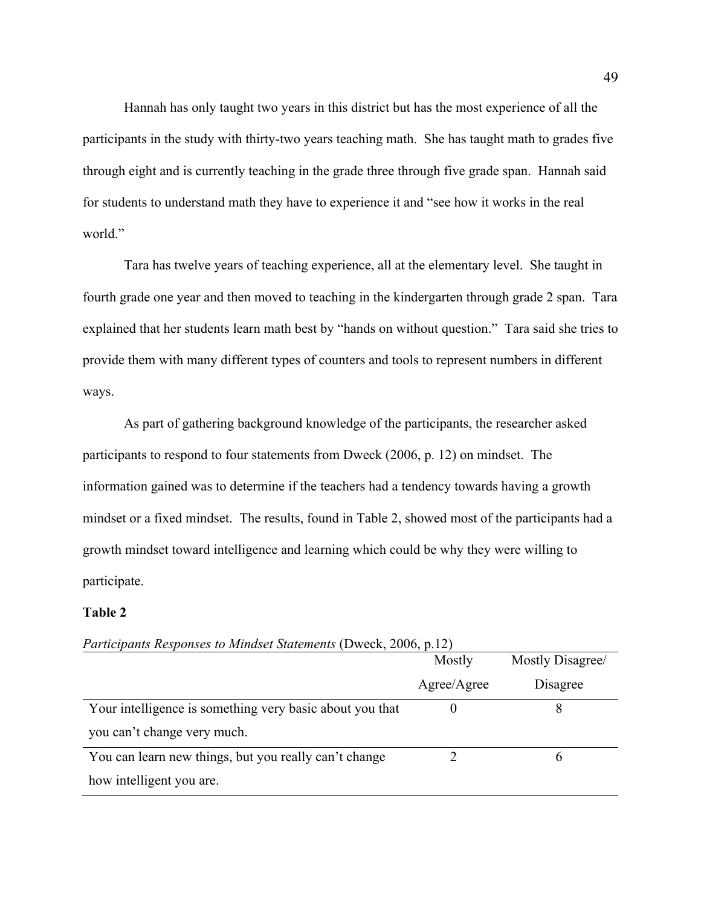Hannah has only taught two years in this district but has the most experience of all the participants in the study with thirty-two years teaching math. She has taught math to grades five through eight and is currently teaching in the grade three through five grade span. Hannah said for students to understand math they have to experience it and "see how it works in the real world."

Tara has twelve years of teaching experience, all at the elementary level. She taught in fourth grade one year and then moved to teaching in the kindergarten through grade 2 span. Tara explained that her students learn math best by "hands on without question." Tara said she tries to provide them with many different types of counters and tools to represent numbers in different ways.

As part of gathering background knowledge of the participants, the researcher asked participants to respond to four statements from Dweck (2006, p. 12) on mindset. The information gained was to determine if the teachers had a tendency towards having a growth mindset or a fixed mindset. The results, found in Table 2, showed most of the participants had a growth mindset toward intelligence and learning which could be why they were willing to participate.

## **Table 2**

|                                                          | Mostly      | Mostly Disagree/ |
|----------------------------------------------------------|-------------|------------------|
|                                                          | Agree/Agree | Disagree         |
| Your intelligence is something very basic about you that |             |                  |
| you can't change very much.                              |             |                  |
| You can learn new things, but you really can't change    |             |                  |
| how intelligent you are.                                 |             |                  |

*Participants Responses to Mindset Statements* (Dweck, 2006, p.12)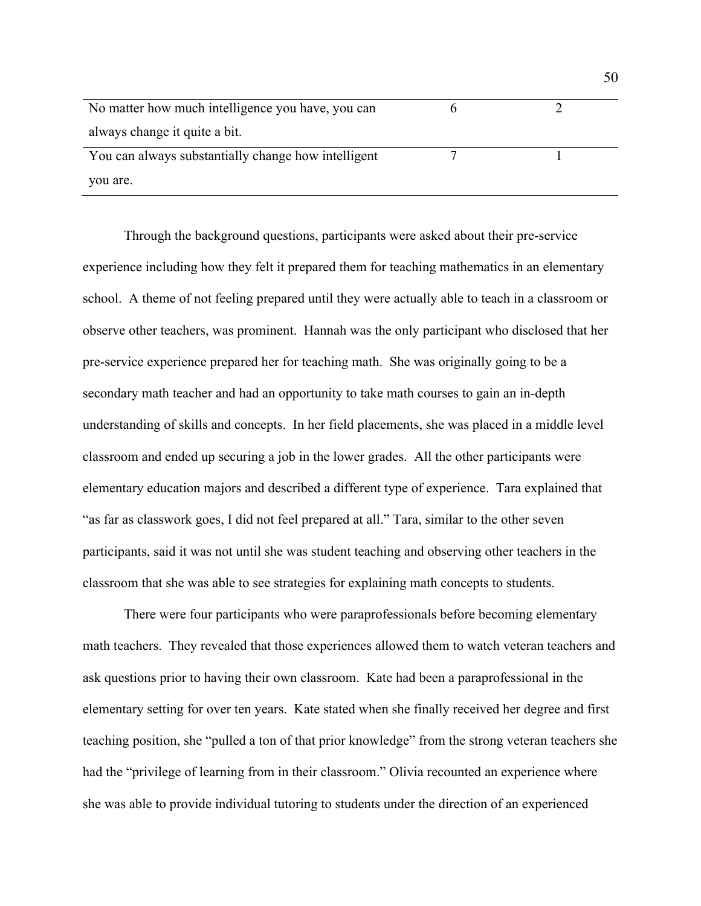| No matter how much intelligence you have, you can   |  |
|-----------------------------------------------------|--|
| always change it quite a bit.                       |  |
| You can always substantially change how intelligent |  |
| you are.                                            |  |

Through the background questions, participants were asked about their pre-service experience including how they felt it prepared them for teaching mathematics in an elementary school. A theme of not feeling prepared until they were actually able to teach in a classroom or observe other teachers, was prominent. Hannah was the only participant who disclosed that her pre-service experience prepared her for teaching math. She was originally going to be a secondary math teacher and had an opportunity to take math courses to gain an in-depth understanding of skills and concepts. In her field placements, she was placed in a middle level classroom and ended up securing a job in the lower grades. All the other participants were elementary education majors and described a different type of experience. Tara explained that "as far as classwork goes, I did not feel prepared at all." Tara, similar to the other seven participants, said it was not until she was student teaching and observing other teachers in the classroom that she was able to see strategies for explaining math concepts to students.

There were four participants who were paraprofessionals before becoming elementary math teachers. They revealed that those experiences allowed them to watch veteran teachers and ask questions prior to having their own classroom. Kate had been a paraprofessional in the elementary setting for over ten years. Kate stated when she finally received her degree and first teaching position, she "pulled a ton of that prior knowledge" from the strong veteran teachers she had the "privilege of learning from in their classroom." Olivia recounted an experience where she was able to provide individual tutoring to students under the direction of an experienced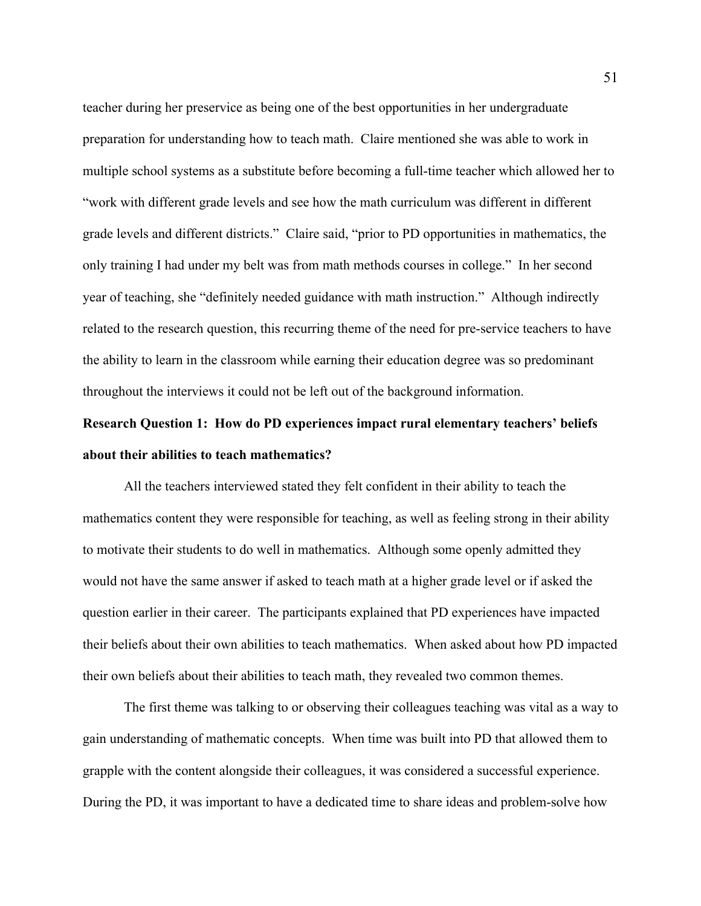teacher during her preservice as being one of the best opportunities in her undergraduate preparation for understanding how to teach math. Claire mentioned she was able to work in multiple school systems as a substitute before becoming a full-time teacher which allowed her to "work with different grade levels and see how the math curriculum was different in different grade levels and different districts." Claire said, "prior to PD opportunities in mathematics, the only training I had under my belt was from math methods courses in college." In her second year of teaching, she "definitely needed guidance with math instruction." Although indirectly related to the research question, this recurring theme of the need for pre-service teachers to have the ability to learn in the classroom while earning their education degree was so predominant throughout the interviews it could not be left out of the background information.

# **Research Question 1: How do PD experiences impact rural elementary teachers' beliefs about their abilities to teach mathematics?**

All the teachers interviewed stated they felt confident in their ability to teach the mathematics content they were responsible for teaching, as well as feeling strong in their ability to motivate their students to do well in mathematics. Although some openly admitted they would not have the same answer if asked to teach math at a higher grade level or if asked the question earlier in their career. The participants explained that PD experiences have impacted their beliefs about their own abilities to teach mathematics. When asked about how PD impacted their own beliefs about their abilities to teach math, they revealed two common themes.

The first theme was talking to or observing their colleagues teaching was vital as a way to gain understanding of mathematic concepts. When time was built into PD that allowed them to grapple with the content alongside their colleagues, it was considered a successful experience. During the PD, it was important to have a dedicated time to share ideas and problem-solve how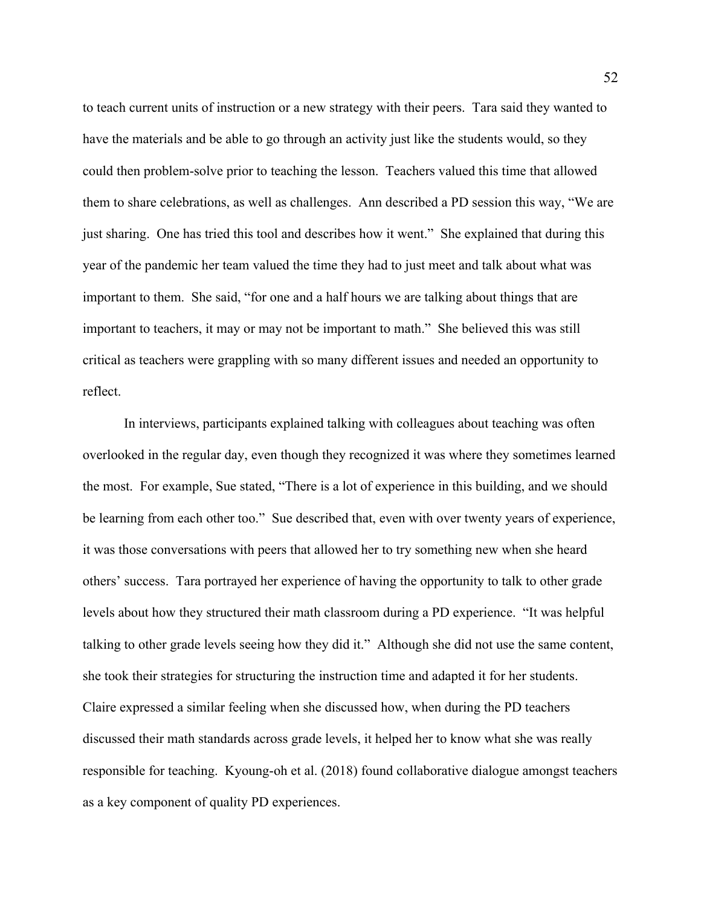to teach current units of instruction or a new strategy with their peers. Tara said they wanted to have the materials and be able to go through an activity just like the students would, so they could then problem-solve prior to teaching the lesson. Teachers valued this time that allowed them to share celebrations, as well as challenges. Ann described a PD session this way, "We are just sharing. One has tried this tool and describes how it went." She explained that during this year of the pandemic her team valued the time they had to just meet and talk about what was important to them. She said, "for one and a half hours we are talking about things that are important to teachers, it may or may not be important to math." She believed this was still critical as teachers were grappling with so many different issues and needed an opportunity to reflect.

In interviews, participants explained talking with colleagues about teaching was often overlooked in the regular day, even though they recognized it was where they sometimes learned the most. For example, Sue stated, "There is a lot of experience in this building, and we should be learning from each other too." Sue described that, even with over twenty years of experience, it was those conversations with peers that allowed her to try something new when she heard others' success. Tara portrayed her experience of having the opportunity to talk to other grade levels about how they structured their math classroom during a PD experience. "It was helpful talking to other grade levels seeing how they did it." Although she did not use the same content, she took their strategies for structuring the instruction time and adapted it for her students. Claire expressed a similar feeling when she discussed how, when during the PD teachers discussed their math standards across grade levels, it helped her to know what she was really responsible for teaching. Kyoung-oh et al. (2018) found collaborative dialogue amongst teachers as a key component of quality PD experiences.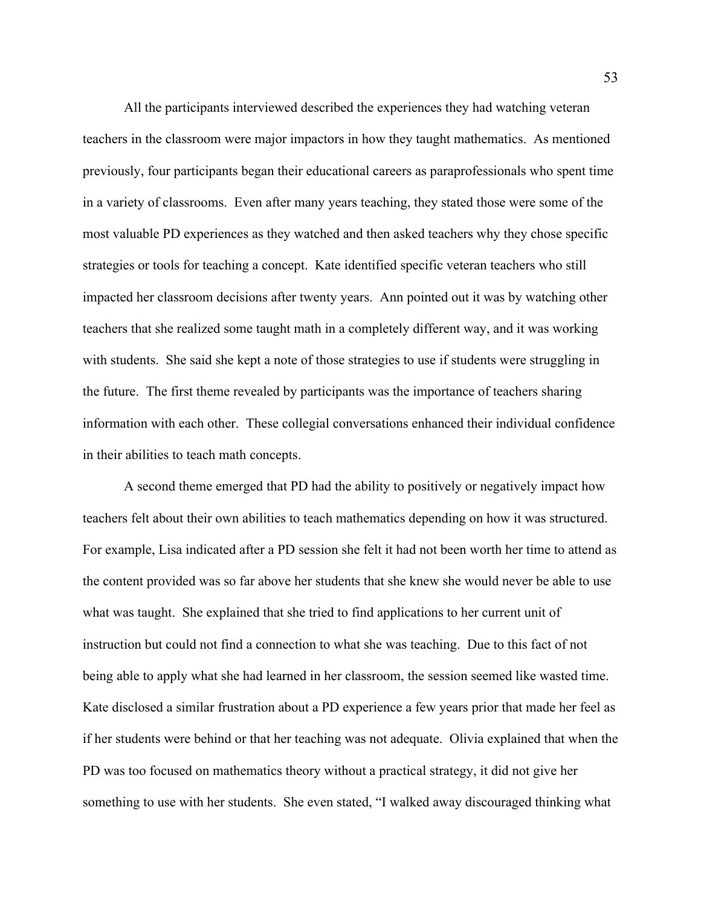All the participants interviewed described the experiences they had watching veteran teachers in the classroom were major impactors in how they taught mathematics. As mentioned previously, four participants began their educational careers as paraprofessionals who spent time in a variety of classrooms. Even after many years teaching, they stated those were some of the most valuable PD experiences as they watched and then asked teachers why they chose specific strategies or tools for teaching a concept. Kate identified specific veteran teachers who still impacted her classroom decisions after twenty years. Ann pointed out it was by watching other teachers that she realized some taught math in a completely different way, and it was working with students. She said she kept a note of those strategies to use if students were struggling in the future. The first theme revealed by participants was the importance of teachers sharing information with each other. These collegial conversations enhanced their individual confidence in their abilities to teach math concepts.

A second theme emerged that PD had the ability to positively or negatively impact how teachers felt about their own abilities to teach mathematics depending on how it was structured. For example, Lisa indicated after a PD session she felt it had not been worth her time to attend as the content provided was so far above her students that she knew she would never be able to use what was taught. She explained that she tried to find applications to her current unit of instruction but could not find a connection to what she was teaching. Due to this fact of not being able to apply what she had learned in her classroom, the session seemed like wasted time. Kate disclosed a similar frustration about a PD experience a few years prior that made her feel as if her students were behind or that her teaching was not adequate. Olivia explained that when the PD was too focused on mathematics theory without a practical strategy, it did not give her something to use with her students. She even stated, "I walked away discouraged thinking what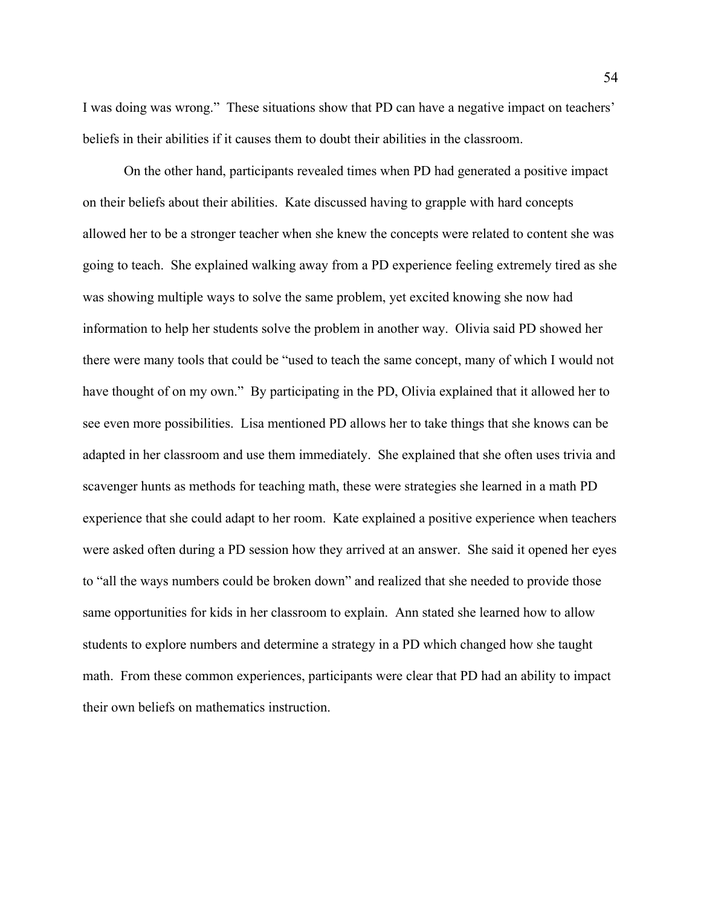I was doing was wrong." These situations show that PD can have a negative impact on teachers' beliefs in their abilities if it causes them to doubt their abilities in the classroom.

On the other hand, participants revealed times when PD had generated a positive impact on their beliefs about their abilities. Kate discussed having to grapple with hard concepts allowed her to be a stronger teacher when she knew the concepts were related to content she was going to teach. She explained walking away from a PD experience feeling extremely tired as she was showing multiple ways to solve the same problem, yet excited knowing she now had information to help her students solve the problem in another way. Olivia said PD showed her there were many tools that could be "used to teach the same concept, many of which I would not have thought of on my own." By participating in the PD, Olivia explained that it allowed her to see even more possibilities. Lisa mentioned PD allows her to take things that she knows can be adapted in her classroom and use them immediately. She explained that she often uses trivia and scavenger hunts as methods for teaching math, these were strategies she learned in a math PD experience that she could adapt to her room. Kate explained a positive experience when teachers were asked often during a PD session how they arrived at an answer. She said it opened her eyes to "all the ways numbers could be broken down" and realized that she needed to provide those same opportunities for kids in her classroom to explain. Ann stated she learned how to allow students to explore numbers and determine a strategy in a PD which changed how she taught math. From these common experiences, participants were clear that PD had an ability to impact their own beliefs on mathematics instruction.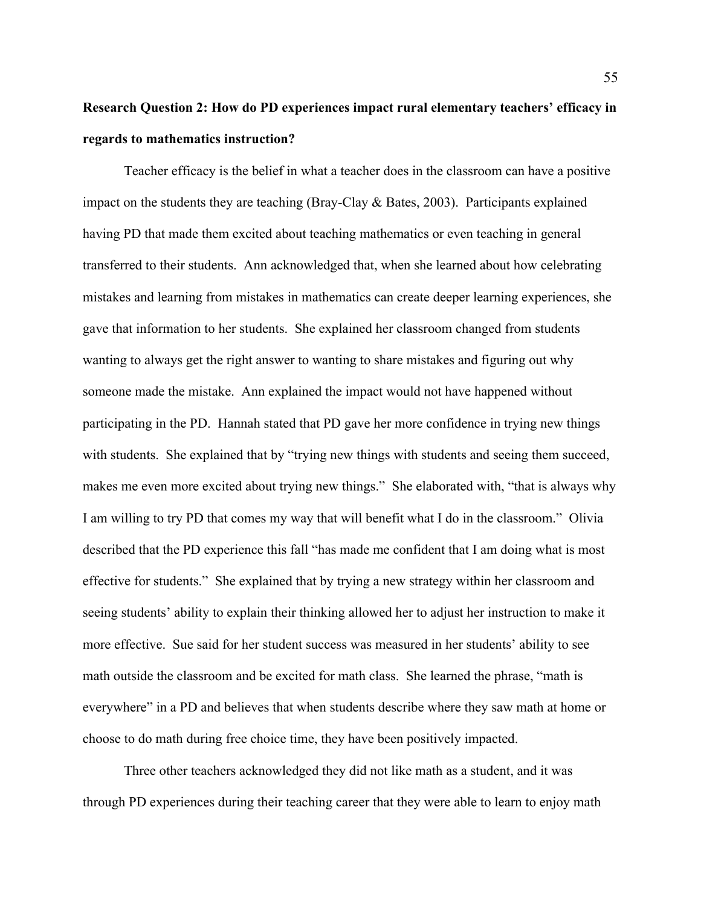# **Research Question 2: How do PD experiences impact rural elementary teachers' efficacy in regards to mathematics instruction?**

Teacher efficacy is the belief in what a teacher does in the classroom can have a positive impact on the students they are teaching (Bray-Clay & Bates, 2003). Participants explained having PD that made them excited about teaching mathematics or even teaching in general transferred to their students. Ann acknowledged that, when she learned about how celebrating mistakes and learning from mistakes in mathematics can create deeper learning experiences, she gave that information to her students. She explained her classroom changed from students wanting to always get the right answer to wanting to share mistakes and figuring out why someone made the mistake. Ann explained the impact would not have happened without participating in the PD. Hannah stated that PD gave her more confidence in trying new things with students. She explained that by "trying new things with students and seeing them succeed, makes me even more excited about trying new things." She elaborated with, "that is always why I am willing to try PD that comes my way that will benefit what I do in the classroom." Olivia described that the PD experience this fall "has made me confident that I am doing what is most effective for students." She explained that by trying a new strategy within her classroom and seeing students' ability to explain their thinking allowed her to adjust her instruction to make it more effective. Sue said for her student success was measured in her students' ability to see math outside the classroom and be excited for math class. She learned the phrase, "math is everywhere" in a PD and believes that when students describe where they saw math at home or choose to do math during free choice time, they have been positively impacted.

Three other teachers acknowledged they did not like math as a student, and it was through PD experiences during their teaching career that they were able to learn to enjoy math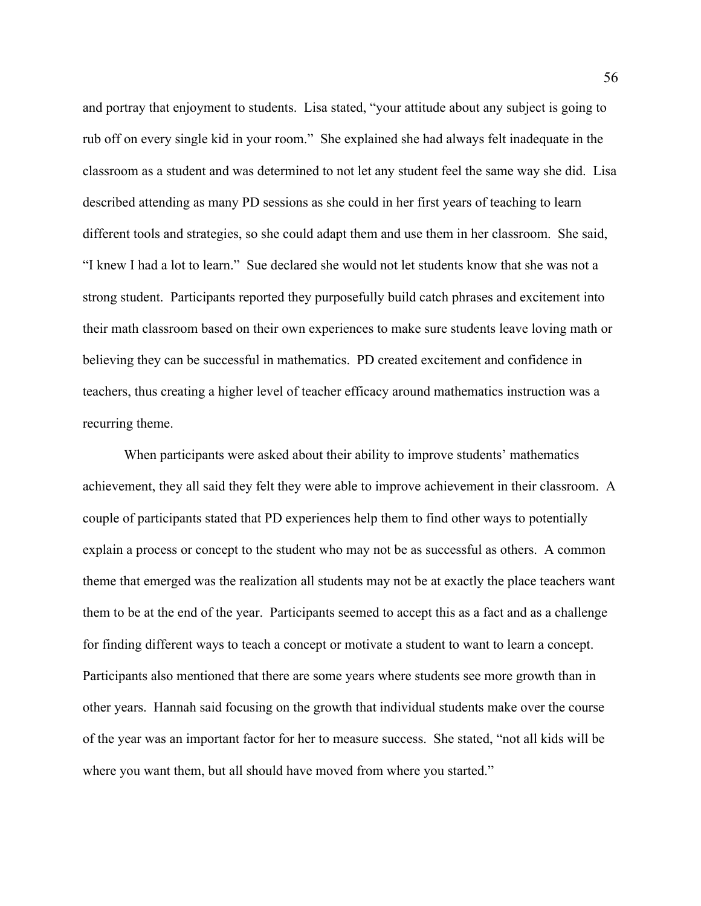and portray that enjoyment to students. Lisa stated, "your attitude about any subject is going to rub off on every single kid in your room." She explained she had always felt inadequate in the classroom as a student and was determined to not let any student feel the same way she did. Lisa described attending as many PD sessions as she could in her first years of teaching to learn different tools and strategies, so she could adapt them and use them in her classroom. She said, "I knew I had a lot to learn." Sue declared she would not let students know that she was not a strong student. Participants reported they purposefully build catch phrases and excitement into their math classroom based on their own experiences to make sure students leave loving math or believing they can be successful in mathematics. PD created excitement and confidence in teachers, thus creating a higher level of teacher efficacy around mathematics instruction was a recurring theme.

When participants were asked about their ability to improve students' mathematics achievement, they all said they felt they were able to improve achievement in their classroom. A couple of participants stated that PD experiences help them to find other ways to potentially explain a process or concept to the student who may not be as successful as others. A common theme that emerged was the realization all students may not be at exactly the place teachers want them to be at the end of the year. Participants seemed to accept this as a fact and as a challenge for finding different ways to teach a concept or motivate a student to want to learn a concept. Participants also mentioned that there are some years where students see more growth than in other years. Hannah said focusing on the growth that individual students make over the course of the year was an important factor for her to measure success. She stated, "not all kids will be where you want them, but all should have moved from where you started."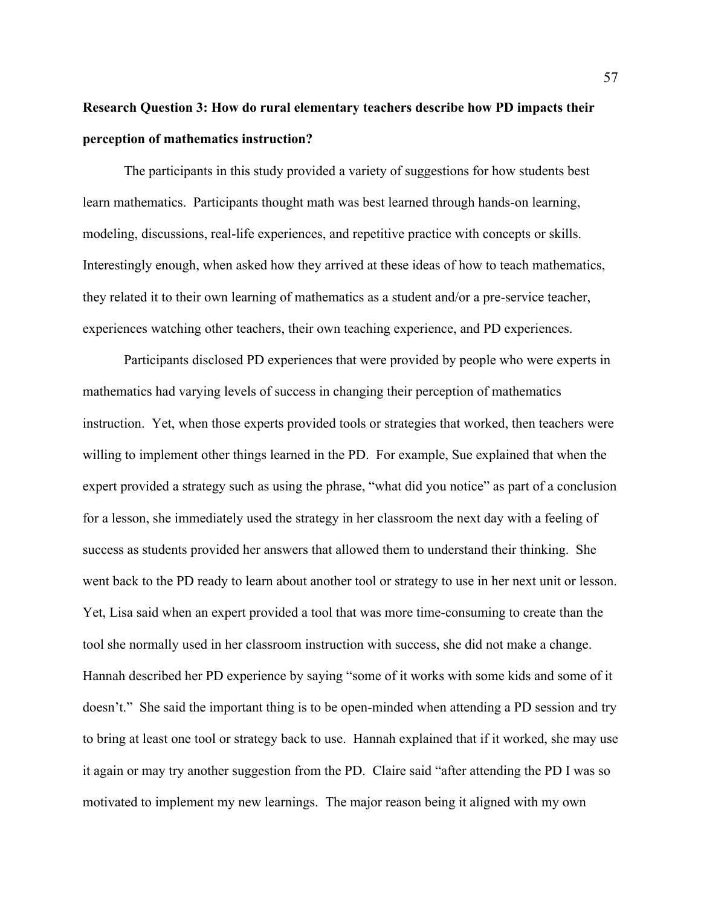# **Research Question 3: How do rural elementary teachers describe how PD impacts their perception of mathematics instruction?**

The participants in this study provided a variety of suggestions for how students best learn mathematics. Participants thought math was best learned through hands-on learning, modeling, discussions, real-life experiences, and repetitive practice with concepts or skills. Interestingly enough, when asked how they arrived at these ideas of how to teach mathematics, they related it to their own learning of mathematics as a student and/or a pre-service teacher, experiences watching other teachers, their own teaching experience, and PD experiences.

Participants disclosed PD experiences that were provided by people who were experts in mathematics had varying levels of success in changing their perception of mathematics instruction. Yet, when those experts provided tools or strategies that worked, then teachers were willing to implement other things learned in the PD. For example, Sue explained that when the expert provided a strategy such as using the phrase, "what did you notice" as part of a conclusion for a lesson, she immediately used the strategy in her classroom the next day with a feeling of success as students provided her answers that allowed them to understand their thinking. She went back to the PD ready to learn about another tool or strategy to use in her next unit or lesson. Yet, Lisa said when an expert provided a tool that was more time-consuming to create than the tool she normally used in her classroom instruction with success, she did not make a change. Hannah described her PD experience by saying "some of it works with some kids and some of it doesn't." She said the important thing is to be open-minded when attending a PD session and try to bring at least one tool or strategy back to use. Hannah explained that if it worked, she may use it again or may try another suggestion from the PD. Claire said "after attending the PD I was so motivated to implement my new learnings. The major reason being it aligned with my own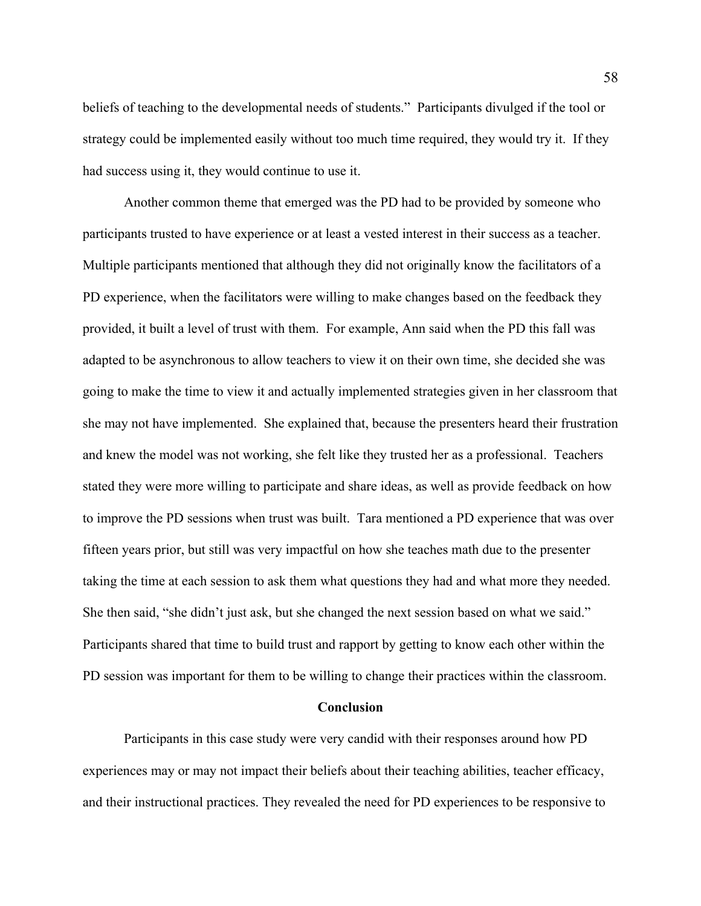beliefs of teaching to the developmental needs of students." Participants divulged if the tool or strategy could be implemented easily without too much time required, they would try it. If they had success using it, they would continue to use it.

Another common theme that emerged was the PD had to be provided by someone who participants trusted to have experience or at least a vested interest in their success as a teacher. Multiple participants mentioned that although they did not originally know the facilitators of a PD experience, when the facilitators were willing to make changes based on the feedback they provided, it built a level of trust with them. For example, Ann said when the PD this fall was adapted to be asynchronous to allow teachers to view it on their own time, she decided she was going to make the time to view it and actually implemented strategies given in her classroom that she may not have implemented. She explained that, because the presenters heard their frustration and knew the model was not working, she felt like they trusted her as a professional. Teachers stated they were more willing to participate and share ideas, as well as provide feedback on how to improve the PD sessions when trust was built. Tara mentioned a PD experience that was over fifteen years prior, but still was very impactful on how she teaches math due to the presenter taking the time at each session to ask them what questions they had and what more they needed. She then said, "she didn't just ask, but she changed the next session based on what we said." Participants shared that time to build trust and rapport by getting to know each other within the PD session was important for them to be willing to change their practices within the classroom.

#### **Conclusion**

Participants in this case study were very candid with their responses around how PD experiences may or may not impact their beliefs about their teaching abilities, teacher efficacy, and their instructional practices. They revealed the need for PD experiences to be responsive to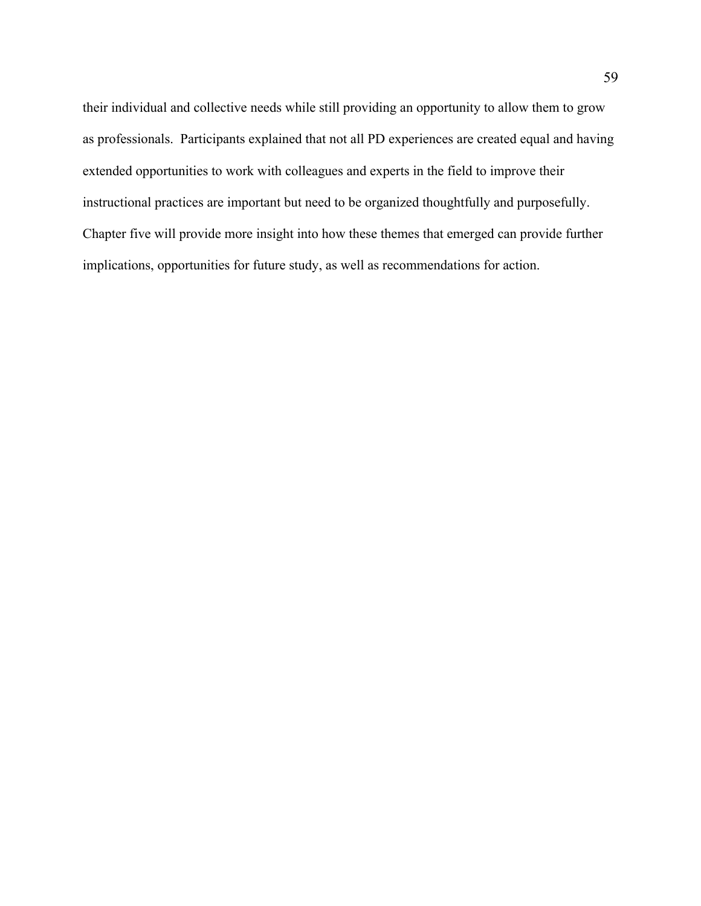their individual and collective needs while still providing an opportunity to allow them to grow as professionals. Participants explained that not all PD experiences are created equal and having extended opportunities to work with colleagues and experts in the field to improve their instructional practices are important but need to be organized thoughtfully and purposefully. Chapter five will provide more insight into how these themes that emerged can provide further implications, opportunities for future study, as well as recommendations for action.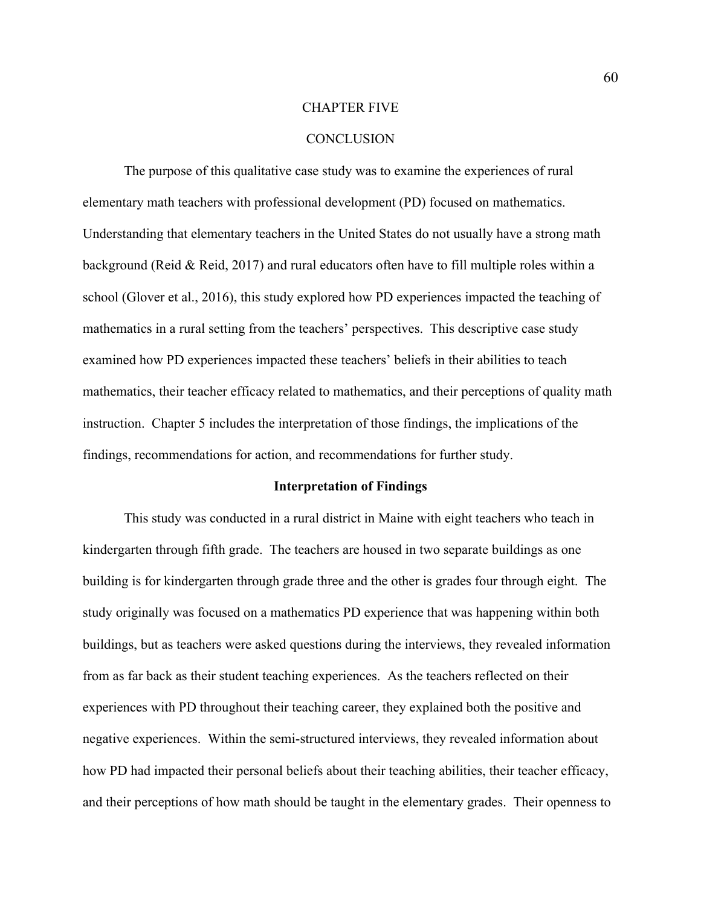#### CHAPTER FIVE

#### **CONCLUSION**

The purpose of this qualitative case study was to examine the experiences of rural elementary math teachers with professional development (PD) focused on mathematics. Understanding that elementary teachers in the United States do not usually have a strong math background (Reid & Reid, 2017) and rural educators often have to fill multiple roles within a school (Glover et al., 2016), this study explored how PD experiences impacted the teaching of mathematics in a rural setting from the teachers' perspectives. This descriptive case study examined how PD experiences impacted these teachers' beliefs in their abilities to teach mathematics, their teacher efficacy related to mathematics, and their perceptions of quality math instruction. Chapter 5 includes the interpretation of those findings, the implications of the findings, recommendations for action, and recommendations for further study.

#### **Interpretation of Findings**

This study was conducted in a rural district in Maine with eight teachers who teach in kindergarten through fifth grade. The teachers are housed in two separate buildings as one building is for kindergarten through grade three and the other is grades four through eight. The study originally was focused on a mathematics PD experience that was happening within both buildings, but as teachers were asked questions during the interviews, they revealed information from as far back as their student teaching experiences. As the teachers reflected on their experiences with PD throughout their teaching career, they explained both the positive and negative experiences. Within the semi-structured interviews, they revealed information about how PD had impacted their personal beliefs about their teaching abilities, their teacher efficacy, and their perceptions of how math should be taught in the elementary grades. Their openness to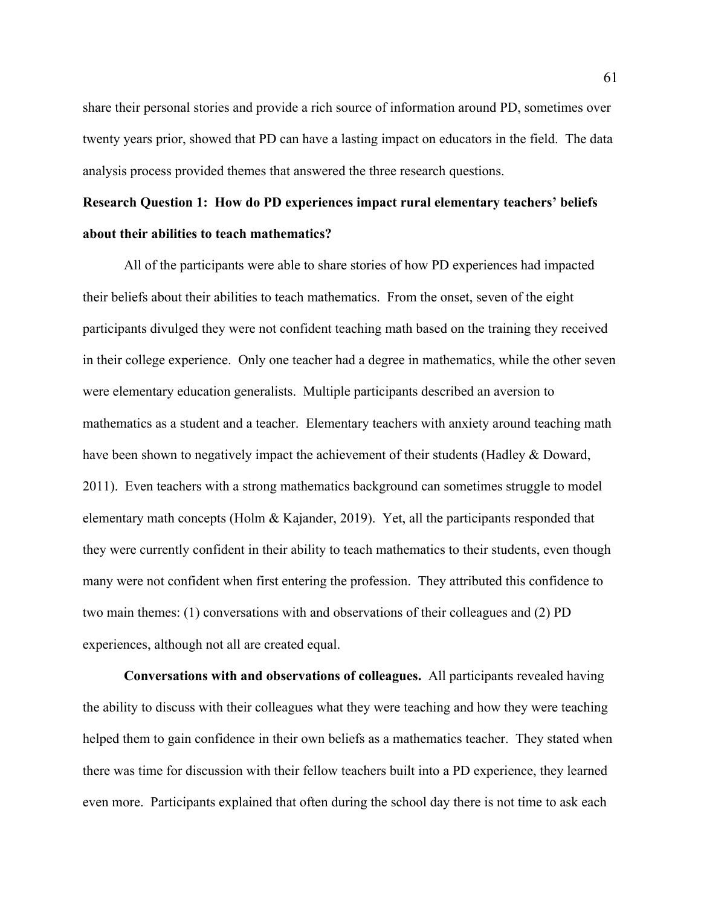share their personal stories and provide a rich source of information around PD, sometimes over twenty years prior, showed that PD can have a lasting impact on educators in the field. The data analysis process provided themes that answered the three research questions.

# **Research Question 1: How do PD experiences impact rural elementary teachers' beliefs about their abilities to teach mathematics?**

All of the participants were able to share stories of how PD experiences had impacted their beliefs about their abilities to teach mathematics. From the onset, seven of the eight participants divulged they were not confident teaching math based on the training they received in their college experience. Only one teacher had a degree in mathematics, while the other seven were elementary education generalists. Multiple participants described an aversion to mathematics as a student and a teacher. Elementary teachers with anxiety around teaching math have been shown to negatively impact the achievement of their students (Hadley & Doward, 2011). Even teachers with a strong mathematics background can sometimes struggle to model elementary math concepts (Holm & Kajander, 2019). Yet, all the participants responded that they were currently confident in their ability to teach mathematics to their students, even though many were not confident when first entering the profession. They attributed this confidence to two main themes: (1) conversations with and observations of their colleagues and (2) PD experiences, although not all are created equal.

**Conversations with and observations of colleagues.** All participants revealed having the ability to discuss with their colleagues what they were teaching and how they were teaching helped them to gain confidence in their own beliefs as a mathematics teacher. They stated when there was time for discussion with their fellow teachers built into a PD experience, they learned even more. Participants explained that often during the school day there is not time to ask each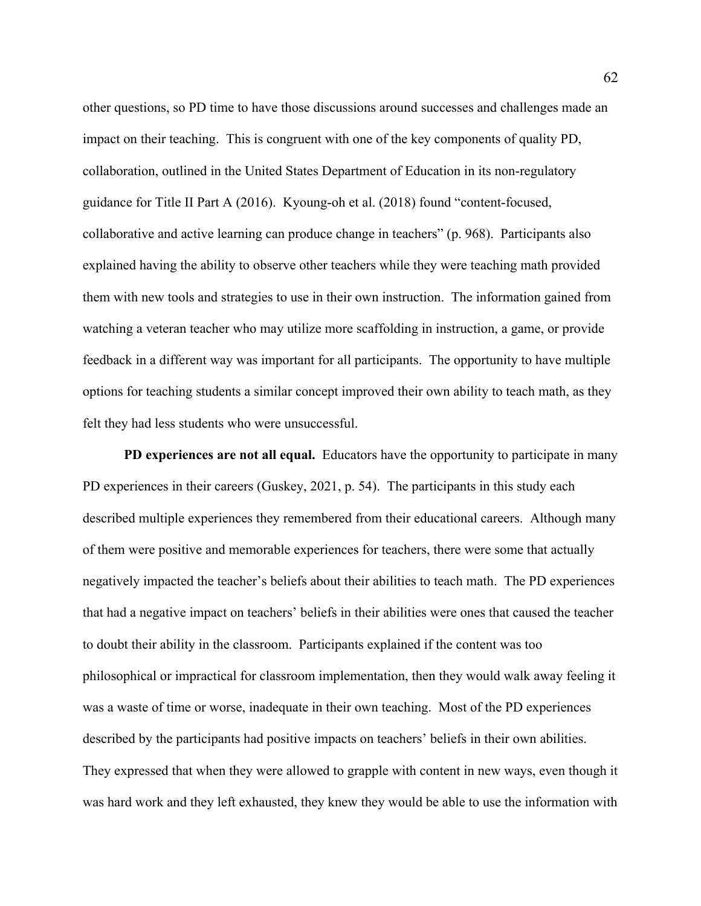other questions, so PD time to have those discussions around successes and challenges made an impact on their teaching. This is congruent with one of the key components of quality PD, collaboration, outlined in the United States Department of Education in its non-regulatory guidance for Title II Part A (2016). Kyoung-oh et al. (2018) found "content-focused, collaborative and active learning can produce change in teachers" (p. 968). Participants also explained having the ability to observe other teachers while they were teaching math provided them with new tools and strategies to use in their own instruction. The information gained from watching a veteran teacher who may utilize more scaffolding in instruction, a game, or provide feedback in a different way was important for all participants. The opportunity to have multiple options for teaching students a similar concept improved their own ability to teach math, as they felt they had less students who were unsuccessful.

**PD experiences are not all equal.** Educators have the opportunity to participate in many PD experiences in their careers (Guskey, 2021, p. 54). The participants in this study each described multiple experiences they remembered from their educational careers. Although many of them were positive and memorable experiences for teachers, there were some that actually negatively impacted the teacher's beliefs about their abilities to teach math. The PD experiences that had a negative impact on teachers' beliefs in their abilities were ones that caused the teacher to doubt their ability in the classroom. Participants explained if the content was too philosophical or impractical for classroom implementation, then they would walk away feeling it was a waste of time or worse, inadequate in their own teaching. Most of the PD experiences described by the participants had positive impacts on teachers' beliefs in their own abilities. They expressed that when they were allowed to grapple with content in new ways, even though it was hard work and they left exhausted, they knew they would be able to use the information with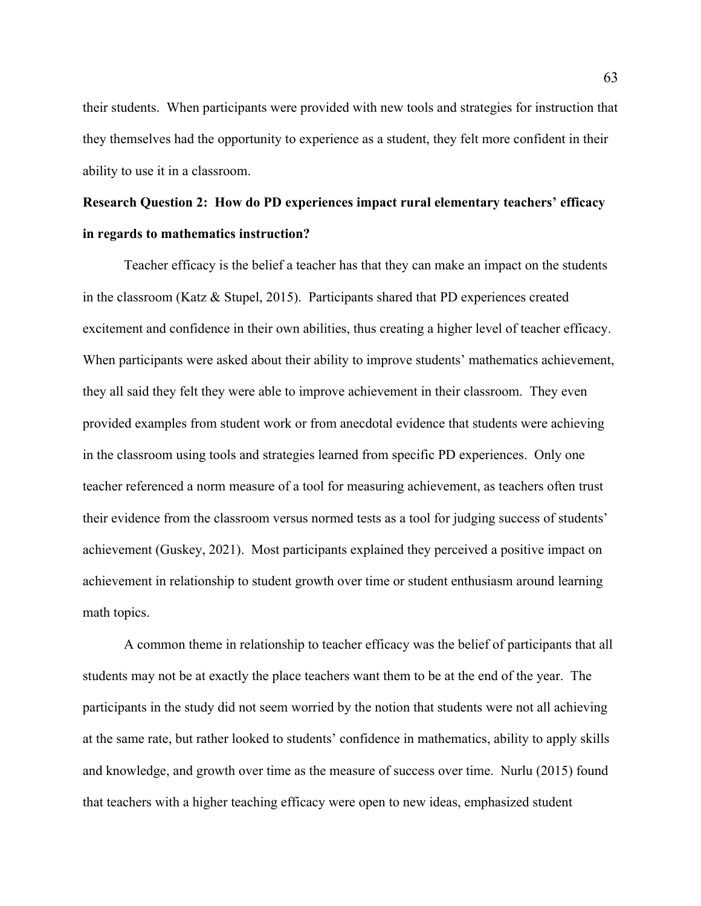their students. When participants were provided with new tools and strategies for instruction that they themselves had the opportunity to experience as a student, they felt more confident in their ability to use it in a classroom.

# **Research Question 2: How do PD experiences impact rural elementary teachers' efficacy in regards to mathematics instruction?**

Teacher efficacy is the belief a teacher has that they can make an impact on the students in the classroom (Katz & Stupel, 2015). Participants shared that PD experiences created excitement and confidence in their own abilities, thus creating a higher level of teacher efficacy. When participants were asked about their ability to improve students' mathematics achievement, they all said they felt they were able to improve achievement in their classroom. They even provided examples from student work or from anecdotal evidence that students were achieving in the classroom using tools and strategies learned from specific PD experiences. Only one teacher referenced a norm measure of a tool for measuring achievement, as teachers often trust their evidence from the classroom versus normed tests as a tool for judging success of students' achievement (Guskey, 2021). Most participants explained they perceived a positive impact on achievement in relationship to student growth over time or student enthusiasm around learning math topics.

A common theme in relationship to teacher efficacy was the belief of participants that all students may not be at exactly the place teachers want them to be at the end of the year. The participants in the study did not seem worried by the notion that students were not all achieving at the same rate, but rather looked to students' confidence in mathematics, ability to apply skills and knowledge, and growth over time as the measure of success over time. Nurlu (2015) found that teachers with a higher teaching efficacy were open to new ideas, emphasized student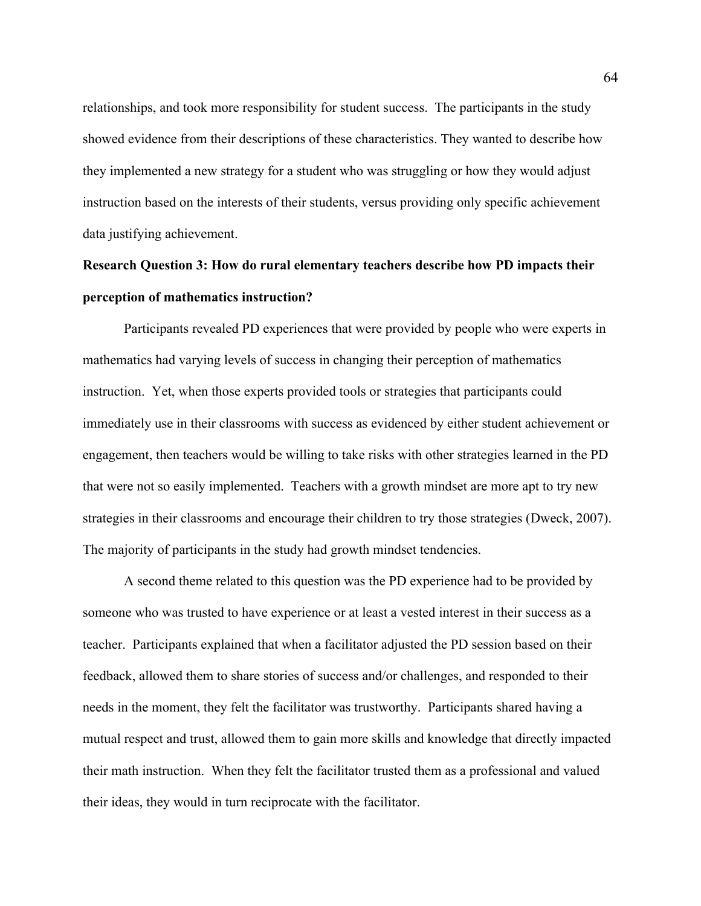relationships, and took more responsibility for student success. The participants in the study showed evidence from their descriptions of these characteristics. They wanted to describe how they implemented a new strategy for a student who was struggling or how they would adjust instruction based on the interests of their students, versus providing only specific achievement data justifying achievement.

# **Research Question 3: How do rural elementary teachers describe how PD impacts their perception of mathematics instruction?**

Participants revealed PD experiences that were provided by people who were experts in mathematics had varying levels of success in changing their perception of mathematics instruction. Yet, when those experts provided tools or strategies that participants could immediately use in their classrooms with success as evidenced by either student achievement or engagement, then teachers would be willing to take risks with other strategies learned in the PD that were not so easily implemented. Teachers with a growth mindset are more apt to try new strategies in their classrooms and encourage their children to try those strategies (Dweck, 2007). The majority of participants in the study had growth mindset tendencies.

A second theme related to this question was the PD experience had to be provided by someone who was trusted to have experience or at least a vested interest in their success as a teacher. Participants explained that when a facilitator adjusted the PD session based on their feedback, allowed them to share stories of success and/or challenges, and responded to their needs in the moment, they felt the facilitator was trustworthy. Participants shared having a mutual respect and trust, allowed them to gain more skills and knowledge that directly impacted their math instruction. When they felt the facilitator trusted them as a professional and valued their ideas, they would in turn reciprocate with the facilitator.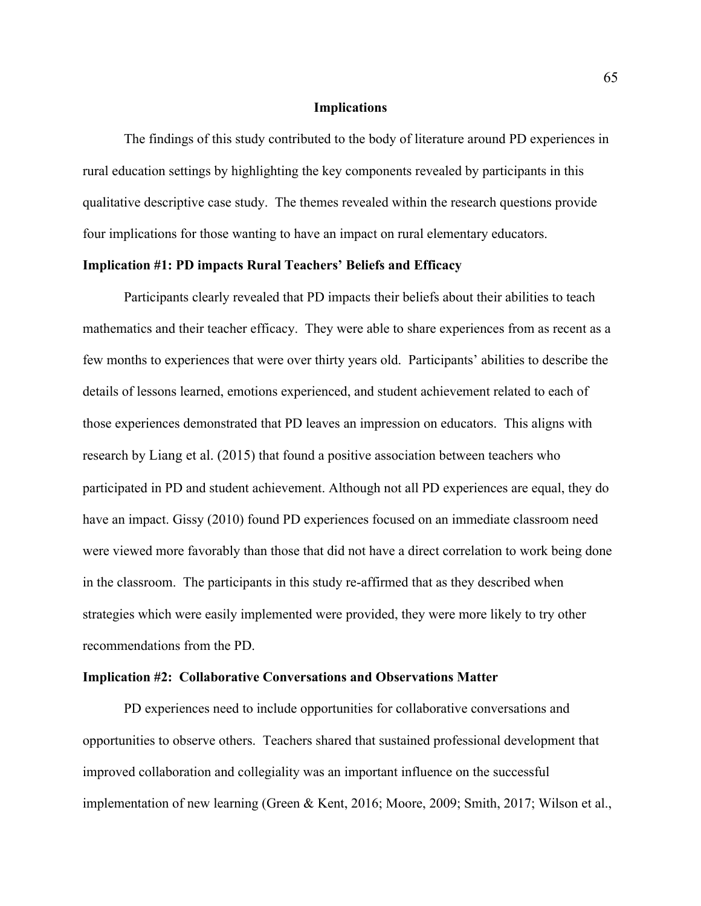### **Implications**

The findings of this study contributed to the body of literature around PD experiences in rural education settings by highlighting the key components revealed by participants in this qualitative descriptive case study. The themes revealed within the research questions provide four implications for those wanting to have an impact on rural elementary educators.

### **Implication #1: PD impacts Rural Teachers' Beliefs and Efficacy**

Participants clearly revealed that PD impacts their beliefs about their abilities to teach mathematics and their teacher efficacy. They were able to share experiences from as recent as a few months to experiences that were over thirty years old. Participants' abilities to describe the details of lessons learned, emotions experienced, and student achievement related to each of those experiences demonstrated that PD leaves an impression on educators. This aligns with research by Liang et al. (2015) that found a positive association between teachers who participated in PD and student achievement. Although not all PD experiences are equal, they do have an impact. Gissy (2010) found PD experiences focused on an immediate classroom need were viewed more favorably than those that did not have a direct correlation to work being done in the classroom. The participants in this study re-affirmed that as they described when strategies which were easily implemented were provided, they were more likely to try other recommendations from the PD.

### **Implication #2: Collaborative Conversations and Observations Matter**

PD experiences need to include opportunities for collaborative conversations and opportunities to observe others. Teachers shared that sustained professional development that improved collaboration and collegiality was an important influence on the successful implementation of new learning (Green & Kent, 2016; Moore, 2009; Smith, 2017; Wilson et al.,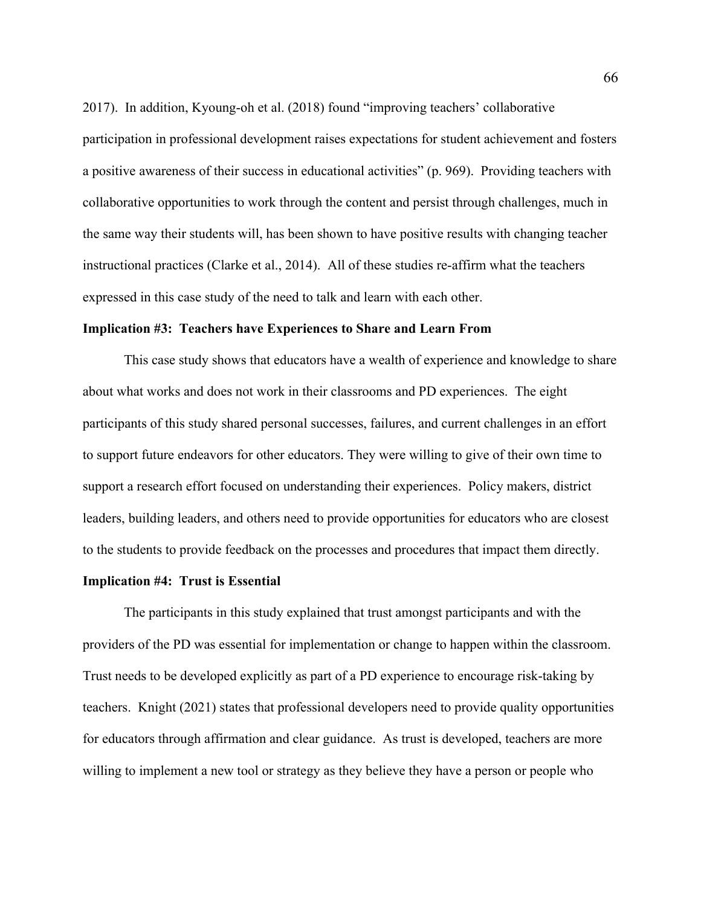2017). In addition, Kyoung-oh et al. (2018) found "improving teachers' collaborative participation in professional development raises expectations for student achievement and fosters a positive awareness of their success in educational activities" (p. 969). Providing teachers with collaborative opportunities to work through the content and persist through challenges, much in the same way their students will, has been shown to have positive results with changing teacher instructional practices (Clarke et al., 2014). All of these studies re-affirm what the teachers expressed in this case study of the need to talk and learn with each other.

### **Implication #3: Teachers have Experiences to Share and Learn From**

This case study shows that educators have a wealth of experience and knowledge to share about what works and does not work in their classrooms and PD experiences. The eight participants of this study shared personal successes, failures, and current challenges in an effort to support future endeavors for other educators. They were willing to give of their own time to support a research effort focused on understanding their experiences. Policy makers, district leaders, building leaders, and others need to provide opportunities for educators who are closest to the students to provide feedback on the processes and procedures that impact them directly.

### **Implication #4: Trust is Essential**

The participants in this study explained that trust amongst participants and with the providers of the PD was essential for implementation or change to happen within the classroom. Trust needs to be developed explicitly as part of a PD experience to encourage risk-taking by teachers. Knight (2021) states that professional developers need to provide quality opportunities for educators through affirmation and clear guidance. As trust is developed, teachers are more willing to implement a new tool or strategy as they believe they have a person or people who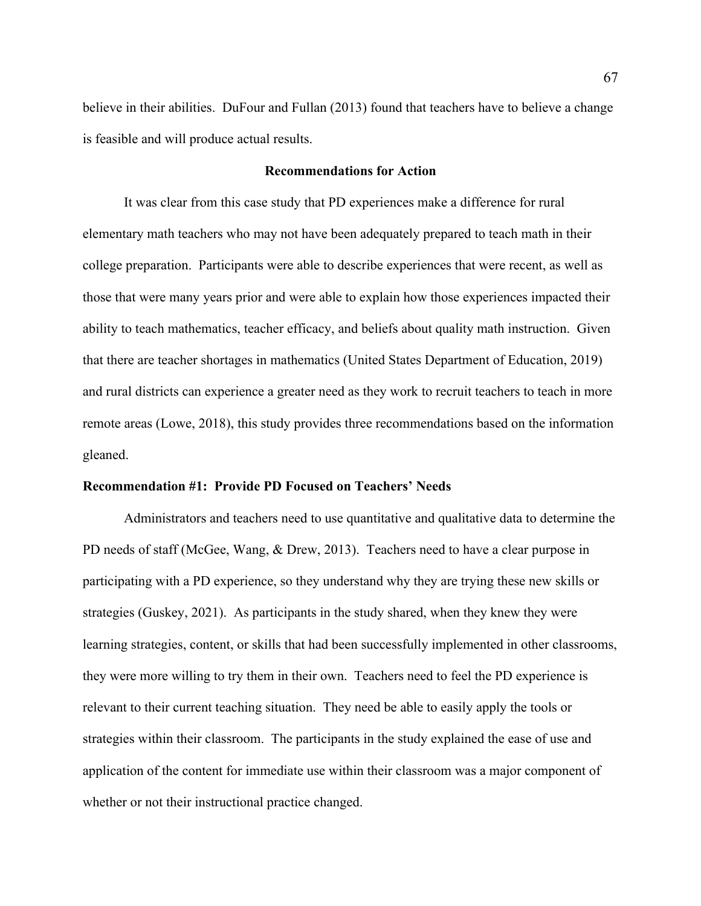believe in their abilities. DuFour and Fullan (2013) found that teachers have to believe a change is feasible and will produce actual results.

### **Recommendations for Action**

It was clear from this case study that PD experiences make a difference for rural elementary math teachers who may not have been adequately prepared to teach math in their college preparation. Participants were able to describe experiences that were recent, as well as those that were many years prior and were able to explain how those experiences impacted their ability to teach mathematics, teacher efficacy, and beliefs about quality math instruction. Given that there are teacher shortages in mathematics (United States Department of Education, 2019) and rural districts can experience a greater need as they work to recruit teachers to teach in more remote areas (Lowe, 2018), this study provides three recommendations based on the information gleaned.

### **Recommendation #1: Provide PD Focused on Teachers' Needs**

Administrators and teachers need to use quantitative and qualitative data to determine the PD needs of staff (McGee, Wang, & Drew, 2013). Teachers need to have a clear purpose in participating with a PD experience, so they understand why they are trying these new skills or strategies (Guskey, 2021). As participants in the study shared, when they knew they were learning strategies, content, or skills that had been successfully implemented in other classrooms, they were more willing to try them in their own. Teachers need to feel the PD experience is relevant to their current teaching situation. They need be able to easily apply the tools or strategies within their classroom. The participants in the study explained the ease of use and application of the content for immediate use within their classroom was a major component of whether or not their instructional practice changed.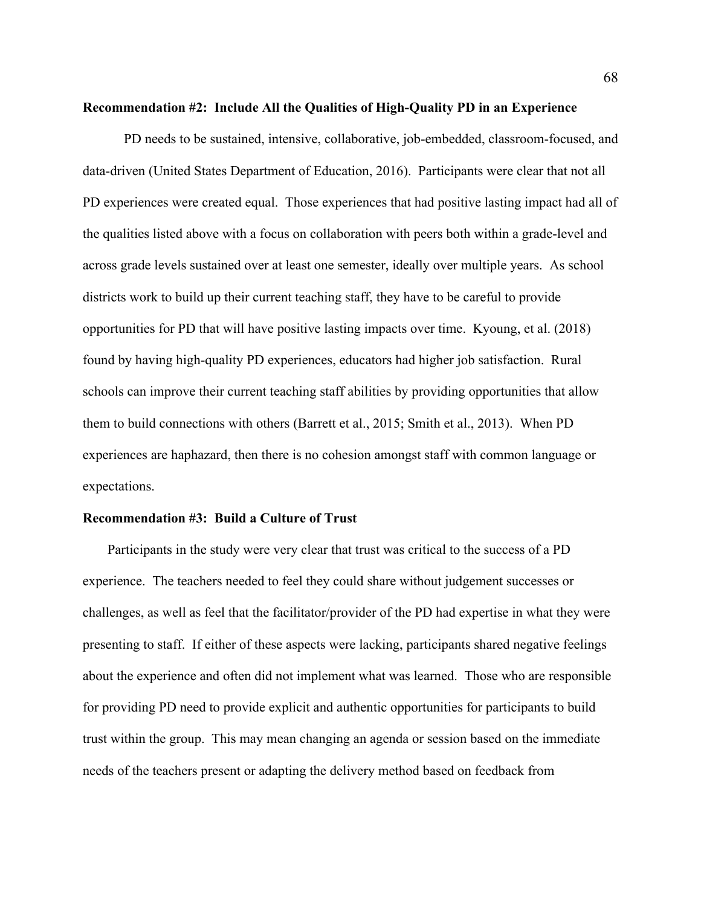### **Recommendation #2: Include All the Qualities of High-Quality PD in an Experience**

PD needs to be sustained, intensive, collaborative, job-embedded, classroom-focused, and data-driven (United States Department of Education, 2016). Participants were clear that not all PD experiences were created equal. Those experiences that had positive lasting impact had all of the qualities listed above with a focus on collaboration with peers both within a grade-level and across grade levels sustained over at least one semester, ideally over multiple years. As school districts work to build up their current teaching staff, they have to be careful to provide opportunities for PD that will have positive lasting impacts over time. Kyoung, et al. (2018) found by having high-quality PD experiences, educators had higher job satisfaction. Rural schools can improve their current teaching staff abilities by providing opportunities that allow them to build connections with others (Barrett et al., 2015; Smith et al., 2013). When PD experiences are haphazard, then there is no cohesion amongst staff with common language or expectations.

### **Recommendation #3: Build a Culture of Trust**

Participants in the study were very clear that trust was critical to the success of a PD experience. The teachers needed to feel they could share without judgement successes or challenges, as well as feel that the facilitator/provider of the PD had expertise in what they were presenting to staff. If either of these aspects were lacking, participants shared negative feelings about the experience and often did not implement what was learned. Those who are responsible for providing PD need to provide explicit and authentic opportunities for participants to build trust within the group. This may mean changing an agenda or session based on the immediate needs of the teachers present or adapting the delivery method based on feedback from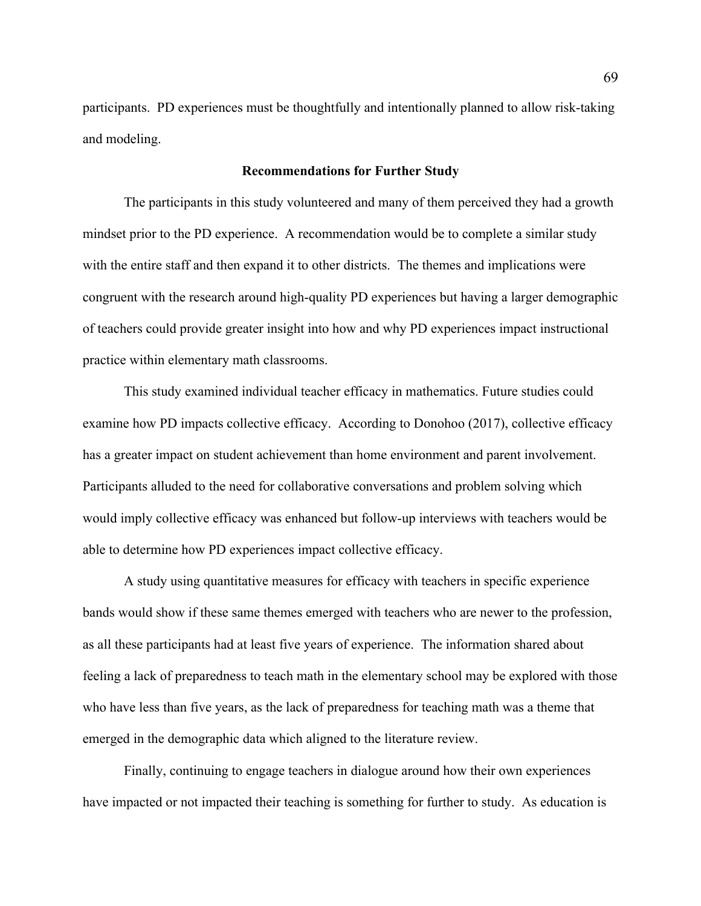participants. PD experiences must be thoughtfully and intentionally planned to allow risk-taking and modeling.

### **Recommendations for Further Study**

The participants in this study volunteered and many of them perceived they had a growth mindset prior to the PD experience. A recommendation would be to complete a similar study with the entire staff and then expand it to other districts. The themes and implications were congruent with the research around high-quality PD experiences but having a larger demographic of teachers could provide greater insight into how and why PD experiences impact instructional practice within elementary math classrooms.

This study examined individual teacher efficacy in mathematics. Future studies could examine how PD impacts collective efficacy. According to Donohoo (2017), collective efficacy has a greater impact on student achievement than home environment and parent involvement. Participants alluded to the need for collaborative conversations and problem solving which would imply collective efficacy was enhanced but follow-up interviews with teachers would be able to determine how PD experiences impact collective efficacy.

A study using quantitative measures for efficacy with teachers in specific experience bands would show if these same themes emerged with teachers who are newer to the profession, as all these participants had at least five years of experience. The information shared about feeling a lack of preparedness to teach math in the elementary school may be explored with those who have less than five years, as the lack of preparedness for teaching math was a theme that emerged in the demographic data which aligned to the literature review.

Finally, continuing to engage teachers in dialogue around how their own experiences have impacted or not impacted their teaching is something for further to study. As education is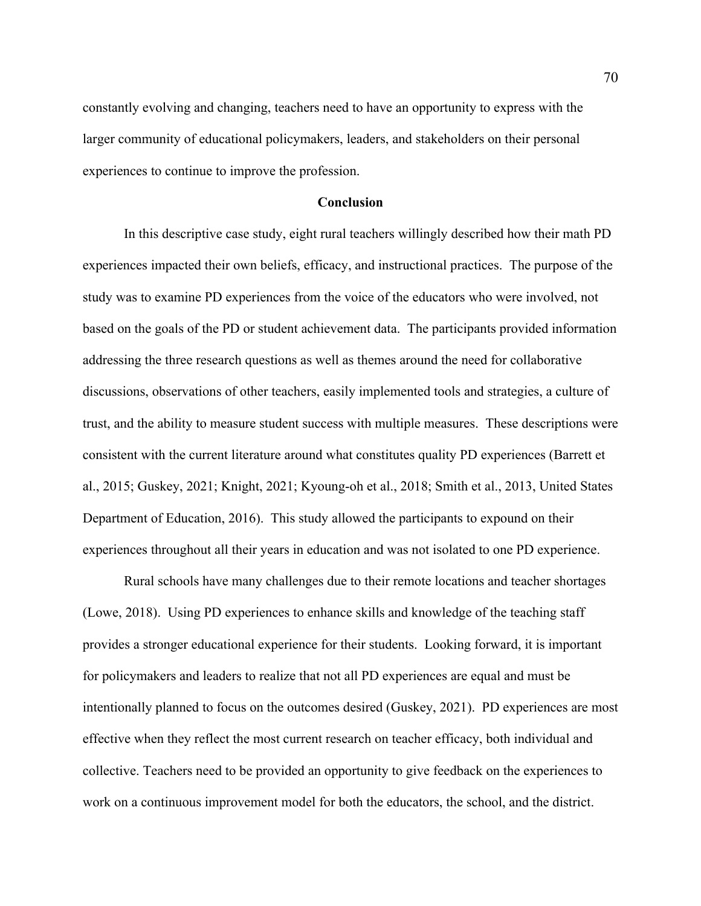constantly evolving and changing, teachers need to have an opportunity to express with the larger community of educational policymakers, leaders, and stakeholders on their personal experiences to continue to improve the profession.

### **Conclusion**

In this descriptive case study, eight rural teachers willingly described how their math PD experiences impacted their own beliefs, efficacy, and instructional practices. The purpose of the study was to examine PD experiences from the voice of the educators who were involved, not based on the goals of the PD or student achievement data. The participants provided information addressing the three research questions as well as themes around the need for collaborative discussions, observations of other teachers, easily implemented tools and strategies, a culture of trust, and the ability to measure student success with multiple measures. These descriptions were consistent with the current literature around what constitutes quality PD experiences (Barrett et al., 2015; Guskey, 2021; Knight, 2021; Kyoung-oh et al., 2018; Smith et al., 2013, United States Department of Education, 2016). This study allowed the participants to expound on their experiences throughout all their years in education and was not isolated to one PD experience.

Rural schools have many challenges due to their remote locations and teacher shortages (Lowe, 2018). Using PD experiences to enhance skills and knowledge of the teaching staff provides a stronger educational experience for their students. Looking forward, it is important for policymakers and leaders to realize that not all PD experiences are equal and must be intentionally planned to focus on the outcomes desired (Guskey, 2021). PD experiences are most effective when they reflect the most current research on teacher efficacy, both individual and collective. Teachers need to be provided an opportunity to give feedback on the experiences to work on a continuous improvement model for both the educators, the school, and the district.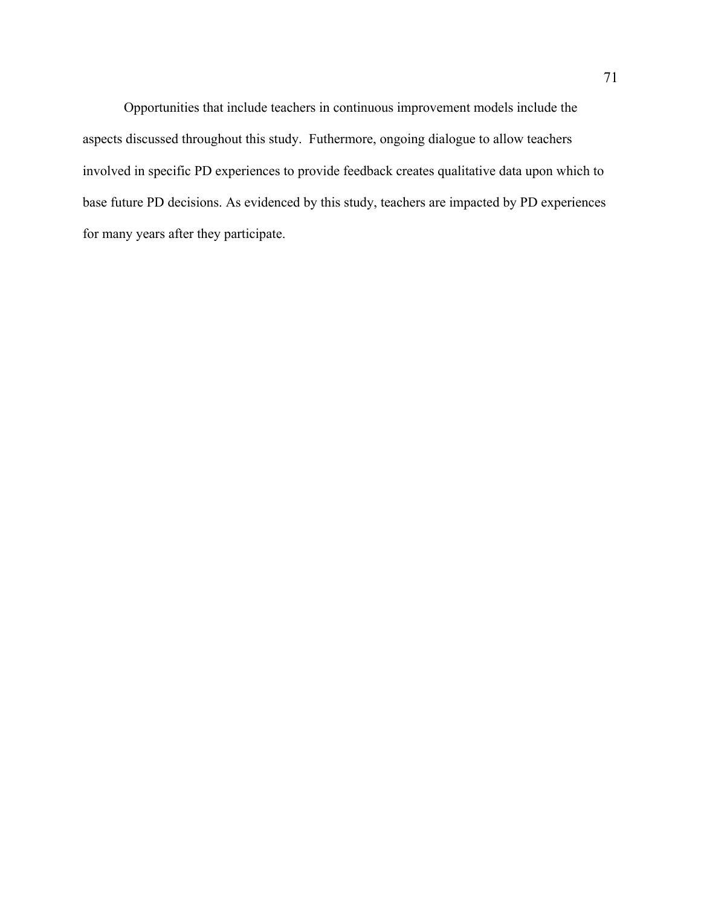Opportunities that include teachers in continuous improvement models include the aspects discussed throughout this study. Futhermore, ongoing dialogue to allow teachers involved in specific PD experiences to provide feedback creates qualitative data upon which to base future PD decisions. As evidenced by this study, teachers are impacted by PD experiences for many years after they participate.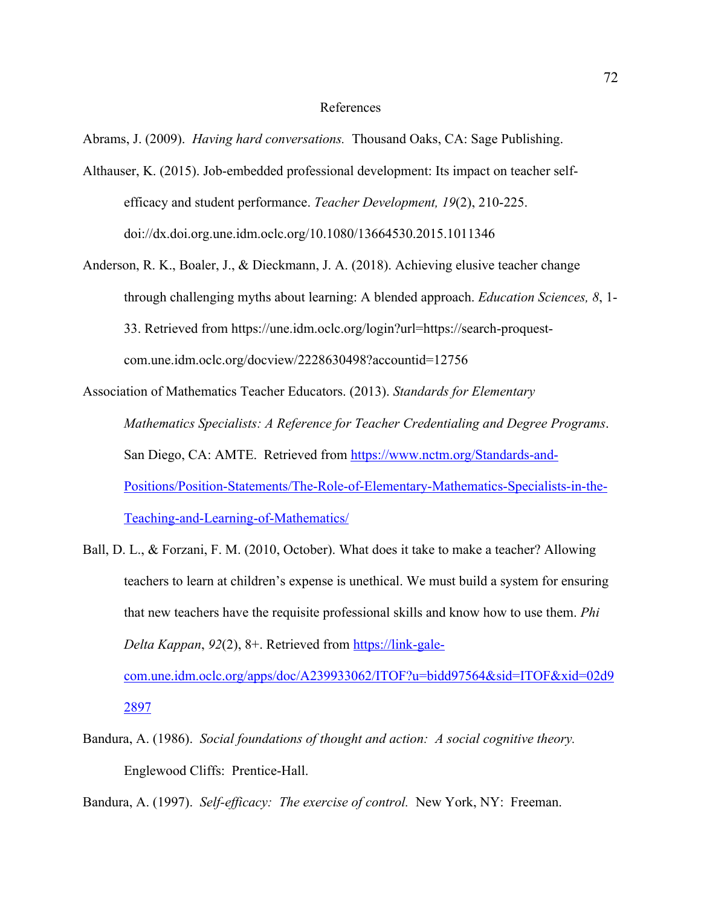### References

Abrams, J. (2009). *Having hard conversations.* Thousand Oaks, CA: Sage Publishing.

- Althauser, K. (2015). Job-embedded professional development: Its impact on teacher selfefficacy and student performance. *Teacher Development, 19*(2), 210-225. doi://dx.doi.org.une.idm.oclc.org/10.1080/13664530.2015.1011346
- Anderson, R. K., Boaler, J., & Dieckmann, J. A. (2018). Achieving elusive teacher change through challenging myths about learning: A blended approach. *Education Sciences, 8*, 1- 33. Retrieved from https://une.idm.oclc.org/login?url=https://search-proquestcom.une.idm.oclc.org/docview/2228630498?accountid=12756

Association of Mathematics Teacher Educators. (2013). *Standards for Elementary Mathematics Specialists: A Reference for Teacher Credentialing and Degree Programs*. San Diego, CA: AMTE. Retrieved from https://www.nctm.org/Standards-and-Positions/Position-Statements/The-Role-of-Elementary-Mathematics-Specialists-in-the-Teaching-and-Learning-of-Mathematics/

Ball, D. L., & Forzani, F. M. (2010, October). What does it take to make a teacher? Allowing teachers to learn at children's expense is unethical. We must build a system for ensuring that new teachers have the requisite professional skills and know how to use them. *Phi Delta Kappan*, *92*(2), 8+. Retrieved from https://link-gale-

com.une.idm.oclc.org/apps/doc/A239933062/ITOF?u=bidd97564&sid=ITOF&xid=02d9 2897

Bandura, A. (1986). *Social foundations of thought and action: A social cognitive theory.*  Englewood Cliffs: Prentice-Hall.

Bandura, A. (1997). *Self-efficacy: The exercise of control.* New York, NY: Freeman.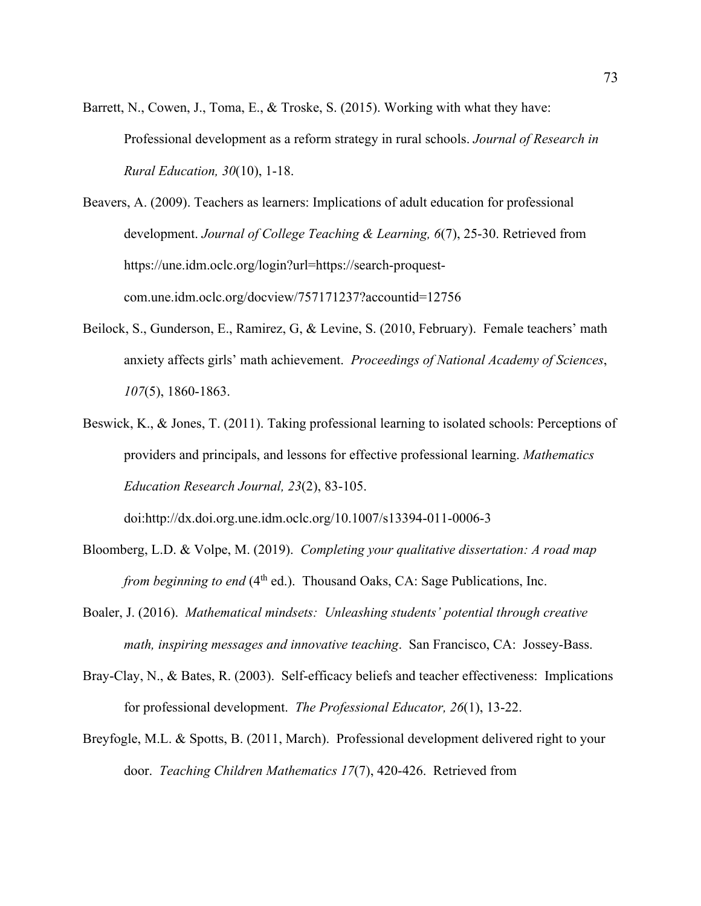- Barrett, N., Cowen, J., Toma, E., & Troske, S. (2015). Working with what they have: Professional development as a reform strategy in rural schools. *Journal of Research in Rural Education, 30*(10), 1-18.
- Beavers, A. (2009). Teachers as learners: Implications of adult education for professional development. *Journal of College Teaching & Learning, 6*(7), 25-30. Retrieved from https://une.idm.oclc.org/login?url=https://search-proquestcom.une.idm.oclc.org/docview/757171237?accountid=12756
- Beilock, S., Gunderson, E., Ramirez, G, & Levine, S. (2010, February). Female teachers' math anxiety affects girls' math achievement. *Proceedings of National Academy of Sciences*, *107*(5), 1860-1863.
- Beswick, K., & Jones, T. (2011). Taking professional learning to isolated schools: Perceptions of providers and principals, and lessons for effective professional learning. *Mathematics Education Research Journal, 23*(2), 83-105.

doi:http://dx.doi.org.une.idm.oclc.org/10.1007/s13394-011-0006-3

- Bloomberg, L.D. & Volpe, M. (2019). *Completing your qualitative dissertation: A road map from beginning to end* (4<sup>th</sup> ed.). Thousand Oaks, CA: Sage Publications, Inc.
- Boaler, J. (2016). *Mathematical mindsets: Unleashing students' potential through creative math, inspiring messages and innovative teaching*. San Francisco, CA: Jossey-Bass.
- Bray-Clay, N., & Bates, R. (2003). Self-efficacy beliefs and teacher effectiveness: Implications for professional development. *The Professional Educator, 26*(1), 13-22.
- Breyfogle, M.L. & Spotts, B. (2011, March). Professional development delivered right to your door. *Teaching Children Mathematics 17*(7), 420-426. Retrieved from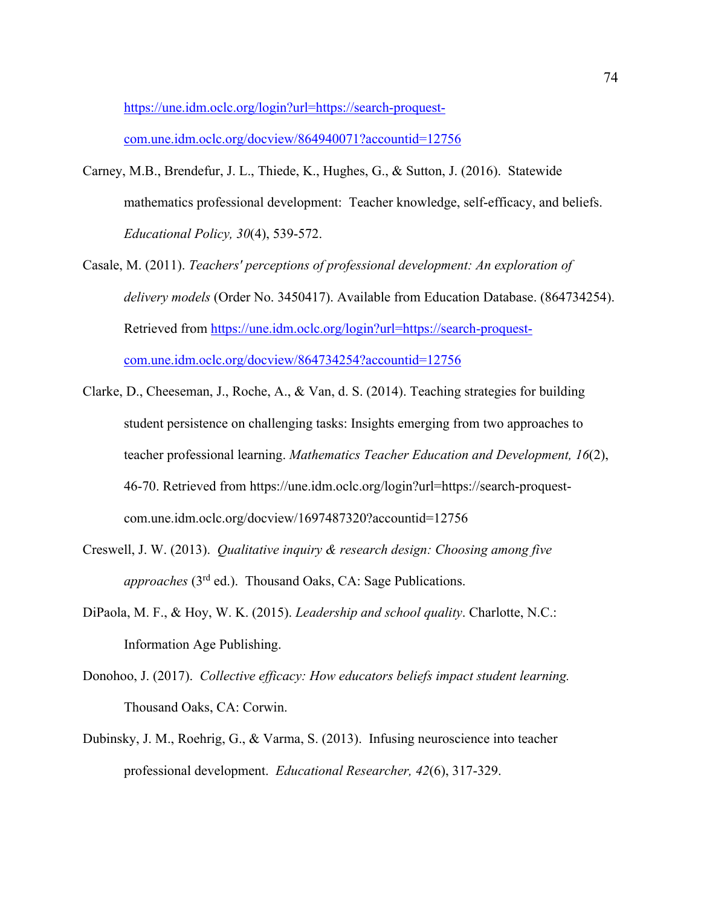https://une.idm.oclc.org/login?url=https://search-proquest-

com.une.idm.oclc.org/docview/864940071?accountid=12756

- Carney, M.B., Brendefur, J. L., Thiede, K., Hughes, G., & Sutton, J. (2016). Statewide mathematics professional development: Teacher knowledge, self-efficacy, and beliefs. *Educational Policy, 30*(4), 539-572.
- Casale, M. (2011). *Teachers' perceptions of professional development: An exploration of delivery models* (Order No. 3450417). Available from Education Database. (864734254). Retrieved from https://une.idm.oclc.org/login?url=https://search-proquestcom.une.idm.oclc.org/docview/864734254?accountid=12756
- Clarke, D., Cheeseman, J., Roche, A., & Van, d. S. (2014). Teaching strategies for building student persistence on challenging tasks: Insights emerging from two approaches to teacher professional learning. *Mathematics Teacher Education and Development, 16*(2), 46-70. Retrieved from https://une.idm.oclc.org/login?url=https://search-proquestcom.une.idm.oclc.org/docview/1697487320?accountid=12756
- Creswell, J. W. (2013). *Qualitative inquiry & research design: Choosing among five approaches* (3rd ed.). Thousand Oaks, CA: Sage Publications.
- DiPaola, M. F., & Hoy, W. K. (2015). *Leadership and school quality*. Charlotte, N.C.: Information Age Publishing.
- Donohoo, J. (2017). *Collective efficacy: How educators beliefs impact student learning.* Thousand Oaks, CA: Corwin.
- Dubinsky, J. M., Roehrig, G., & Varma, S. (2013). Infusing neuroscience into teacher professional development. *Educational Researcher, 42*(6), 317-329.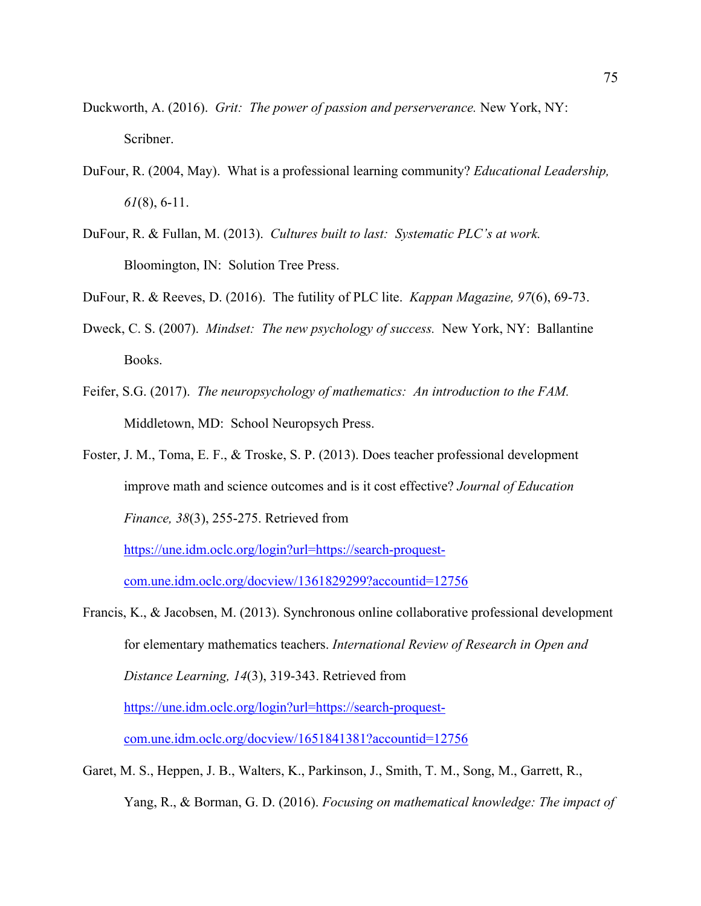- Duckworth, A. (2016). *Grit: The power of passion and perserverance.* New York, NY: Scribner.
- DuFour, R. (2004, May). What is a professional learning community? *Educational Leadership, 61*(8), 6-11.
- DuFour, R. & Fullan, M. (2013). *Cultures built to last: Systematic PLC's at work.* Bloomington, IN: Solution Tree Press.
- DuFour, R. & Reeves, D. (2016). The futility of PLC lite. *Kappan Magazine, 97*(6), 69-73.
- Dweck, C. S. (2007). *Mindset: The new psychology of success.* New York, NY: Ballantine Books.
- Feifer, S.G. (2017). *The neuropsychology of mathematics: An introduction to the FAM.*  Middletown, MD: School Neuropsych Press.
- Foster, J. M., Toma, E. F., & Troske, S. P. (2013). Does teacher professional development improve math and science outcomes and is it cost effective? *Journal of Education Finance, 38*(3), 255-275. Retrieved from

https://une.idm.oclc.org/login?url=https://search-proquest-

com.une.idm.oclc.org/docview/1361829299?accountid=12756

- Francis, K., & Jacobsen, M. (2013). Synchronous online collaborative professional development for elementary mathematics teachers. *International Review of Research in Open and Distance Learning, 14*(3), 319-343. Retrieved from https://une.idm.oclc.org/login?url=https://search-proquestcom.une.idm.oclc.org/docview/1651841381?accountid=12756
- Garet, M. S., Heppen, J. B., Walters, K., Parkinson, J., Smith, T. M., Song, M., Garrett, R., Yang, R., & Borman, G. D. (2016). *Focusing on mathematical knowledge: The impact of*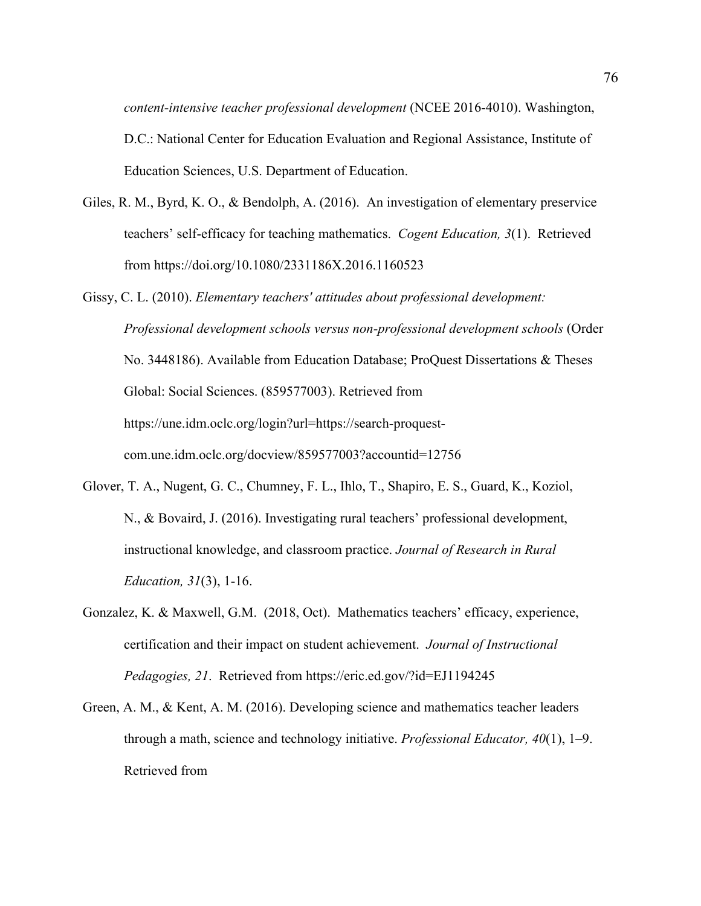*content-intensive teacher professional development* (NCEE 2016-4010). Washington, D.C.: National Center for Education Evaluation and Regional Assistance, Institute of Education Sciences, U.S. Department of Education.

- Giles, R. M., Byrd, K. O., & Bendolph, A. (2016). An investigation of elementary preservice teachers' self-efficacy for teaching mathematics. *Cogent Education, 3*(1). Retrieved from https://doi.org/10.1080/2331186X.2016.1160523
- Gissy, C. L. (2010). *Elementary teachers' attitudes about professional development: Professional development schools versus non-professional development schools* (Order No. 3448186). Available from Education Database; ProQuest Dissertations & Theses Global: Social Sciences. (859577003). Retrieved from https://une.idm.oclc.org/login?url=https://search-proquestcom.une.idm.oclc.org/docview/859577003?accountid=12756
- Glover, T. A., Nugent, G. C., Chumney, F. L., Ihlo, T., Shapiro, E. S., Guard, K., Koziol, N., & Bovaird, J. (2016). Investigating rural teachers' professional development, instructional knowledge, and classroom practice. *Journal of Research in Rural Education, 31*(3), 1-16.
- Gonzalez, K. & Maxwell, G.M. (2018, Oct). Mathematics teachers' efficacy, experience, certification and their impact on student achievement. *Journal of Instructional Pedagogies, 21*. Retrieved from https://eric.ed.gov/?id=EJ1194245
- Green, A. M., & Kent, A. M. (2016). Developing science and mathematics teacher leaders through a math, science and technology initiative. *Professional Educator, 40*(1), 1–9. Retrieved from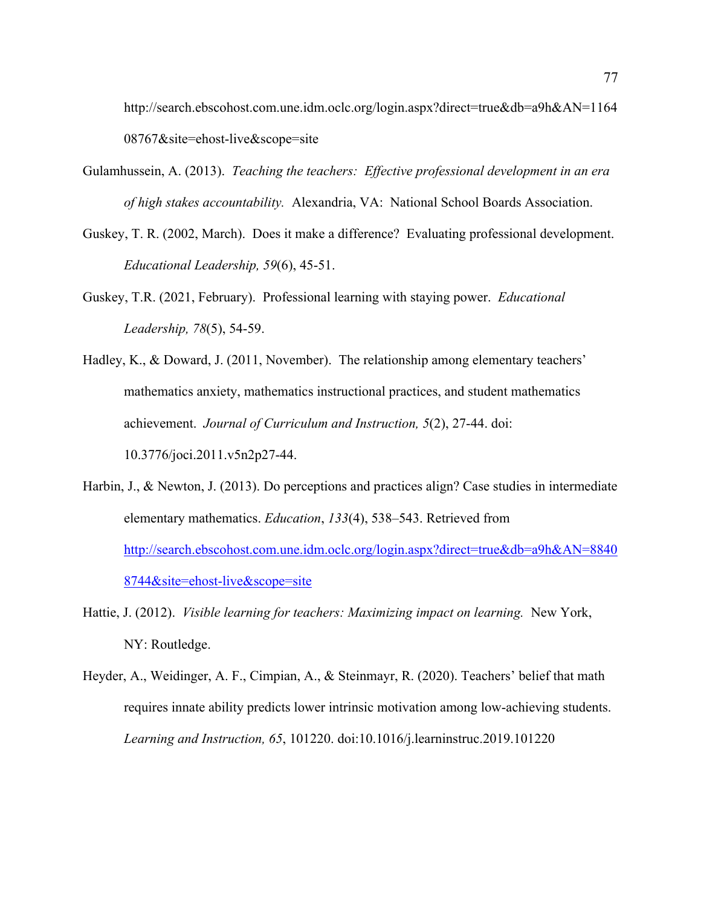http://search.ebscohost.com.une.idm.oclc.org/login.aspx?direct=true&db=a9h&AN=1164 08767&site=ehost-live&scope=site

- Gulamhussein, A. (2013). *Teaching the teachers: Effective professional development in an era of high stakes accountability.* Alexandria, VA: National School Boards Association.
- Guskey, T. R. (2002, March). Does it make a difference? Evaluating professional development. *Educational Leadership, 59*(6), 45-51.
- Guskey, T.R. (2021, February). Professional learning with staying power. *Educational Leadership, 78*(5), 54-59.
- Hadley, K., & Doward, J. (2011, November). The relationship among elementary teachers' mathematics anxiety, mathematics instructional practices, and student mathematics achievement. *Journal of Curriculum and Instruction, 5*(2), 27-44. doi: 10.3776/joci.2011.v5n2p27-44.
- Harbin, J., & Newton, J. (2013). Do perceptions and practices align? Case studies in intermediate elementary mathematics. *Education*, *133*(4), 538–543. Retrieved from http://search.ebscohost.com.une.idm.oclc.org/login.aspx?direct=true&db=a9h&AN=8840 8744&site=ehost-live&scope=site
- Hattie, J. (2012). *Visible learning for teachers: Maximizing impact on learning.* New York, NY: Routledge.
- Heyder, A., Weidinger, A. F., Cimpian, A., & Steinmayr, R. (2020). Teachers' belief that math requires innate ability predicts lower intrinsic motivation among low-achieving students. *Learning and Instruction, 65*, 101220. doi:10.1016/j.learninstruc.2019.101220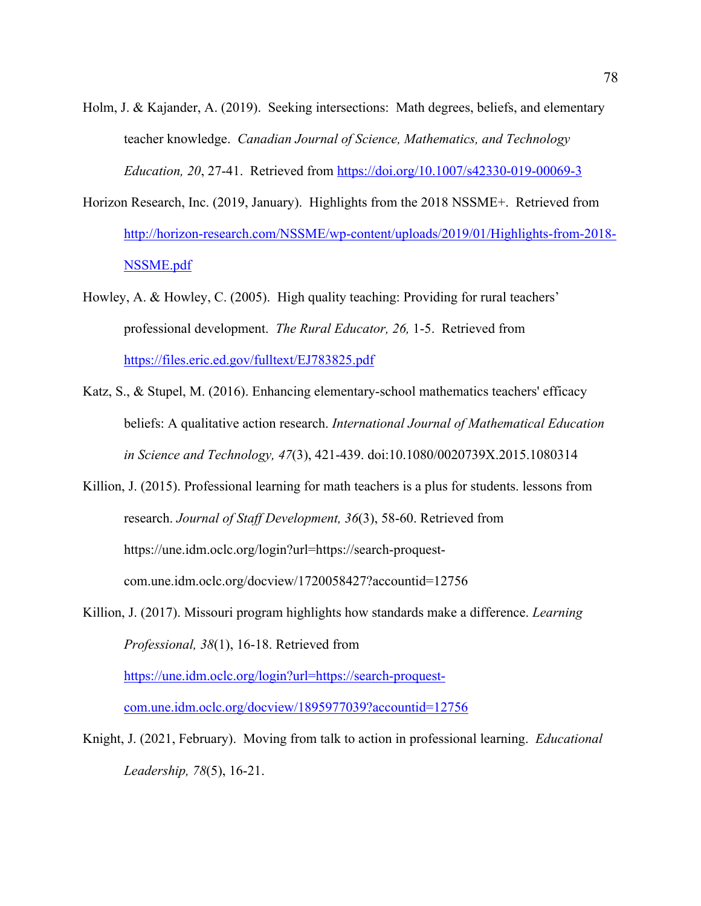- Holm, J. & Kajander, A. (2019). Seeking intersections: Math degrees, beliefs, and elementary teacher knowledge. *Canadian Journal of Science, Mathematics, and Technology Education, 20*, 27-41. Retrieved from https://doi.org/10.1007/s42330-019-00069-3
- Horizon Research, Inc. (2019, January). Highlights from the 2018 NSSME+. Retrieved from http://horizon-research.com/NSSME/wp-content/uploads/2019/01/Highlights-from-2018- NSSME.pdf
- Howley, A. & Howley, C. (2005). High quality teaching: Providing for rural teachers' professional development. *The Rural Educator, 26,* 1-5. Retrieved from https://files.eric.ed.gov/fulltext/EJ783825.pdf
- Katz, S., & Stupel, M. (2016). Enhancing elementary-school mathematics teachers' efficacy beliefs: A qualitative action research. *International Journal of Mathematical Education in Science and Technology, 47*(3), 421-439. doi:10.1080/0020739X.2015.1080314
- Killion, J. (2015). Professional learning for math teachers is a plus for students. lessons from research. *Journal of Staff Development, 36*(3), 58-60. Retrieved from https://une.idm.oclc.org/login?url=https://search-proquestcom.une.idm.oclc.org/docview/1720058427?accountid=12756
- Killion, J. (2017). Missouri program highlights how standards make a difference. *Learning Professional, 38*(1), 16-18. Retrieved from

https://une.idm.oclc.org/login?url=https://search-proquestcom.une.idm.oclc.org/docview/1895977039?accountid=12756

Knight, J. (2021, February). Moving from talk to action in professional learning. *Educational Leadership, 78*(5), 16-21.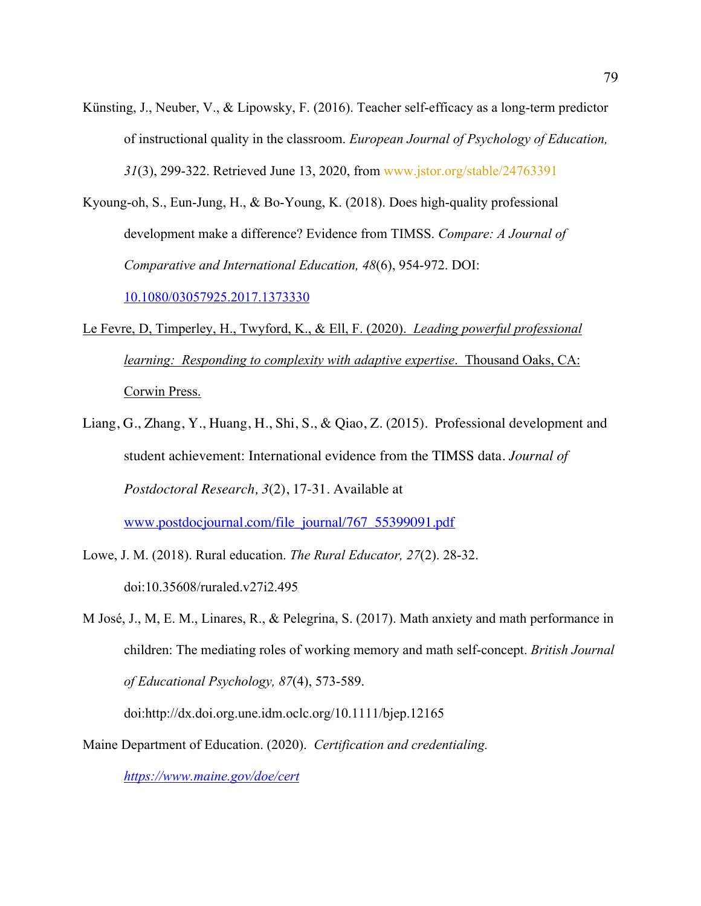- Künsting, J., Neuber, V., & Lipowsky, F. (2016). Teacher self-efficacy as a long-term predictor of instructional quality in the classroom. *European Journal of Psychology of Education, 31*(3), 299-322. Retrieved June 13, 2020, from www.jstor.org/stable/24763391
- Kyoung-oh, S., Eun-Jung, H., & Bo-Young, K. (2018). Does high-quality professional development make a difference? Evidence from TIMSS. *Compare: A Journal of Comparative and International Education, 48*(6), 954-972. DOI: 10.1080/03057925.2017.1373330
- Le Fevre, D, Timperley, H., Twyford, K., & Ell, F. (2020). *Leading powerful professional learning: Responding to complexity with adaptive expertise*. Thousand Oaks, CA: Corwin Press.
- Liang, G., Zhang, Y., Huang, H., Shi, S., & Qiao, Z. (2015). Professional development and student achievement: International evidence from the TIMSS data. *Journal of Postdoctoral Research, 3*(2), 17-31. Available at

www.postdocjournal.com/file\_journal/767\_55399091.pdf

- Lowe, J. M. (2018). Rural education. *The Rural Educator, 27*(2). 28-32. doi:10.35608/ruraled.v27i2.495
- M José, J., M, E. M., Linares, R., & Pelegrina, S. (2017). Math anxiety and math performance in children: The mediating roles of working memory and math self‐concept. *British Journal of Educational Psychology, 87*(4), 573-589.

doi:http://dx.doi.org.une.idm.oclc.org/10.1111/bjep.12165

Maine Department of Education. (2020). *Certification and credentialing.* 

*https://www.maine.gov/doe/cert*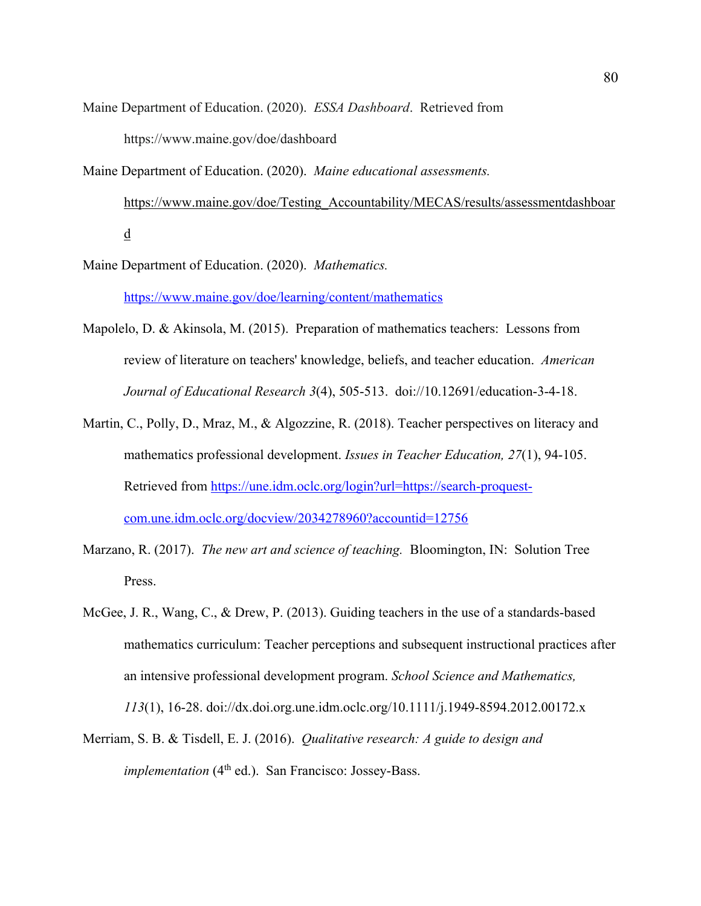- Maine Department of Education. (2020). *ESSA Dashboard*. Retrieved from https://www.maine.gov/doe/dashboard
- Maine Department of Education. (2020). *Maine educational assessments.* https://www.maine.gov/doe/Testing\_Accountability/MECAS/results/assessmentdashboar d
- Maine Department of Education. (2020). *Mathematics.*  https://www.maine.gov/doe/learning/content/mathematics
- Mapolelo, D. & Akinsola, M. (2015). Preparation of mathematics teachers: Lessons from review of literature on teachers' knowledge, beliefs, and teacher education. *American Journal of Educational Research 3*(4), 505-513. doi://10.12691/education-3-4-18.
- Martin, C., Polly, D., Mraz, M., & Algozzine, R. (2018). Teacher perspectives on literacy and mathematics professional development. *Issues in Teacher Education, 27*(1), 94-105. Retrieved from https://une.idm.oclc.org/login?url=https://search-proquestcom.une.idm.oclc.org/docview/2034278960?accountid=12756
- Marzano, R. (2017). *The new art and science of teaching.* Bloomington, IN: Solution Tree Press.
- McGee, J. R., Wang, C., & Drew, P. (2013). Guiding teachers in the use of a standards-based mathematics curriculum: Teacher perceptions and subsequent instructional practices after an intensive professional development program. *School Science and Mathematics, 113*(1), 16-28. doi://dx.doi.org.une.idm.oclc.org/10.1111/j.1949-8594.2012.00172.x
- Merriam, S. B. & Tisdell, E. J. (2016). *Qualitative research: A guide to design and implementation* (4<sup>th</sup> ed.). San Francisco: Jossey-Bass.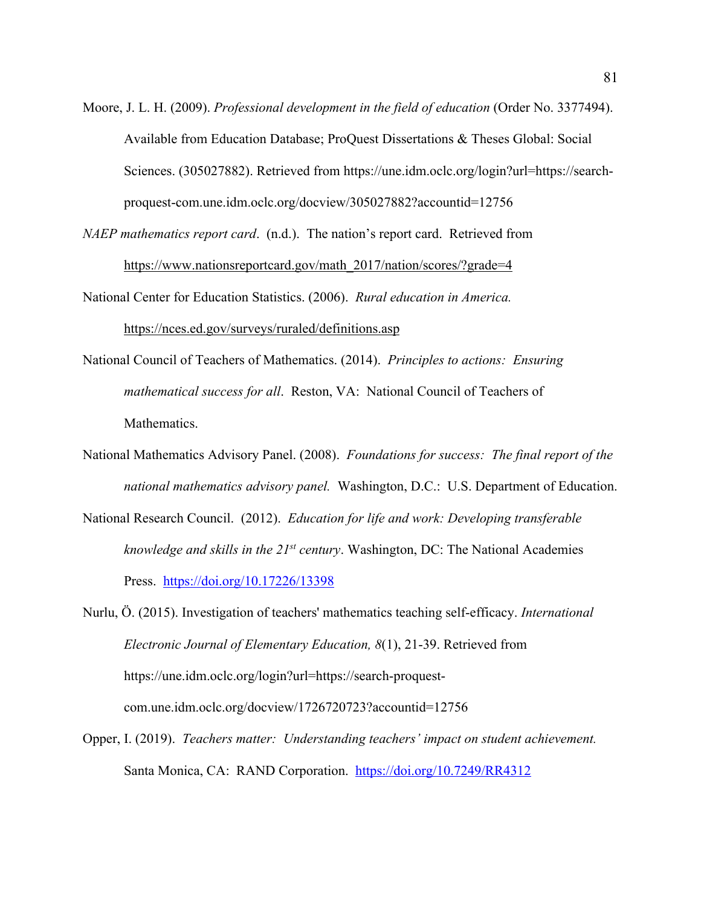Moore, J. L. H. (2009). *Professional development in the field of education* (Order No. 3377494). Available from Education Database; ProQuest Dissertations & Theses Global: Social Sciences. (305027882). Retrieved from https://une.idm.oclc.org/login?url=https://searchproquest-com.une.idm.oclc.org/docview/305027882?accountid=12756

*NAEP mathematics report card*. (n.d.). The nation's report card. Retrieved from https://www.nationsreportcard.gov/math\_2017/nation/scores/?grade=4

National Center for Education Statistics. (2006). *Rural education in America.*

https://nces.ed.gov/surveys/ruraled/definitions.asp

- National Council of Teachers of Mathematics. (2014). *Principles to actions: Ensuring mathematical success for all*. Reston, VA: National Council of Teachers of Mathematics.
- National Mathematics Advisory Panel. (2008). *Foundations for success: The final report of the national mathematics advisory panel.* Washington, D.C.: U.S. Department of Education.
- National Research Council. (2012). *Education for life and work: Developing transferable knowledge and skills in the 21st century*. Washington, DC: The National Academies Press. https://doi.org/10.17226/13398

Nurlu, Ö. (2015). Investigation of teachers' mathematics teaching self-efficacy. *International Electronic Journal of Elementary Education, 8*(1), 21-39. Retrieved from https://une.idm.oclc.org/login?url=https://search-proquestcom.une.idm.oclc.org/docview/1726720723?accountid=12756

Opper, I. (2019). *Teachers matter: Understanding teachers' impact on student achievement.* Santa Monica, CA: RAND Corporation. https://doi.org/10.7249/RR4312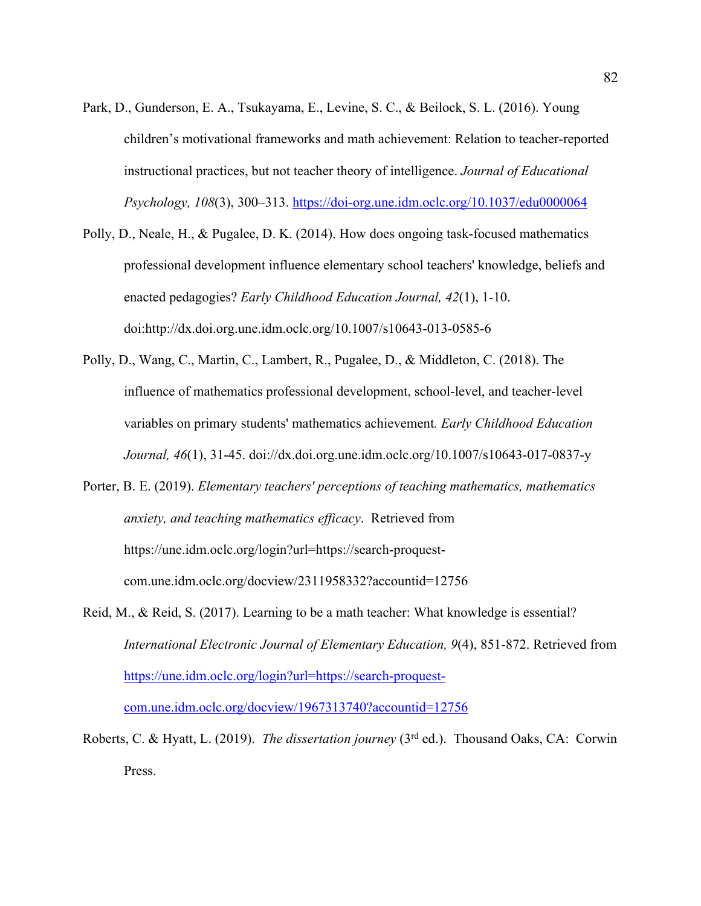- Park, D., Gunderson, E. A., Tsukayama, E., Levine, S. C., & Beilock, S. L. (2016). Young children's motivational frameworks and math achievement: Relation to teacher-reported instructional practices, but not teacher theory of intelligence. *Journal of Educational Psychology, 108*(3), 300–313. https://doi-org.une.idm.oclc.org/10.1037/edu0000064
- Polly, D., Neale, H., & Pugalee, D. K. (2014). How does ongoing task-focused mathematics professional development influence elementary school teachers' knowledge, beliefs and enacted pedagogies? *Early Childhood Education Journal, 42*(1), 1-10. doi:http://dx.doi.org.une.idm.oclc.org/10.1007/s10643-013-0585-6
- Polly, D., Wang, C., Martin, C., Lambert, R., Pugalee, D., & Middleton, C. (2018). The influence of mathematics professional development, school-level, and teacher-level variables on primary students' mathematics achievement*. Early Childhood Education Journal, 46*(1), 31-45. doi://dx.doi.org.une.idm.oclc.org/10.1007/s10643-017-0837-y
- Porter, B. E. (2019). *Elementary teachers' perceptions of teaching mathematics, mathematics anxiety, and teaching mathematics efficacy*. Retrieved from https://une.idm.oclc.org/login?url=https://search-proquestcom.une.idm.oclc.org/docview/2311958332?accountid=12756
- Reid, M., & Reid, S. (2017). Learning to be a math teacher: What knowledge is essential? *International Electronic Journal of Elementary Education, 9*(4), 851-872. Retrieved from https://une.idm.oclc.org/login?url=https://search-proquestcom.une.idm.oclc.org/docview/1967313740?accountid=12756
- Roberts, C. & Hyatt, L. (2019). *The dissertation journey* (3rd ed.). Thousand Oaks, CA: Corwin Press.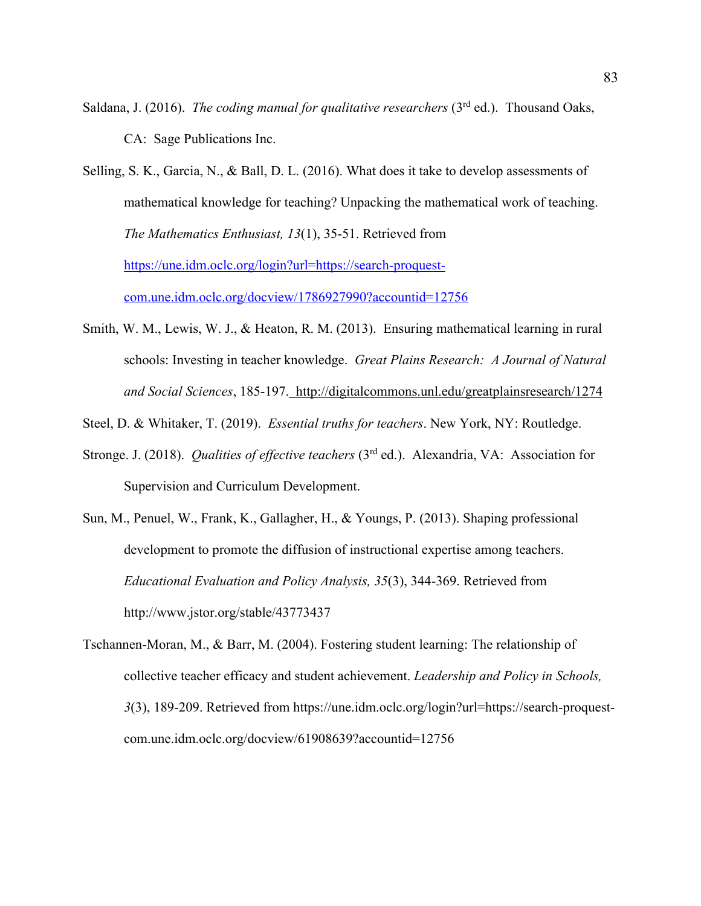- Saldana, J. (2016). *The coding manual for qualitative researchers* (3<sup>rd</sup> ed.). Thousand Oaks, CA: Sage Publications Inc.
- Selling, S. K., Garcia, N., & Ball, D. L. (2016). What does it take to develop assessments of mathematical knowledge for teaching? Unpacking the mathematical work of teaching. *The Mathematics Enthusiast, 13*(1), 35-51. Retrieved from https://une.idm.oclc.org/login?url=https://search-proquestcom.une.idm.oclc.org/docview/1786927990?accountid=12756
- Smith, W. M., Lewis, W. J., & Heaton, R. M. (2013). Ensuring mathematical learning in rural schools: Investing in teacher knowledge. *Great Plains Research: A Journal of Natural and Social Sciences*, 185-197. http://digitalcommons.unl.edu/greatplainsresearch/1274
- Steel, D. & Whitaker, T. (2019). *Essential truths for teachers*. New York, NY: Routledge.
- Stronge. J. (2018). *Qualities of effective teachers* (3rd ed.). Alexandria, VA: Association for Supervision and Curriculum Development.
- Sun, M., Penuel, W., Frank, K., Gallagher, H., & Youngs, P. (2013). Shaping professional development to promote the diffusion of instructional expertise among teachers. *Educational Evaluation and Policy Analysis, 35*(3), 344-369. Retrieved from http://www.jstor.org/stable/43773437
- Tschannen-Moran, M., & Barr, M. (2004). Fostering student learning: The relationship of collective teacher efficacy and student achievement. *Leadership and Policy in Schools, 3*(3), 189-209. Retrieved from https://une.idm.oclc.org/login?url=https://search-proquestcom.une.idm.oclc.org/docview/61908639?accountid=12756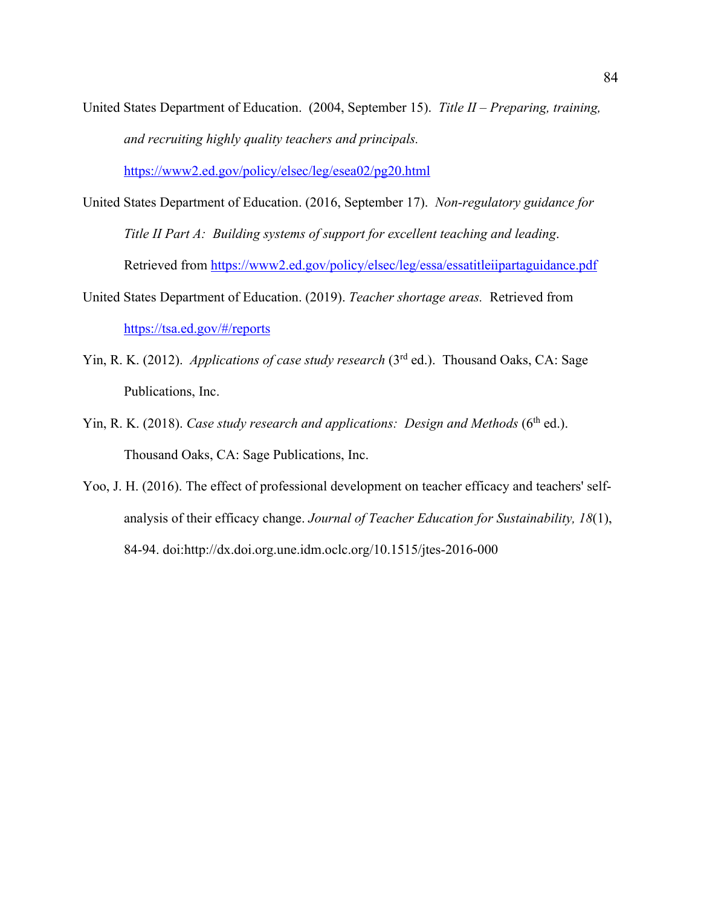United States Department of Education. (2004, September 15). *Title II – Preparing, training, and recruiting highly quality teachers and principals.* 

https://www2.ed.gov/policy/elsec/leg/esea02/pg20.html

- United States Department of Education. (2016, September 17). *Non-regulatory guidance for Title II Part A: Building systems of support for excellent teaching and leading*. Retrieved from https://www2.ed.gov/policy/elsec/leg/essa/essatitleiipartaguidance.pdf
- United States Department of Education. (2019). *Teacher shortage areas.* Retrieved from https://tsa.ed.gov/#/reports
- Yin, R. K. (2012). *Applications of case study research* (3<sup>rd</sup> ed.). Thousand Oaks, CA: Sage Publications, Inc.
- Yin, R. K. (2018). *Case study research and applications: Design and Methods* (6<sup>th</sup> ed.). Thousand Oaks, CA: Sage Publications, Inc.
- Yoo, J. H. (2016). The effect of professional development on teacher efficacy and teachers' selfanalysis of their efficacy change. *Journal of Teacher Education for Sustainability, 18*(1), 84-94. doi:http://dx.doi.org.une.idm.oclc.org/10.1515/jtes-2016-000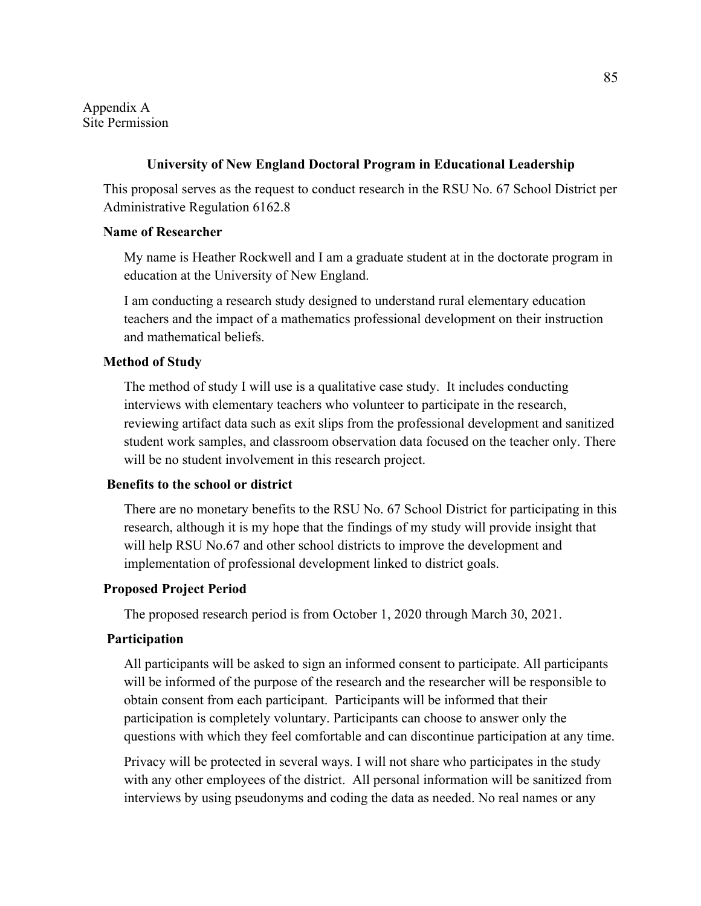Appendix A Site Permission

### **University of New England Doctoral Program in Educational Leadership**

This proposal serves as the request to conduct research in the RSU No. 67 School District per Administrative Regulation 6162.8

### **Name of Researcher**

My name is Heather Rockwell and I am a graduate student at in the doctorate program in education at the University of New England.

I am conducting a research study designed to understand rural elementary education teachers and the impact of a mathematics professional development on their instruction and mathematical beliefs.

### **Method of Study**

The method of study I will use is a qualitative case study. It includes conducting interviews with elementary teachers who volunteer to participate in the research, reviewing artifact data such as exit slips from the professional development and sanitized student work samples, and classroom observation data focused on the teacher only. There will be no student involvement in this research project.

### **Benefits to the school or district**

There are no monetary benefits to the RSU No. 67 School District for participating in this research, although it is my hope that the findings of my study will provide insight that will help RSU No.67 and other school districts to improve the development and implementation of professional development linked to district goals.

# **Proposed Project Period**

The proposed research period is from October 1, 2020 through March 30, 2021.

### **Participation**

All participants will be asked to sign an informed consent to participate. All participants will be informed of the purpose of the research and the researcher will be responsible to obtain consent from each participant. Participants will be informed that their participation is completely voluntary. Participants can choose to answer only the questions with which they feel comfortable and can discontinue participation at any time.

Privacy will be protected in several ways. I will not share who participates in the study with any other employees of the district. All personal information will be sanitized from interviews by using pseudonyms and coding the data as needed. No real names or any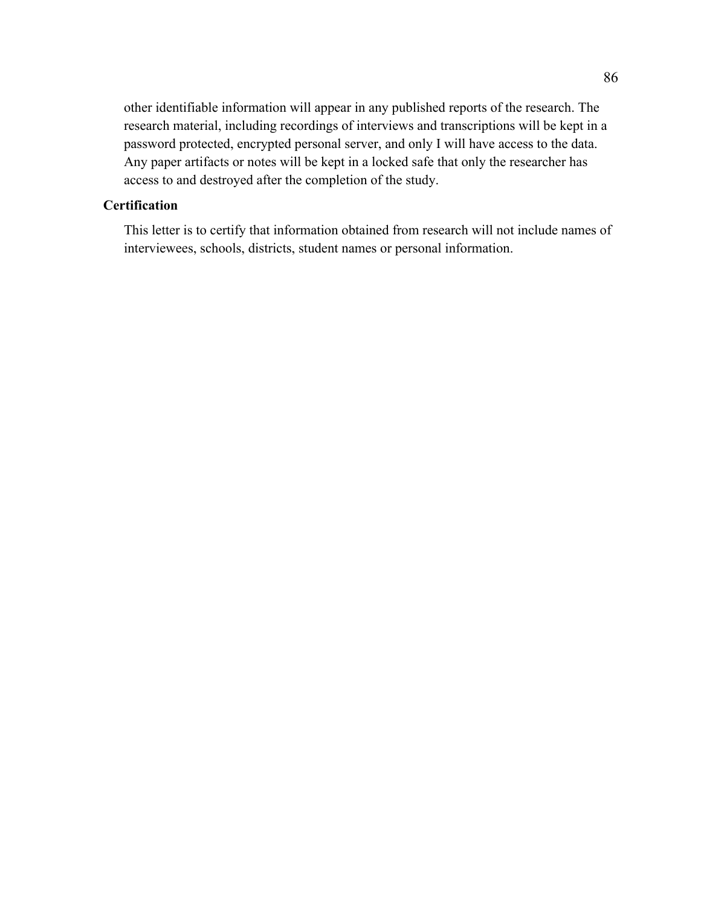other identifiable information will appear in any published reports of the research. The research material, including recordings of interviews and transcriptions will be kept in a password protected, encrypted personal server, and only I will have access to the data. Any paper artifacts or notes will be kept in a locked safe that only the researcher has access to and destroyed after the completion of the study.

# **Certification**

This letter is to certify that information obtained from research will not include names of interviewees, schools, districts, student names or personal information.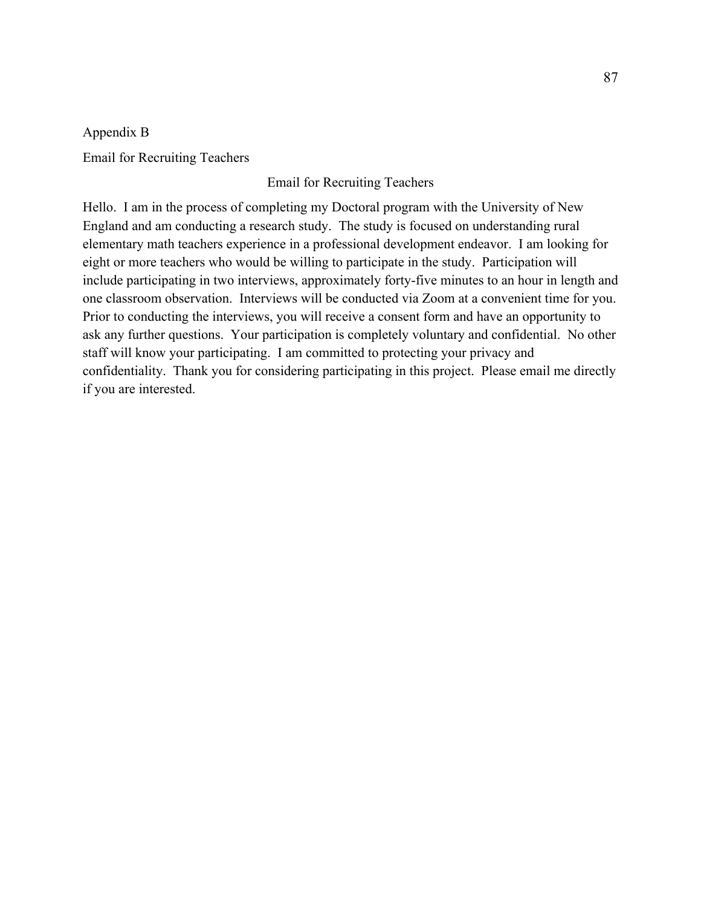Appendix B Email for Recruiting Teachers

# Email for Recruiting Teachers

Hello. I am in the process of completing my Doctoral program with the University of New England and am conducting a research study. The study is focused on understanding rural elementary math teachers experience in a professional development endeavor. I am looking for eight or more teachers who would be willing to participate in the study. Participation will include participating in two interviews, approximately forty-five minutes to an hour in length and one classroom observation. Interviews will be conducted via Zoom at a convenient time for you. Prior to conducting the interviews, you will receive a consent form and have an opportunity to ask any further questions. Your participation is completely voluntary and confidential. No other staff will know your participating. I am committed to protecting your privacy and confidentiality. Thank you for considering participating in this project. Please email me directly if you are interested.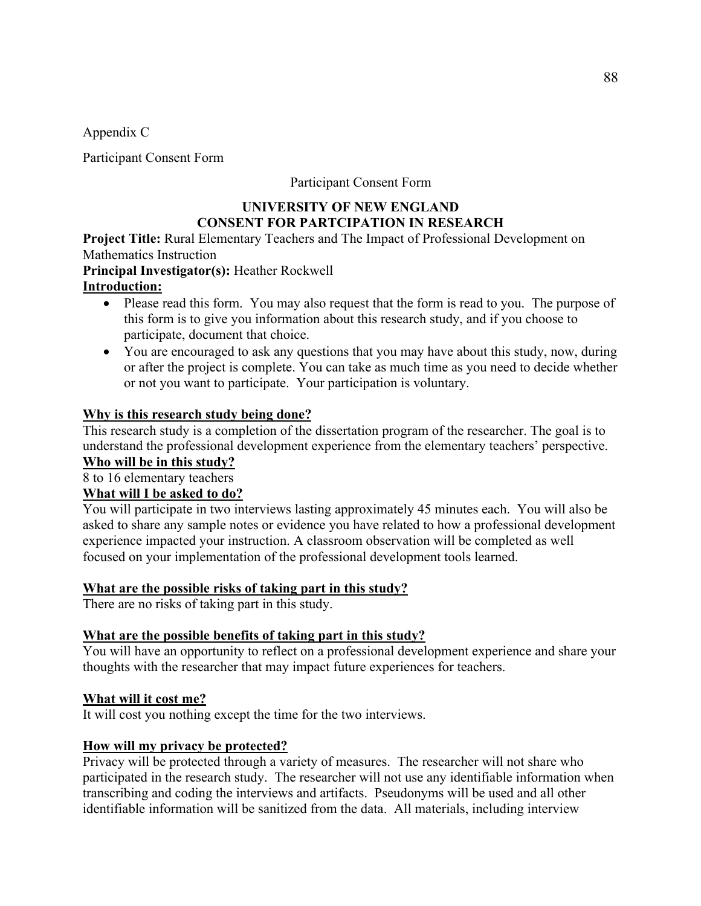Appendix C

Participant Consent Form

# Participant Consent Form

# **UNIVERSITY OF NEW ENGLAND CONSENT FOR PARTCIPATION IN RESEARCH**

**Project Title:** Rural Elementary Teachers and The Impact of Professional Development on Mathematics Instruction

**Principal Investigator(s):** Heather Rockwell

# **Introduction:**

- Please read this form. You may also request that the form is read to you. The purpose of this form is to give you information about this research study, and if you choose to participate, document that choice.
- You are encouraged to ask any questions that you may have about this study, now, during or after the project is complete. You can take as much time as you need to decide whether or not you want to participate. Your participation is voluntary.

# **Why is this research study being done?**

This research study is a completion of the dissertation program of the researcher. The goal is to understand the professional development experience from the elementary teachers' perspective. **Who will be in this study?** 

8 to 16 elementary teachers

# **What will I be asked to do?**

You will participate in two interviews lasting approximately 45 minutes each. You will also be asked to share any sample notes or evidence you have related to how a professional development experience impacted your instruction. A classroom observation will be completed as well focused on your implementation of the professional development tools learned.

# **What are the possible risks of taking part in this study?**

There are no risks of taking part in this study.

# **What are the possible benefits of taking part in this study?**

You will have an opportunity to reflect on a professional development experience and share your thoughts with the researcher that may impact future experiences for teachers.

# **What will it cost me?**

It will cost you nothing except the time for the two interviews.

# **How will my privacy be protected?**

Privacy will be protected through a variety of measures. The researcher will not share who participated in the research study. The researcher will not use any identifiable information when transcribing and coding the interviews and artifacts. Pseudonyms will be used and all other identifiable information will be sanitized from the data. All materials, including interview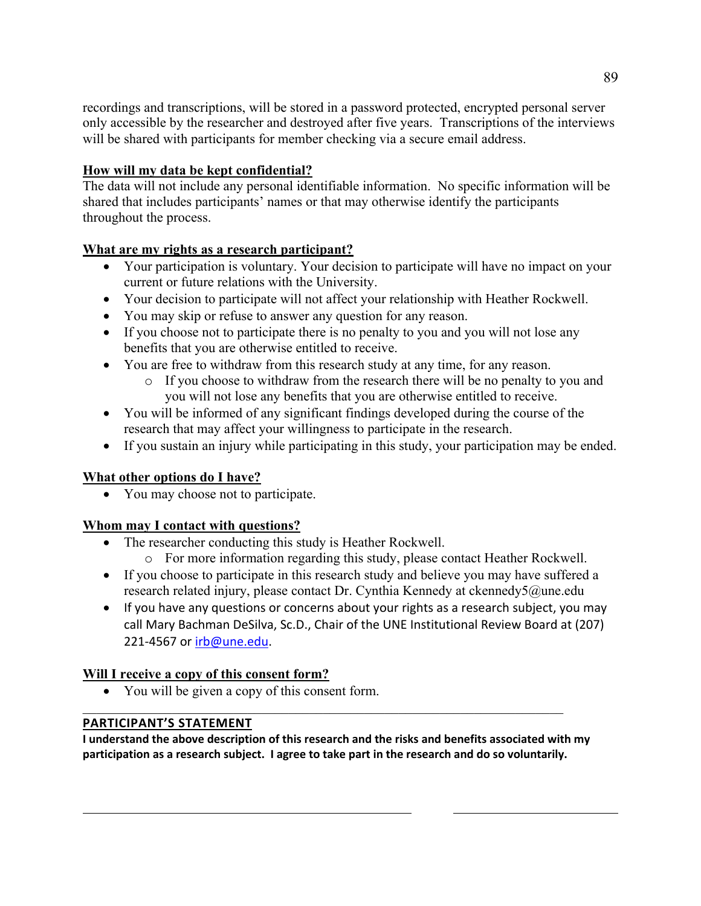recordings and transcriptions, will be stored in a password protected, encrypted personal server only accessible by the researcher and destroyed after five years. Transcriptions of the interviews will be shared with participants for member checking via a secure email address.

# **How will my data be kept confidential?**

The data will not include any personal identifiable information. No specific information will be shared that includes participants' names or that may otherwise identify the participants throughout the process.

# **What are my rights as a research participant?**

- Your participation is voluntary. Your decision to participate will have no impact on your current or future relations with the University.
- Your decision to participate will not affect your relationship with Heather Rockwell.
- You may skip or refuse to answer any question for any reason.
- If you choose not to participate there is no penalty to you and you will not lose any benefits that you are otherwise entitled to receive.
- You are free to withdraw from this research study at any time, for any reason.
	- o If you choose to withdraw from the research there will be no penalty to you and you will not lose any benefits that you are otherwise entitled to receive.
- You will be informed of any significant findings developed during the course of the research that may affect your willingness to participate in the research.
- If you sustain an injury while participating in this study, your participation may be ended.

# **What other options do I have?**

• You may choose not to participate.

# **Whom may I contact with questions?**

- The researcher conducting this study is Heather Rockwell.
	- o For more information regarding this study, please contact Heather Rockwell.
- If you choose to participate in this research study and believe you may have suffered a research related injury, please contact Dr. Cynthia Kennedy at ckennedy5@une.edu
- If you have any questions or concerns about your rights as a research subject, you may call Mary Bachman DeSilva, Sc.D., Chair of the UNE Institutional Review Board at (207) 221-4567 or irb@une.edu.

# **Will I receive a copy of this consent form?**

• You will be given a copy of this consent form.

# **PARTICIPANT'S STATEMENT**

**I understand the above description of this research and the risks and benefits associated with my participation as a research subject. I agree to take part in the research and do so voluntarily.**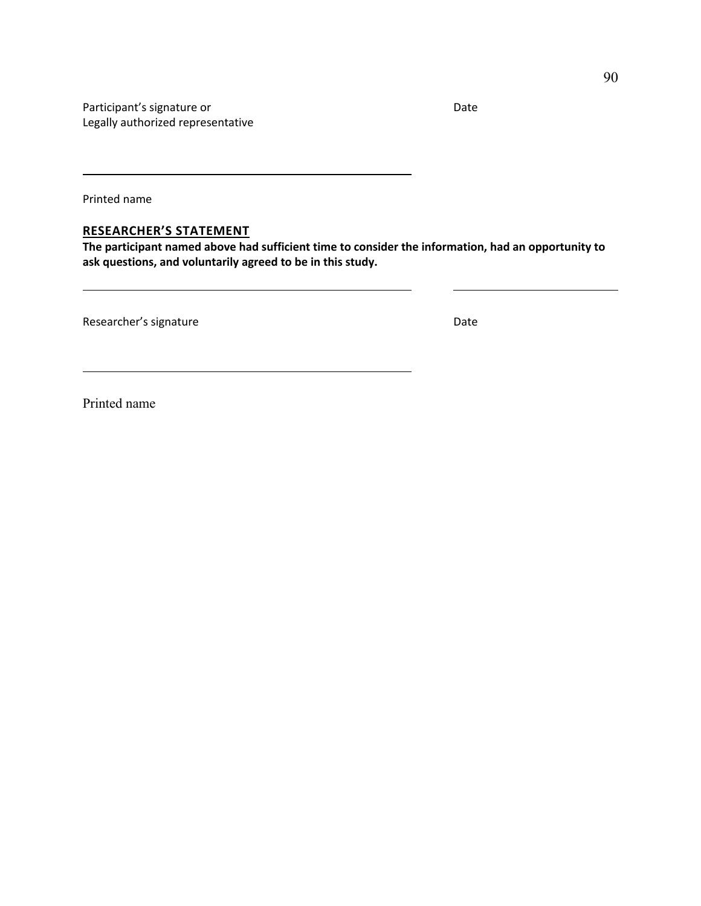Participant's signature or Date and Date and Date of Date and Date and Date and Date and Date and Date and Date Legally authorized representative

Printed name

### **RESEARCHER'S STATEMENT**

**The participant named above had sufficient time to consider the information, had an opportunity to ask questions, and voluntarily agreed to be in this study.**

Researcher's signature development of the Date Date

Printed name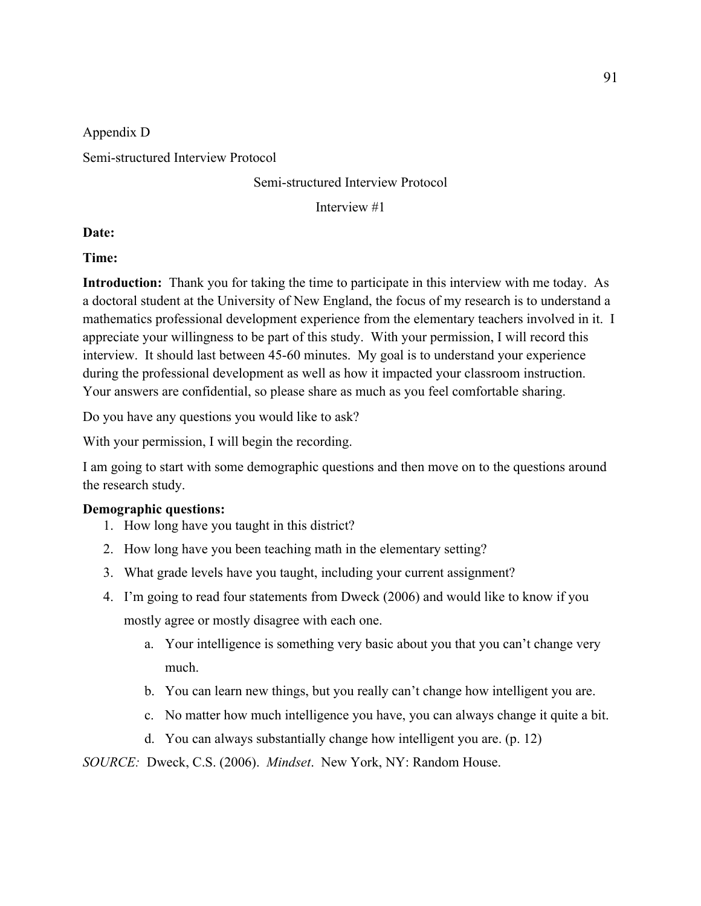### Appendix D

Semi-structured Interview Protocol

# Semi-structured Interview Protocol

Interview #1

# **Date:**

### **Time:**

**Introduction:** Thank you for taking the time to participate in this interview with me today. As a doctoral student at the University of New England, the focus of my research is to understand a mathematics professional development experience from the elementary teachers involved in it. I appreciate your willingness to be part of this study. With your permission, I will record this interview. It should last between 45-60 minutes. My goal is to understand your experience during the professional development as well as how it impacted your classroom instruction. Your answers are confidential, so please share as much as you feel comfortable sharing.

Do you have any questions you would like to ask?

With your permission, I will begin the recording.

I am going to start with some demographic questions and then move on to the questions around the research study.

### **Demographic questions:**

- 1. How long have you taught in this district?
- 2. How long have you been teaching math in the elementary setting?
- 3. What grade levels have you taught, including your current assignment?
- 4. I'm going to read four statements from Dweck (2006) and would like to know if you mostly agree or mostly disagree with each one.
	- a. Your intelligence is something very basic about you that you can't change very much.
	- b. You can learn new things, but you really can't change how intelligent you are.
	- c. No matter how much intelligence you have, you can always change it quite a bit.
	- d. You can always substantially change how intelligent you are. (p. 12)

*SOURCE:* Dweck, C.S. (2006). *Mindset*. New York, NY: Random House.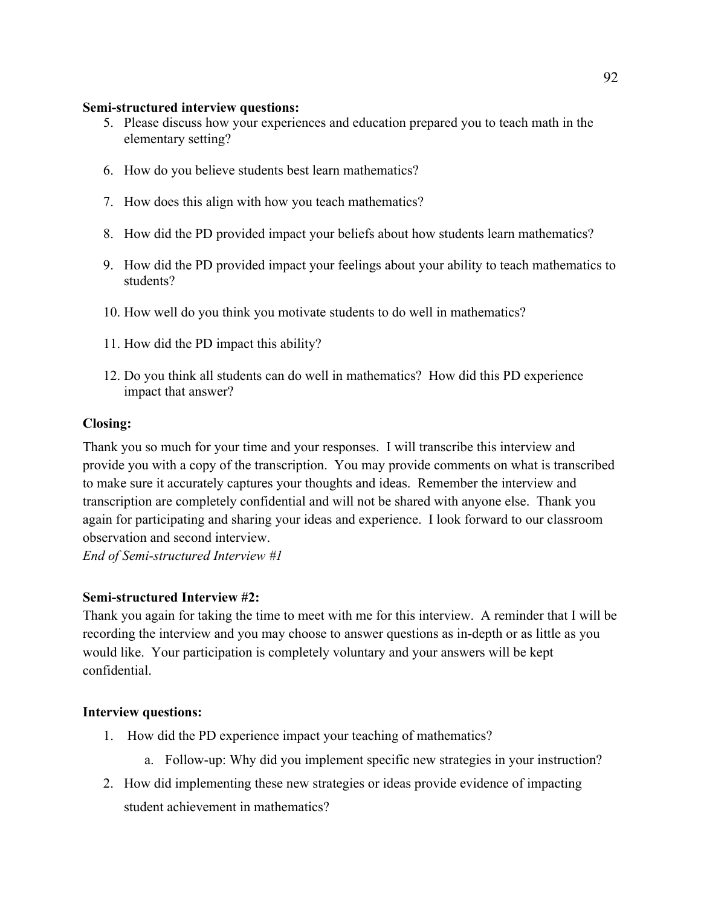### **Semi-structured interview questions:**

- 5. Please discuss how your experiences and education prepared you to teach math in the elementary setting?
- 6. How do you believe students best learn mathematics?
- 7. How does this align with how you teach mathematics?
- 8. How did the PD provided impact your beliefs about how students learn mathematics?
- 9. How did the PD provided impact your feelings about your ability to teach mathematics to students?
- 10. How well do you think you motivate students to do well in mathematics?
- 11. How did the PD impact this ability?
- 12. Do you think all students can do well in mathematics? How did this PD experience impact that answer?

# **Closing:**

Thank you so much for your time and your responses. I will transcribe this interview and provide you with a copy of the transcription. You may provide comments on what is transcribed to make sure it accurately captures your thoughts and ideas. Remember the interview and transcription are completely confidential and will not be shared with anyone else. Thank you again for participating and sharing your ideas and experience. I look forward to our classroom observation and second interview.

*End of Semi-structured Interview #1*

# **Semi-structured Interview #2:**

Thank you again for taking the time to meet with me for this interview. A reminder that I will be recording the interview and you may choose to answer questions as in-depth or as little as you would like. Your participation is completely voluntary and your answers will be kept confidential.

# **Interview questions:**

- 1. How did the PD experience impact your teaching of mathematics?
	- a. Follow-up: Why did you implement specific new strategies in your instruction?
- 2. How did implementing these new strategies or ideas provide evidence of impacting student achievement in mathematics?